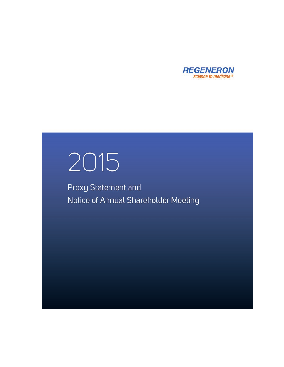

11MAR201513234945

# 2015

Proxy Statement and Notice of Annual Shareholder Meeting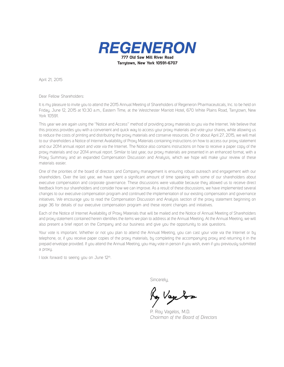

April 21, 2015

Dear Fellow Shareholders:

It is my pleasure to invite you to attend the 2015 Annual Meeting of Shareholders of Regeneron Pharmaceuticals, Inc. to be held on Friday, June 12, 2015 at 10:30 a.m., Eastern Time, at the Westchester Marriott Hotel, 670 White Plains Road, Tarrytown, New York 10591.

This year we are again using the ''Notice and Access'' method of providing proxy materials to you via the Internet. We believe that this process provides you with a convenient and quick way to access your proxy materials and vote your shares, while allowing us to reduce the costs of printing and distributing the proxy materials and conserve resources. On or about April 27, 2015, we will mail to our shareholders a Notice of Internet Availability of Proxy Materials containing instructions on how to access our proxy statement and our 2014 annual report and vote via the Internet. The Notice also contains instructions on how to receive a paper copy of the proxy materials and our 2014 annual report. Similar to last year, our proxy materials are presented in an enhanced format, with a Proxy Summary and an expanded Compensation Discussion and Analysis, which we hope will make your review of these materials easier.

One of the priorities of the board of directors and Company management is ensuring robust outreach and engagement with our shareholders. Over the last year, we have spent a significant amount of time speaking with some of our shareholders about executive compensation and corporate governance. These discussions were valuable because they allowed us to receive direct feedback from our shareholders and consider how we can improve. As a result of these discussions, we have implemented several changes to our executive compensation program and continued the implementation of our existing compensation and governance initiatives. We encourage you to read the Compensation Discussion and Analysis section of the proxy statement beginning on page 36 for details of our executive compensation program and these recent changes and initiatives.

Each of the Notice of Internet Availability of Proxy Materials that will be mailed and the Notice of Annual Meeting of Shareholders and proxy statement contained herein identifies the items we plan to address at the Annual Meeting. At the Annual Meeting, we will also present a brief report on the Company and our business and give you the opportunity to ask questions.

Your vote is important. Whether or not you plan to attend the Annual Meeting, you can cast your vote via the Internet or by telephone, or, if you receive paper copies of the proxy materials, by completing the accompanying proxy and returning it in the prepaid envelope provided. If you attend the Annual Meeting, you may vote in person if you wish, even if you previously submitted a proxy.

I look forward to seeing you on June 12th.

Sincerely,

P. Roy Vagelos, M.D. *Chairman of the Board of Directors*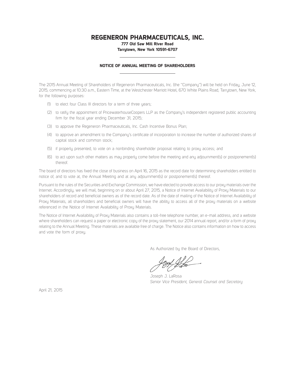### **REGENERON PHARMACEUTICALS, INC.**

**777 Old Saw Mill River Road Tarrytown, New York 10591-6707**

### **NOTICE OF ANNUAL MEETING OF SHAREHOLDERS**

The 2015 Annual Meeting of Shareholders of Regeneron Pharmaceuticals, Inc. (the ''Company'') will be held on Friday, June 12, 2015, commencing at 10:30 a.m., Eastern Time, at the Westchester Marriott Hotel, 670 White Plains Road, Tarrytown, New York, for the following purposes:

- (1) to elect four Class III directors for a term of three years;
- (2) to ratify the appointment of PricewaterhouseCoopers LLP as the Company's independent registered public accounting firm for the fiscal year ending December 31, 2015;
- (3) to approve the Regeneron Pharmaceuticals, Inc. Cash Incentive Bonus Plan;
- (4) to approve an amendment to the Company's certificate of incorporation to increase the number of authorized shares of capital stock and common stock;
- (5) if properly presented, to vote on a nonbinding shareholder proposal relating to proxy access; and
- (6) to act upon such other matters as may properly come before the meeting and any adjournment(s) or postponement(s) thereof.

The board of directors has fixed the close of business on April 16, 2015 as the record date for determining shareholders entitled to notice of, and to vote at, the Annual Meeting and at any adjournment(s) or postponement(s) thereof.

Pursuant to the rules of the Securities and Exchange Commission, we have elected to provide access to our proxy materials over the Internet. Accordingly, we will mail, beginning on or about April 27, 2015, a Notice of Internet Availability of Proxy Materials to our shareholders of record and beneficial owners as of the record date. As of the date of mailing of the Notice of Internet Availability of Proxy Materials, all shareholders and beneficial owners will have the ability to access all of the proxy materials on a website referenced in the Notice of Internet Availability of Proxy Materials.

The Notice of Internet Availability of Proxy Materials also contains a toll-free telephone number, an e-mail address, and a website where shareholders can request a paper or electronic copy of the proxy statement, our 2014 annual report, and/or a form of proxy relating to the Annual Meeting. These materials are available free of charge. The Notice also contains information on how to access and vote the form of proxy.

As Authorized by the Board of Directors,

Joy Spo

Joseph J. LaRosa *Senior Vice President, General Counsel and Secretary*

April 21, 2015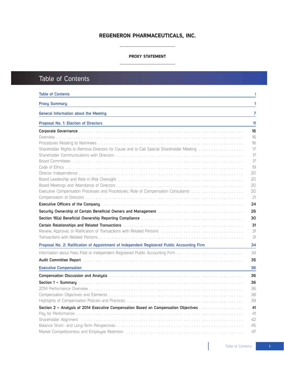# **REGENERON PHARMACEUTICALS, INC.**

### **PROXY STATEMENT**

# Table of Contents

| <b>Table of Contents</b>                                                                                                                                                                                                       | ÷              |
|--------------------------------------------------------------------------------------------------------------------------------------------------------------------------------------------------------------------------------|----------------|
| <b>Proxy Summary</b>                                                                                                                                                                                                           | 1              |
| General Information about the Meeting                                                                                                                                                                                          | $\overline{7}$ |
| Proposal No. 1: Election of Directors                                                                                                                                                                                          | 11             |
|                                                                                                                                                                                                                                | 16             |
|                                                                                                                                                                                                                                | 16             |
|                                                                                                                                                                                                                                | 16             |
| Shareholder Rights to Remove Directors for Cause and to Call Special Shareholder Meeting                                                                                                                                       | 17             |
|                                                                                                                                                                                                                                | 17             |
|                                                                                                                                                                                                                                | 17             |
|                                                                                                                                                                                                                                | 19             |
|                                                                                                                                                                                                                                | 20             |
| Board Leadership and Role in Risk Oversight (and accommodation of the control of the Core of the Core of the C                                                                                                                 | 20             |
|                                                                                                                                                                                                                                | 20             |
| Executive Compensation Processes and Procedures; Role of Compensation Consultants                                                                                                                                              | 20<br>21       |
|                                                                                                                                                                                                                                |                |
|                                                                                                                                                                                                                                | 24             |
| Security Ownership of Certain Beneficial Owners and Management [11] [11] Security Ownership of Certain Beneficial Owners and Management [11] Juneau Andrew Pressure and Analyze Security And Security Analyze Security Analyze | 26             |
|                                                                                                                                                                                                                                | 30             |
| Certain Relationships and Related Transactions (and accommodation of the contract of the contract of the contract of the contract of the contract of the contract of the contract of the contract of the contract of the contr | 31             |
|                                                                                                                                                                                                                                | 31             |
|                                                                                                                                                                                                                                | 31             |
| Proposal No. 2: Ratification of Appointment of Independent Registered Public Accounting Firm                                                                                                                                   | 34             |
|                                                                                                                                                                                                                                | 34             |
|                                                                                                                                                                                                                                | 35             |
| <b>Executive Compensation</b><br><u> 1989 - Johann Stoff, amerikansk politiker (* 1908)</u>                                                                                                                                    | 36             |
|                                                                                                                                                                                                                                | 36             |
|                                                                                                                                                                                                                                | 36             |
|                                                                                                                                                                                                                                | 36             |
|                                                                                                                                                                                                                                | 38             |
|                                                                                                                                                                                                                                | 39             |
|                                                                                                                                                                                                                                | 41             |
|                                                                                                                                                                                                                                | 41             |
| Shareholder Alignment (and account account of the control of the control of the control of the control of the c                                                                                                                | 42             |
|                                                                                                                                                                                                                                | 45             |
| Market Competitiveness and Employee Retention (and accommodation of the control of the Retention of Arthur Comp                                                                                                                | 47             |

18FEB201522184560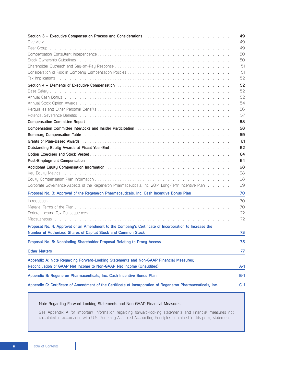| 49<br>49<br>50<br>50<br>51<br>51<br>52<br>52<br>Section 4 – Elements of Executive Compensation entertainment and the section of the section of the section of<br>52<br>52<br>54<br>56<br>57<br>Potential Severance Benefits (and accommodation of the contract of the contract of the contract of the contract of the contract of the contract of the contract of the contract of the contract of the contract of the contrac<br>58<br>58<br>59<br>Grants of Plan-Based Awards (and account of the contract of the contract of the contract of the contract of the<br>61<br>62<br>64<br>64<br>Post-Employment Compensation (1999) (1999) (1999) (1999) (1999) (1999) (1999) (1999) (1999) (1999) (1999) (1999) (1999) (1999) (1999) (1999) (1999) (1999) (1999) (1999) (1999) (1999) (1999) (1999) (1999) (1999) (1999) (199<br>Additional Equity Compensation Information (and accompany of the control of the control of the control of the control of the control of the control of the control of the control of the control of the control of the control<br>68<br>68<br>68<br>Corporate Governance Aspects of the Regeneron Pharmaceuticals, Inc. 2014 Long-Term Incentive Plan<br>69<br>Proposal No. 3: Approval of the Regeneron Pharmaceuticals, Inc. Cash Incentive Bonus Plan<br>70<br>70<br>70<br>72<br>72<br>Proposal No. 4: Approval of an Amendment to the Company's Certificate of Incorporation to Increase the<br>Number of Authorized Shares of Capital Stock and Common Stock<br>73<br>Proposal No. 5: Nonbinding Shareholder Proposal Relating to Proxy Access<br>75<br><b>Other Matters</b><br>77<br>Appendix A: Note Regarding Forward-Looking Statements and Non-GAAP Financial Measures;<br>Reconciliation of GAAP Net Income to Non-GAAP Net Income (Unaudited)<br>$A-1$<br>Appendix B: Regeneron Pharmaceuticals, Inc. Cash Incentive Bonus Plan<br>$B-1$ | Section 3 - Executive Compensation Process and Considerations Active Activities and Activities and Section 1 | 49    |
|--------------------------------------------------------------------------------------------------------------------------------------------------------------------------------------------------------------------------------------------------------------------------------------------------------------------------------------------------------------------------------------------------------------------------------------------------------------------------------------------------------------------------------------------------------------------------------------------------------------------------------------------------------------------------------------------------------------------------------------------------------------------------------------------------------------------------------------------------------------------------------------------------------------------------------------------------------------------------------------------------------------------------------------------------------------------------------------------------------------------------------------------------------------------------------------------------------------------------------------------------------------------------------------------------------------------------------------------------------------------------------------------------------------------------------------------------------------------------------------------------------------------------------------------------------------------------------------------------------------------------------------------------------------------------------------------------------------------------------------------------------------------------------------------------------------------------------------------------------------------------------------|--------------------------------------------------------------------------------------------------------------|-------|
|                                                                                                                                                                                                                                                                                                                                                                                                                                                                                                                                                                                                                                                                                                                                                                                                                                                                                                                                                                                                                                                                                                                                                                                                                                                                                                                                                                                                                                                                                                                                                                                                                                                                                                                                                                                                                                                                                      |                                                                                                              |       |
|                                                                                                                                                                                                                                                                                                                                                                                                                                                                                                                                                                                                                                                                                                                                                                                                                                                                                                                                                                                                                                                                                                                                                                                                                                                                                                                                                                                                                                                                                                                                                                                                                                                                                                                                                                                                                                                                                      |                                                                                                              |       |
|                                                                                                                                                                                                                                                                                                                                                                                                                                                                                                                                                                                                                                                                                                                                                                                                                                                                                                                                                                                                                                                                                                                                                                                                                                                                                                                                                                                                                                                                                                                                                                                                                                                                                                                                                                                                                                                                                      |                                                                                                              |       |
|                                                                                                                                                                                                                                                                                                                                                                                                                                                                                                                                                                                                                                                                                                                                                                                                                                                                                                                                                                                                                                                                                                                                                                                                                                                                                                                                                                                                                                                                                                                                                                                                                                                                                                                                                                                                                                                                                      |                                                                                                              |       |
|                                                                                                                                                                                                                                                                                                                                                                                                                                                                                                                                                                                                                                                                                                                                                                                                                                                                                                                                                                                                                                                                                                                                                                                                                                                                                                                                                                                                                                                                                                                                                                                                                                                                                                                                                                                                                                                                                      |                                                                                                              |       |
|                                                                                                                                                                                                                                                                                                                                                                                                                                                                                                                                                                                                                                                                                                                                                                                                                                                                                                                                                                                                                                                                                                                                                                                                                                                                                                                                                                                                                                                                                                                                                                                                                                                                                                                                                                                                                                                                                      |                                                                                                              |       |
|                                                                                                                                                                                                                                                                                                                                                                                                                                                                                                                                                                                                                                                                                                                                                                                                                                                                                                                                                                                                                                                                                                                                                                                                                                                                                                                                                                                                                                                                                                                                                                                                                                                                                                                                                                                                                                                                                      |                                                                                                              |       |
|                                                                                                                                                                                                                                                                                                                                                                                                                                                                                                                                                                                                                                                                                                                                                                                                                                                                                                                                                                                                                                                                                                                                                                                                                                                                                                                                                                                                                                                                                                                                                                                                                                                                                                                                                                                                                                                                                      |                                                                                                              |       |
|                                                                                                                                                                                                                                                                                                                                                                                                                                                                                                                                                                                                                                                                                                                                                                                                                                                                                                                                                                                                                                                                                                                                                                                                                                                                                                                                                                                                                                                                                                                                                                                                                                                                                                                                                                                                                                                                                      |                                                                                                              |       |
|                                                                                                                                                                                                                                                                                                                                                                                                                                                                                                                                                                                                                                                                                                                                                                                                                                                                                                                                                                                                                                                                                                                                                                                                                                                                                                                                                                                                                                                                                                                                                                                                                                                                                                                                                                                                                                                                                      |                                                                                                              |       |
|                                                                                                                                                                                                                                                                                                                                                                                                                                                                                                                                                                                                                                                                                                                                                                                                                                                                                                                                                                                                                                                                                                                                                                                                                                                                                                                                                                                                                                                                                                                                                                                                                                                                                                                                                                                                                                                                                      |                                                                                                              |       |
|                                                                                                                                                                                                                                                                                                                                                                                                                                                                                                                                                                                                                                                                                                                                                                                                                                                                                                                                                                                                                                                                                                                                                                                                                                                                                                                                                                                                                                                                                                                                                                                                                                                                                                                                                                                                                                                                                      |                                                                                                              |       |
|                                                                                                                                                                                                                                                                                                                                                                                                                                                                                                                                                                                                                                                                                                                                                                                                                                                                                                                                                                                                                                                                                                                                                                                                                                                                                                                                                                                                                                                                                                                                                                                                                                                                                                                                                                                                                                                                                      |                                                                                                              |       |
|                                                                                                                                                                                                                                                                                                                                                                                                                                                                                                                                                                                                                                                                                                                                                                                                                                                                                                                                                                                                                                                                                                                                                                                                                                                                                                                                                                                                                                                                                                                                                                                                                                                                                                                                                                                                                                                                                      |                                                                                                              |       |
|                                                                                                                                                                                                                                                                                                                                                                                                                                                                                                                                                                                                                                                                                                                                                                                                                                                                                                                                                                                                                                                                                                                                                                                                                                                                                                                                                                                                                                                                                                                                                                                                                                                                                                                                                                                                                                                                                      |                                                                                                              |       |
|                                                                                                                                                                                                                                                                                                                                                                                                                                                                                                                                                                                                                                                                                                                                                                                                                                                                                                                                                                                                                                                                                                                                                                                                                                                                                                                                                                                                                                                                                                                                                                                                                                                                                                                                                                                                                                                                                      |                                                                                                              |       |
|                                                                                                                                                                                                                                                                                                                                                                                                                                                                                                                                                                                                                                                                                                                                                                                                                                                                                                                                                                                                                                                                                                                                                                                                                                                                                                                                                                                                                                                                                                                                                                                                                                                                                                                                                                                                                                                                                      |                                                                                                              |       |
|                                                                                                                                                                                                                                                                                                                                                                                                                                                                                                                                                                                                                                                                                                                                                                                                                                                                                                                                                                                                                                                                                                                                                                                                                                                                                                                                                                                                                                                                                                                                                                                                                                                                                                                                                                                                                                                                                      |                                                                                                              |       |
|                                                                                                                                                                                                                                                                                                                                                                                                                                                                                                                                                                                                                                                                                                                                                                                                                                                                                                                                                                                                                                                                                                                                                                                                                                                                                                                                                                                                                                                                                                                                                                                                                                                                                                                                                                                                                                                                                      |                                                                                                              |       |
|                                                                                                                                                                                                                                                                                                                                                                                                                                                                                                                                                                                                                                                                                                                                                                                                                                                                                                                                                                                                                                                                                                                                                                                                                                                                                                                                                                                                                                                                                                                                                                                                                                                                                                                                                                                                                                                                                      |                                                                                                              |       |
|                                                                                                                                                                                                                                                                                                                                                                                                                                                                                                                                                                                                                                                                                                                                                                                                                                                                                                                                                                                                                                                                                                                                                                                                                                                                                                                                                                                                                                                                                                                                                                                                                                                                                                                                                                                                                                                                                      |                                                                                                              |       |
|                                                                                                                                                                                                                                                                                                                                                                                                                                                                                                                                                                                                                                                                                                                                                                                                                                                                                                                                                                                                                                                                                                                                                                                                                                                                                                                                                                                                                                                                                                                                                                                                                                                                                                                                                                                                                                                                                      |                                                                                                              |       |
|                                                                                                                                                                                                                                                                                                                                                                                                                                                                                                                                                                                                                                                                                                                                                                                                                                                                                                                                                                                                                                                                                                                                                                                                                                                                                                                                                                                                                                                                                                                                                                                                                                                                                                                                                                                                                                                                                      |                                                                                                              |       |
|                                                                                                                                                                                                                                                                                                                                                                                                                                                                                                                                                                                                                                                                                                                                                                                                                                                                                                                                                                                                                                                                                                                                                                                                                                                                                                                                                                                                                                                                                                                                                                                                                                                                                                                                                                                                                                                                                      |                                                                                                              |       |
|                                                                                                                                                                                                                                                                                                                                                                                                                                                                                                                                                                                                                                                                                                                                                                                                                                                                                                                                                                                                                                                                                                                                                                                                                                                                                                                                                                                                                                                                                                                                                                                                                                                                                                                                                                                                                                                                                      |                                                                                                              |       |
|                                                                                                                                                                                                                                                                                                                                                                                                                                                                                                                                                                                                                                                                                                                                                                                                                                                                                                                                                                                                                                                                                                                                                                                                                                                                                                                                                                                                                                                                                                                                                                                                                                                                                                                                                                                                                                                                                      |                                                                                                              |       |
|                                                                                                                                                                                                                                                                                                                                                                                                                                                                                                                                                                                                                                                                                                                                                                                                                                                                                                                                                                                                                                                                                                                                                                                                                                                                                                                                                                                                                                                                                                                                                                                                                                                                                                                                                                                                                                                                                      |                                                                                                              |       |
|                                                                                                                                                                                                                                                                                                                                                                                                                                                                                                                                                                                                                                                                                                                                                                                                                                                                                                                                                                                                                                                                                                                                                                                                                                                                                                                                                                                                                                                                                                                                                                                                                                                                                                                                                                                                                                                                                      |                                                                                                              |       |
|                                                                                                                                                                                                                                                                                                                                                                                                                                                                                                                                                                                                                                                                                                                                                                                                                                                                                                                                                                                                                                                                                                                                                                                                                                                                                                                                                                                                                                                                                                                                                                                                                                                                                                                                                                                                                                                                                      |                                                                                                              |       |
|                                                                                                                                                                                                                                                                                                                                                                                                                                                                                                                                                                                                                                                                                                                                                                                                                                                                                                                                                                                                                                                                                                                                                                                                                                                                                                                                                                                                                                                                                                                                                                                                                                                                                                                                                                                                                                                                                      |                                                                                                              |       |
|                                                                                                                                                                                                                                                                                                                                                                                                                                                                                                                                                                                                                                                                                                                                                                                                                                                                                                                                                                                                                                                                                                                                                                                                                                                                                                                                                                                                                                                                                                                                                                                                                                                                                                                                                                                                                                                                                      |                                                                                                              |       |
|                                                                                                                                                                                                                                                                                                                                                                                                                                                                                                                                                                                                                                                                                                                                                                                                                                                                                                                                                                                                                                                                                                                                                                                                                                                                                                                                                                                                                                                                                                                                                                                                                                                                                                                                                                                                                                                                                      |                                                                                                              |       |
|                                                                                                                                                                                                                                                                                                                                                                                                                                                                                                                                                                                                                                                                                                                                                                                                                                                                                                                                                                                                                                                                                                                                                                                                                                                                                                                                                                                                                                                                                                                                                                                                                                                                                                                                                                                                                                                                                      |                                                                                                              |       |
|                                                                                                                                                                                                                                                                                                                                                                                                                                                                                                                                                                                                                                                                                                                                                                                                                                                                                                                                                                                                                                                                                                                                                                                                                                                                                                                                                                                                                                                                                                                                                                                                                                                                                                                                                                                                                                                                                      |                                                                                                              |       |
|                                                                                                                                                                                                                                                                                                                                                                                                                                                                                                                                                                                                                                                                                                                                                                                                                                                                                                                                                                                                                                                                                                                                                                                                                                                                                                                                                                                                                                                                                                                                                                                                                                                                                                                                                                                                                                                                                      |                                                                                                              |       |
|                                                                                                                                                                                                                                                                                                                                                                                                                                                                                                                                                                                                                                                                                                                                                                                                                                                                                                                                                                                                                                                                                                                                                                                                                                                                                                                                                                                                                                                                                                                                                                                                                                                                                                                                                                                                                                                                                      |                                                                                                              |       |
|                                                                                                                                                                                                                                                                                                                                                                                                                                                                                                                                                                                                                                                                                                                                                                                                                                                                                                                                                                                                                                                                                                                                                                                                                                                                                                                                                                                                                                                                                                                                                                                                                                                                                                                                                                                                                                                                                      | Appendix C: Certificate of Amendment of the Certificate of Incorporation of Regeneron Pharmaceuticals, Inc.  | $C-1$ |

### Note Regarding Forward-Looking Statements and Non-GAAP Financial Measures

See Appendix A for important information regarding forward-looking statements and financial measures not calculated in accordance with U.S. Generally Accepted Accounting Principles contained in this proxy statement.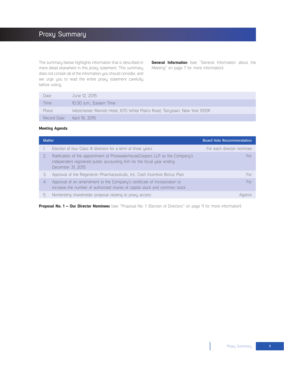# Proxy Summary

more detail elsewhere in this proxy statement. This summary Meeting" on page 7 for more information) does not contain all of the information you should consider, and we urge you to read the entire proxy statement carefully before voting.

The summary below highlights information that is described in **General Information** (see ''General Information about the

18FEB201522184560

| Date:        | June 12, 2015                                                                |
|--------------|------------------------------------------------------------------------------|
| Time         | 10:30 a.m., Eastern Time                                                     |
| Place:       | Westchester Marriott Hotel, 670 White Plains Road, Tarrytown, New York 10591 |
| Record Date: | April 16, 2015                                                               |

### **Meeting Agenda**

| <b>Matter</b> |                                                                                                                                                                                 | <b>Board Vote Recommendation</b> |
|---------------|---------------------------------------------------------------------------------------------------------------------------------------------------------------------------------|----------------------------------|
|               | Election of four Class III directors for a term of three years                                                                                                                  | For each director nominee        |
|               | Ratification of the appointment of PricewaterhouseCoopers LLP as the Company's<br>independent registered public accounting firm for the fiscal year ending<br>December 31, 2015 | For                              |
| 3.            | Approval of the Regeneron Pharmaceuticals, Inc. Cash Incentive Bonus Plan                                                                                                       | For                              |
| 4.            | Approval of an amendment to the Company's certificate of incorporation to<br>increase the number of authorized shares of capital stock and common stock                         | For                              |
| 5.            | Nonbinding shareholder proposal relating to proxy access                                                                                                                        | Anainst                          |

Proposal No. 1 - Our Director Nominees (see "Proposal No. 1: Election of Directors" on page 11 for more information)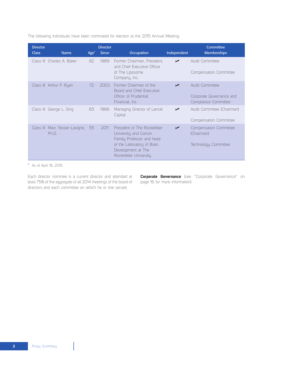The following individuals have been nominated for election at the 2015 Annual Meeting:

| <b>Director</b><br><b>Class</b> | <b>Name</b>                              | Age <sup>*</sup> | <b>Director</b><br><b>Since</b> | Occupation                                                                                                                             | Independent           | Committee<br><b>Memberships</b>                              |
|---------------------------------|------------------------------------------|------------------|---------------------------------|----------------------------------------------------------------------------------------------------------------------------------------|-----------------------|--------------------------------------------------------------|
|                                 | Class III Charles A. Baker               | 82               | 1989                            | Former Chairman, President,<br>and Chief Executive Officer<br>of The Liposome                                                          | مما                   | Audit Committee<br>Compensation Committee                    |
|                                 |                                          |                  |                                 | Company, Inc.                                                                                                                          |                       |                                                              |
|                                 | Class III Arthur F. Ryan                 | 72               | 2003                            | Former Chairman of the<br>Board and Chief Executive                                                                                    | $\blacktriangleright$ | Audit Committee                                              |
|                                 |                                          |                  |                                 | Officer of Prudential<br>Financial, Inc.                                                                                               |                       | Corporate Governance and<br>Compliance Committee             |
|                                 | Class III George L. Sing                 | 65               | 1988                            | Managing Director of Lancet<br>Capital                                                                                                 | $\sqrt{ }$            | Audit Committee (Chairman)                                   |
|                                 |                                          |                  |                                 |                                                                                                                                        |                       | Compensation Committee                                       |
|                                 | Class III Marc Tessier-Lavigne,<br>Ph.D. | 55               | 2011                            | President of The Rockefeller<br>University and Carson<br>Family Professor and head<br>of the Laboratory of Brain<br>Development at The | مما                   | Compensation Committee<br>(Chairman)<br>Technology Committee |
|                                 |                                          |                  |                                 | Rockefeller University                                                                                                                 |                       |                                                              |

As of April 16, 2015. **\***

least 75% of the aggregate of all 2014 meetings of the board of page 16 for more information) directors and each committee on which he or she served.

Each director nominee is a current director and attended at **Corporate Governance** (see ''Corporate Governance'' on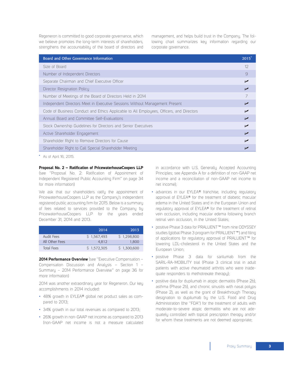Regeneron is committed to good corporate governance, which management, and helps build trust in the Company. The folwe believe promotes the long-term interests of shareholders. I lowing chart summarizes key information regarding our strengthens the accountability of the board of directors and corporate governance.

| Board and Other Governance Information                                                   | $2015*$ |
|------------------------------------------------------------------------------------------|---------|
| Size of Board                                                                            | 12      |
| Number of Independent Directors                                                          | 9       |
| Separate Chairman and Chief Executive Officer                                            | مما     |
| Director Resignation Policy                                                              | مما     |
| Number of Meetings of the Board of Directors Held in 2014                                |         |
| Independent Directors Meet in Executive Sessions Without Management Present              | مما     |
| Code of Business Conduct and Ethics Applicable to All Employees, Officers, and Directors |         |
| Annual Board and Committee Self-Evaluations                                              |         |
| Stock Ownership Guidelines for Directors and Senior Executives                           |         |
| Active Shareholder Engagement                                                            |         |
| Shareholder Right to Remove Directors for Cause                                          | حما     |
| Shareholder Right to Call Special Shareholder Meeting                                    |         |

As of April 16, 2015. **\***

# (see ''Proposal No. 2: Ratification of Appointment of Principles; see Appendix A for a definition of non-GAAP net

Independent Registered Public Accounting Firm'' on page 34 income and a reconciliation of non-GAAP net income to for more information) net income);

We ask that our shareholders ratify the appointment of December 31, 2014 and 2013. The state of the United States; in the United States;

|                | 2014        | 2013        |
|----------------|-------------|-------------|
| Audit Fees     | \$1.567.493 | \$1,298,800 |
| All Other Fees | 4.812       | 1.800       |
| Total Fees     | \$1.572.305 | \$1,300,600 |

**2014 Performance Overview** (see "Executive Compensation –<br>
Compensation Discussion and Analysis – Section 1 –<br>
SARIL-RA-MOBILITY trial (Phase 3 clinical trial in adult<br>
patients with active rheumatoid arthritis who were i

- 48% growth in EYLEA® global net product sales as com-
- 
- 26% growth in non-GAAP net income as compared to 2013

**Proposal No. 2 - Ratification of PricewaterhouseCoopers LLP** in accordance with U.S. Generally Accepted Accounting

- PricewaterhouseCoopers LLP as the Company's independent approval of EYLEA® for the treatment of diabetic macular registered public accounting firm for 2015. Below is a summary edema in the United States and in the European Union and of fees related to services provided to the Company by regulatory approval of EYLEA® for the treatment of retinal PricewaterhouseCoopers LLP for the years ended vein occlusion, including macular edema following branch • advances in our EYLEA® franchise, including regulatory
	- positive Phase 3 data for PRALUENT™ from nine ODYSSEY studies (global Phase 3 program for PRALUENT™) and filing<br>of applications for regulatory approval of PRALUENT™ for lowering LDL-cholesterol in the United States and the European Union;
	- positive Phase 3 data for sarilymab from the
- 2014 was another extraordinary year for Regeneron. Our key extraordinary the straordinary of the sequence of the straordinary of the straordinary of the straordinary of the straordinary of the straordinary of thase 2b), an 48% growth in EYLEA® global net product sales as com- designation to dupilumab by the U.S. Food and Drug<br>Administration (the "EDA") for the treatment of adults with Administration (the "FDA") for the treatment of adults with 34% growth in our total revenues as compared to 2013; moderate-to-severe atopic dermatitis who are not ade-• quately controlled with topical prescription therapy and/or 26% growth in non-GAAP net income as compared to 2013 for whom these treatments are not deemed appropriate; (non-GAAP net income is not a measure calculated • positive data for dupilumab in atopic dermatitis (Phase 2b),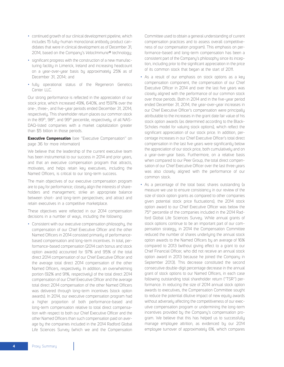- continued growth of our clinical development pipeline, which Committee used to obtain a general understanding of current includes 15 fully-human monoclonal antibody product can- compensation practices and to assess overall competitivedidates that were in clinical development as of December 31, mess of our compensation program). This emphasis on per-2014, based on the Company's *VelocImmune* technology; formance-based and long-term compensation has been a
- significant progress with the construction of a new manufac-
- 

respectively. This shareholder return places our common stock attributable to the increases in the grant date fair value of his in the 89<sup>th</sup>, 98<sup>th</sup>, and 99<sup>th</sup> percentile, respectively, of all NASin the 89th, 98th, and 99th percentile, respectively, or all NAS- stock option awards (as determined according to the Black-<br>DAQ-listed companies with a market capitalization greater scholes model for valuing stock options

page 36 for more information) compensation in the last five years were significantly below

The main objectives of our executive compensation program<br>are to pay for performance; closely align the interests of share-<br>holders and management; strike an appropriate balance<br>between short- and long-term perspectives; a

the average total direct 2014 compensation of the other compensation of our Chief Executive Officer and the average Life Sciences Survey (which we and the Compensation employee turnover of approximately 6%, which compares

significant progress with the construction of a new manufac-<br>turing facility in Limerick, Ireland and increasing headcount tion, including prior to the significant appreciation in the price<br>on a year-over-year basis by app

- December 31, 2014; and **As a result of our emphasis on stock options** as a key compensation component, the compensation of our Chief fully operational status of the Regeneron Genetics Executive Officer in 2014 and over the last five years was Center LLC. • closely aligned with the performance of our common stock Our strong performance is reflected in the appreciation of our<br>stock price, which increased 49%, 640%, and 1597% over the<br>one-, three-, and five-year periods ended December 31, 2014,<br>our Chief Executive Officer's component our-Chief Executive-Officer's compensation were principally DAQ-listed companies with a market capitalization greater Scholes model for valuing stock options), which reflect the than \$5 billion in those periods. significant appreciation of our stock price. In addition, per-**Executive Compensation** (see "Executive Compensation" on centage increases in our Chief Executive Officer's total direct We believe that the leadership of the current executive team<br>has been instrumental to our success in 2014 and prior years,<br>and that an executive compensation program that attracts,<br>motivates, and helps retain key executive
- These objectives were reflected in our 2014 compensation  $75<sup>th</sup>$  percentile of the companies included in the 2014 Rad-<br>decisions in a number of ways, including the following:<br>ford Global Life Sciences Survey, Mbile ap ford Global Life Sciences Survey. While annual grants of Consistent with our executive compensation philosophy, the stock options continue to be an important part of our com-• compensation of our Chief Executive Officer and the other pensation strategy, in 2014 the Compensation Committee Named Officers in 2014 consisted primarily of performance- reduced the number of shares underlying the annual stock based compensation and long-term incentives. In total, per- option awards to the Named Officers by an average of 16% formance-based compensation (2014 cash bonus and stock compared to 2013 (without giving effect to a grant to our option awards) accounted for 97% and 95% of the total Chief Financial Officer, who did not receive an annual stock direct 2014 compensation of our Chief Executive Officer and option award in 2013 because he joined the Company in the average total direct 2014 compensation of the other September 2013). This decrease constituted the secon Named Officers, respectively. In addition, an overwhelming consecutive double-digit percentage decrease in the annual portion (92% and 91%, respectively) of the total direct 2014 grant of stock options to our Named Officers, in each case total direct 2014 compensation of the other Named Officers formance. In reducing the size of 2014 annual stock option was delivered through long-term incentives (stock option awards to executives, the Compensation Committee sought awards). In 2014, our executive compensation program had to reduce the potential dilutive impact of new equity awards a higher proportion of both performance-based and without adversely affecting the competitiveness of our execlong-term compensation relative to total direct compensa- utive compensation program or undermining the long-term tion with respect to both our Chief Executive Officer and the incentives provided by the Company's compensation proother Named Officers than such compensation paid on aver- gram. We believe that this has helped us to successfully age by the companies included in the 2014 Radford Global manage employee attrition, as evidenced by our 2014 • As a percentage of the total basic shares outstanding (a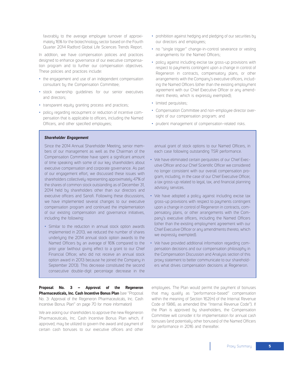mately 16% for the biotechnology sector based on the Fourth our directors and employees;

In addition, we have compensation policies and practices arrangements for the Named Officers; designed to enhance governance of our executive compensa-<br>tion program and to further our compensation objectives.<br>These policies and practices include:<br>Regeneron in contracts, compensatory plans, or other

- the engagement and use of an independent compensation
- agreement with our Chief Executive Officer or any amend- stock ownership guidelines for our senior executives ment thereto, which is expressly exempted); and directors; •
- transparent equity granting process and practices; • limited perquisites;
- policy regarding recoupment or reduction of incentive com-
- favorably to the average employee turnover of approxi- prohibition against hedging and pledging of our securities by
- Quarter 2014 Radford Global Life Sciences Trends Report. no "single trigger" change-in-control severance or vesting
- arrangements with the Company's executive officers, includconsultant by the Compensation Committee; including the Named Officers (other than the existing employment • policy against including excise tax gross-up provisions with
	-
- policy regarding recoupment or reduction of incentive com-  $\bullet$  Compensation Committee and non-employee director over-<br>pensation that is applicable to officers, including the Named sight of our compensation program; and
- Officers, and other specified employees; entitled to the prudent management of compensation-related risks.

### *Shareholder Engagement*

bers of our management as well as the Chairman of the each case following outstanding TSR performance. Compensation Committee have spent a significant amount<br>of time speaking with some of our key shareholders about<br>executive compensation and corporate governance. As part<br>of our engagement effort, we discussed these issues w executive officers and Sanofi. Following these discussions, we have implemented several changes to our executive gross-up provisions with respect to payments contingent compensation program and continued the implementation upon a change in control of Regeneron in contracts, comof our existing compensation and governance initiatives, pensatory plans, or other arrangements with the Comincluding the following: pany's executive officers, including the Named Officers

Named Officers by an average of 16% compared to the  $\cdot$  We have provided additional information regarding comconsecutive double-digit percentage decrease in the • Similar to the reduction in annual stock option awards

Since the 2014 Annual Shareholder Meeting, senior mem- annual grant of stock options to our Named Officers, in

- We have eliminated certain perquisites of our Chief Exec-
- Similar to the reduction in annual stock option awards<br>implemented in 2013, we reduced the number of shares<br>underlying the 2014 annual stock option awards to the we expressly exempted). • We have adopted a policy against including excise tax
- prior year (without giving effect to a grant to our Chief pensation decisions and our compensation philosophy in Financial Officer, who did not receive an annual stock the Compensation Discussion and Analysis section of this option award in 2013 because he joined the Company in proxy statement to better communicate to our sharehold-September 2013). This decrease constituted the second ers what drives compensation decisions at Regeneron. •

**Proposal No. 3 - Approval of the Regeneron** employees. The Plan would permit the payment of bonuses

We are asking our shareholders to approve the new Regeneron<br>
Pharmaceuticals, Inc. Cash Incentive Bonus Plan which, if<br>
approved, may be utilized to govern the award and payment of<br>
certain cash bonuses to our executive of

**Pharmaceuticals, Inc. Cash Incentive Bonus Plan** (see "Proposal that may qualify as "performance-based" compensation No. 3: Approval of the Regeneron Pharmaceuticals, Inc. Cash within the meaning of Section 162(m) of the Internal Revenue Incentive Bonus Plan'' on page 70 for more information) Code of 1986, as amended (the ''Internal Revenue Code''). If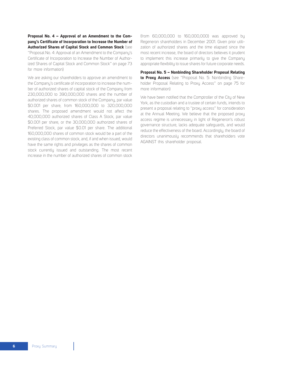**Proposal No. 4 – Approval of an Amendment to the Com-** (from 60,000,000 to 160,000,000) was approved by **pany's Certificate of Incorporation to Increase the Number of** Regeneron shareholders in December 2001. Given prior utili-**Authorized Shares of Capital Stock and Common Stock** (see zation of authorized shares and the time elapsed since the ''Proposal No. 4: Approval of an Amendment to the Company's most recent increase, the board of directors believes it prudent Certificate of Incorporation to Increase the Number of Author- to implement this increase primarily to give the Company ized Shares of Capital Stock and Common Stock" on page 73 appropriate flexibility to issue shares for future corporate needs. for more information) **Proposal No. 5 – Nonbinding Shareholder Proposal Relating**

the Company's certificate of incorporation to increase the num- holder Proposal Relating to Proxy Access'' on page 75 for ber of authorized shares of capital stock of the Company from more information) 230,000,000 to 390,000,000 shares and the number of<br>
\$0.001 per shares of common stock of the Company, par value<br>
\$0.001 per share, from 160,000,000 to 320,000,000<br>
Shares. The proposed amendment would not affect the<br>
40,0 stock currently issued and outstanding. The most recent increase in the number of authorized shares of common stock

We are asking our shareholders to approve an amendment to **to Proxy Access** (see ''Proposal No. 5: Nonbinding Share-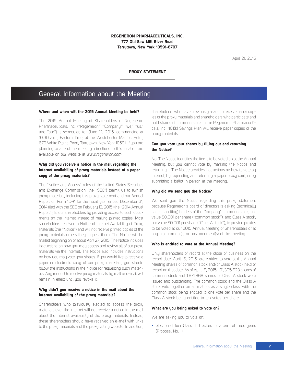### **REGENERON PHARMACEUTICALS, INC. 777 Old Saw Mill River Road Tarrytown, New York 10591-6707**

April 21, 2015

18FEB201522184560

### **PROXY STATEMENT**

# General Information about the Meeting

### Where and when will the 2015 Annual Meeting be held? shareholders who have previously asked to receive paper cop-

The 2015 Annual Meeting of Shareholders of Regeneron<br>Pharmaceuticals, Inc. ("Regeneron," "Company," "we," "us,"<br>and "our") is scheduled for June 12, 2015, commencing at<br>10:30 a.m., Eastern Time, at the Westchester Marriott 670 White Plains Road, Tarrytown, New York 10591. If you are **Can you vote your shares by filling out and returning** planning to attend the meeting, directions to this location are **the Notice?** available on our website at *www.regeneron.com*.

and Exchange Commission (the ''SEC'') permit us to furnish **Why did we send you the Notice?** proxy materials, including this proxy statement and our Annual Report on Form 10-K for the fiscal year ended December 31, We sent you the Notice regarding this proxy statement<br>2014 filed with the SEC on February 12, 2015 (the "2014 Annual because Regeneron's board of directors is aski 2014 filed with the SEC on February 12, 2015 (the ''2014 Annual because Regeneron's board of directors is asking (technically Report''), to our shareholders by providing access to such docu- called soliciting) holders of the Company's common stock, par ments on the Internet instead of mailing printed copies. Most value \$0.001 per share (''common stock''), and Class A stock, shareholders received a Notice of Internet Availability of Proxy par value \$0.001 per share (''Class A stock''), to provide proxies<br>Materials (the ''Notice'') and will not receive printed conjes of the to be voted at our 2 Materials (the "Notice") and will not receive printed copies of the to be voted at our 2015 Annual Meeting of Shareholders<br>The Notice will be any adjournment(s) or postponement(s) of the meeting. proxy materials unless they request them. The Notice will be mailed beginning on or about April 27, 2015. The Notice includes **Who is entitled to vote at the Annual Meeting?** instructions on how you may access and review all of our proxy materials via the Internet. The Notice also includes instructions<br>on how you may vote your shares. If you would like to receive a<br>paper or electronic copy of our proxy materials, you should<br>follow the instructions in the N als. Any request to receive proxy materials by mail or e-mail will common stock and 1,971,868 shares of Class A stock were<br>
remain in effect until you revoke it.

Shareholders who previously elected to access the proxy **What are you being asked to vote on?** materials over the Internet will not receive a notice in the mail about the Internet availability of the proxy materials. Instead, we are asking you to vote on:<br>these shareholders should have received an e-mail with links to the proxy materials and the proxy voting website. In addition,

No. The Notice identifies the items to be voted on at the Annual Why did you receive a notice in the mail regarding the Meeting, but you cannot vote by marking the Notice and **Internet availability of proxy materials instead of a paper** returning it. The Notice provides instructions on how to vote by **copy of the proxy materials? Internet, by requesting and returning a paper proxy card, or by requesting and returning a paper proxy card, or by** submitting a ballot in person at the meeting. The ''Notice and Access'' rules of the United States Securities

issued and outstanding. The common stock and the Class A Why didn't you receive a notice in the mail about the stock vote together on all matters as a single class, with the<br> **Internet availability of the proxy materials?**<br>
Class A stock being entitled to ten votes per share.

(Proposal No. 1); • election of four Class III directors for a term of three years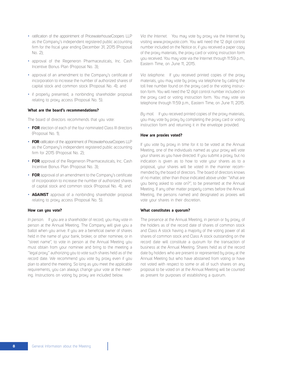- ratification of the appointment of PricewaterhouseCoopers LLP
- you received. You may vote via the Internet through 11:59 p.m., approval of the Regeneron Pharmaceuticals, Inc. Cash Eastern Time, on June 11, 2015. Incentive Bonus Plan (Proposal No. 3); •
- approval of an amendment to the Company's certificate of
- if properly presented, a nonbinding shareholder proposal

### **What are the board's recommendations?**

- instruction form and returning it in the envelope provided. **FOR** election of each of the four nominated Class III directors (Proposal No. 1); **How are proxies voted?**
- FOR ratification of the appointment of PricewaterhouseCoopers LLP
- FOR approval of the Regeneron Pharmaceuticals, Inc. Cash
- FOR approval of an amendment to the Company's certificate
- relating to proxy access (Proposal No. 5). vote your shares in their discretion. • **AGAINST** approval of a nonbinding shareholder proposal

In person. If you are a shareholder of record, you may vote in The presence at the Annual Meeting, in person or by proxy, of person at the Annual Meeting. The Company will give you a the holders as of the record date of shares of common stock ballot when you arrive. If you are a beneficial owner of shares and Class A stock having a majority of the voting power of all held in the name of your bank, broker, or other nominee, or in shares of common stock and Class A stock outstanding on the ''street name'', to vote in person at the Annual Meeting you record date will constitute a quorum for the transaction of must obtain from your nominee and bring to the meeting a business at the Annual Meeting. Shares held as of the record ''legal proxy'' authorizing you to vote such shares held as of the date by holders who are present or represented by proxy at the record date. We recommend you vote by proxy even if you Annual Meeting but who have abstained from voting or have plan to attend the meeting. So long as you meet the applicable not voted with respect to some or all of such shares on any requirements, you can always change your vote at the meet- proposal to be voted on at the Annual Meeting will be counted ing. Instructions on voting by proxy are included below. as present for purposes of establishing a quorum.

Via the Internet. You may vote by proxy via the Internet by as the Company's independent registered public accounting visiting *www.proxyvote.com.* You will need the 12 digit control firm for the fiscal year ending December 31, 2015 (Proposal number included on the Notice or, if you received a paper copy No. 2); https://www.materials.jp/solid proxy materials, the proxy card or voting instruction form

Via telephone. If you received printed copies of the proxy incorporation to increase the number of authorized shares of materials, you may vote by proxy via telephone by calling the capital stock and common stock (Proposal No. 4); and toll free number found on the proxy card or the voting instrucif properly presented, a nonbinding shareholder proposal tion form. You will need the 12 digit control number<br>relating to proxy access (Proposal No. 5). the proxy card or voting instruction form. You may vote via<br>telephone

*By mail.* If you received printed copies of the proxy materials, The board of directors recommends that you vote: you may vote by proxy by completing the proxy card or voting

as the Company's independent registered public accounting the set of the individuals named as your proxy will<br>firm for 2015 (Proposal No. 2);<br>qour shares as you have directed. If you submit a proxy, but no indication is given as to how to vote your shares as to a Incentive Bonus Plan (Proposal No. 3); example and the proposal, your shares will be voted in the manner recom-**FOR** approval of an amendment to the Company's certificate of incorporation to increase the number of authorized shares of incorporation to increase the number of authorized shares of capital stock and common stock (Propo Meeting, the persons named and designated as proxies will

### **How can you vote? What constitutes a quorum?**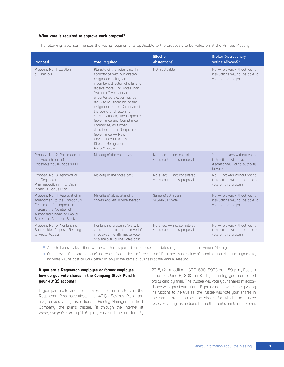### **What vote is required to approve each proposal?**

The following table summarizes the voting requirements applicable to the proposals to be voted on at the Annual Meeting:

| Proposal                                                                                                                                                                                                                                                                                                                                                                                                                                                                                                                                                                             | <b>Vote Required</b>                                                                                                                   | <b>Effect</b> of<br>Abstentions <sup>*</sup>                | <b>Broker Discretionary</b><br>Voting Allowed?+                                                     |
|--------------------------------------------------------------------------------------------------------------------------------------------------------------------------------------------------------------------------------------------------------------------------------------------------------------------------------------------------------------------------------------------------------------------------------------------------------------------------------------------------------------------------------------------------------------------------------------|----------------------------------------------------------------------------------------------------------------------------------------|-------------------------------------------------------------|-----------------------------------------------------------------------------------------------------|
| Proposal No. 1: Election<br>Plurality of the votes cast. In<br>accordance with our director<br>of Directors<br>resignation policy, an<br>incumbent director who fails to<br>receive more "for" votes than<br>"withhold" votes in an<br>uncontested election will be<br>required to tender his or her<br>resignation to the Chairman of<br>the board of directors for<br>consideration by the Corporate<br>Governance and Compliance<br>Committee, as further<br>described under "Corporate<br>Governance - New<br>Governance Initiatives -<br>Director Resignation<br>Policy" below. |                                                                                                                                        | Not applicable                                              | $No$ — brokers without voting<br>instructions will not be able to<br>vote on this proposal          |
| Proposal No. 2: Ratification of<br>the Appointment of<br>PricewaterhouseCoopers LLP                                                                                                                                                                                                                                                                                                                                                                                                                                                                                                  | Majority of the votes cast                                                                                                             | No effect $-$ not considered<br>votes cast on this proposal | Yes - brokers without voting<br>instructions will have<br>discretionary voting authority<br>to vote |
| Proposal No. 3: Approval of<br>the Regeneron<br>Pharmaceuticals, Inc. Cash<br>Incentive Bonus Plan                                                                                                                                                                                                                                                                                                                                                                                                                                                                                   | Majority of the votes cast                                                                                                             | No effect - not considered<br>votes cast on this proposal   | $No$ — brokers without voting<br>instructions will not be able to<br>vote on this proposal          |
| Proposal No. 4: Approval of an<br>Amendment to the Company's<br>Certificate of Incorporation to<br>Increase the Number of<br>Authorized Shares of Capital<br>Stock and Common Stock                                                                                                                                                                                                                                                                                                                                                                                                  | Majority of all outstanding<br>shares entitled to vote thereon                                                                         | Same effect as an<br>"AGAINST" vote                         | $No$ — brokers without voting<br>instructions will not be able to<br>vote on this proposal          |
| Proposal No. 5: Nonbinding<br>Shareholder Proposal Relating<br>to Proxy Access                                                                                                                                                                                                                                                                                                                                                                                                                                                                                                       | Nonbinding proposal. We will<br>consider the matter approved if<br>it receives the affirmative vote<br>of a majority of the votes cast | No effect $-$ not considered<br>votes cast on this proposal | $No$ — brokers without voting<br>instructions will not be able to<br>vote on this proposal          |

As noted above, abstentions will be counted as present for purposes of establishing a quorum at the Annual Meeting. **\***

Only relevant if you are the beneficial owner of shares held in ''street name.'' If you are a shareholder of record and you do not cast your vote, **+** no votes will be cast on your behalf on any of the items of business at the Annual Meeting.

may provide voting instructions to Fidelity Management Trust receives voting instructions from other participants in the plan.<br>Company, the plan's trustee, (1) through the Internet at *www.proxyvote.com* by 11:59 p.m., Eastern Time, on June 9,

**If you are a Regeneron employee or former employee,** 2015, (2) by calling 1-800-690-6903 by 11:59 p.m., Eastern **how do you vote shares in the Company Stock Fund in** Time, on June 9, 2015, or (3) by returning your completed **your 401(k) account? proxy card by mail. The trustee will vote your shares in accor-**If you participate and hold shares of common stock in the<br>Regeneron Pharmaceuticals, Inc. 401(k) Savings Plan, you<br>may provide voting instructions to Fidelity Management Trust<br>may provide voting instructions to Fidelity Ma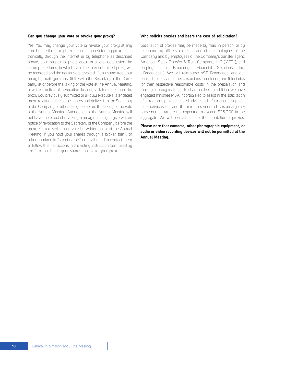time before the proxy is exercised. If you voted by proxy elec- telephone by officers, directors, and other employees of the tronically through the Internet or by telephone as described Company and by employees of the Company's transfer agent, above, you may simply vote again at a later date using the American Stock Transfer & Trust Company, LLC (''AST''), and same procedures, in which case the later submitted proxy will employees of Broadridge Financial Solutions, Inc. be recorded and the earlier vote revoked. If you submitted your (''Broadridge''). We will reimburse AST, Broadridge, and our proxy by mail, you must (i) file with the Secretary of the Com- banks, brokers, and other custodians, nominees, and fiduciaries pany, at or before the taking of the vote at the Annual Meeting, for their respective reasonable costs in the preparation and a written notice of revocation bearing a later date than the mailing of proxy materials to shareholders. In addition, we have proxy you previously submitted or (ii) duly execute a later dated engaged Innisfree M&A Incorporated to assist in the solicitation proxy relating to the same shares and deliver it to the Secretary of proxies and provide related advice and informational support, of the Company or other designee before the taking of the vote for a services fee and the reimbursement of customary disat the Annual Meeting. Attendance at the Annual Meeting will bursements that are not expected to exceed \$25,000 in the not have the effect of revoking a proxy unless you give written aggregate. We will bear all costs of the solicitation of proxies. notice of revocation to the Secretary of the Company before the<br>proxy is exercised or you vote by written ballot at the Annual<br>Meeting. If you hold your shares through a broker, bank, or<br>other nominee in "street name," you or follow the instructions in the voting instruction form used by the firm that holds your shares to revoke your proxy.

### **Can you change your vote or revoke your proxy? Who solicits proxies and bears the cost of solicitation?**

Yes. You may change your vote or revoke your proxy at any Solicitation of proxies may be made by mail, in person, or by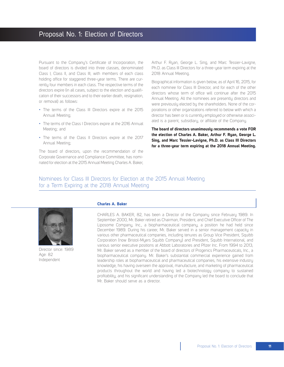# Proposal No. 1: Election of Directors

board of directors is divided into three classes, denominated Ph.D. as Class III Directors for a three-year term expiring at the Class I, Class II, and Class III, with members of each class 2018 Annual Meeting. holding office for staggered three-year terms. There are cur-<br>rently four members in each class. The respective terms of the<br>directors expire (in all cases, subject to the election and qualifi-<br>cation of their successors a

- The terms of the Class III Directors expire at the 2015
- ated is a parent, subsidiary, or affiliate of the Company. The terms of the Class I Directors expire at the 2016 Annual •
- 

The board of directors, upon the recommendation of the Corporate Governance and Compliance Committee, has nominated for election at the 2015 Annual Meeting Charles A. Baker,

Pursuant to the Company's Certificate of Incorporation, the Arthur F. Ryan, George L. Sing, and Marc Tessier-Lavigne,

18FEB201522184560

porations or other organizations referred to below with which a Annual Meeting; director has been or is currently employed or otherwise associ-

Meeting; and **The board of directors unanimously recommends a vote FOR** - The terms of the Class II Directors expire at the 2017 **the election of Charles A. Baker, Arthur F. Ryan, George L.**<br>Sing, and Marc Tessier-Lavigne, Ph.D. as Class III Directors<br>for a three-year term expiring at the 2018

### Nominees for Class III Directors for Election at the 2015 Annual Meeting for a Term Expiring at the 2018 Annual Meeting



### **Charles A. Baker**

CHARLES A. BAKER, 82, has been a Director of the Company since February 1989. In September 2000, Mr. Baker retired as Chairman, President, and Chief Executive Officer of The Liposome Company, Inc., a biopharmaceutical company, a position he had held since December 1989. During his career, Mr. Baker served in a senior management capacity in various other pharmaceutical companies, including tenures as Group Vice President, Squibb Corporation (now Bristol-Myers Squibb Company) and President, Squibb International, and various senior executive positions at Abbott Laboratories and Pfizer Inc. From 1994 to 2013, Director since: 1989 Mr. Baker served as a member of the board of directors of Progenics Pharmaceuticals, Inc., a<br>Age: 82 Autobarmaceutical company Mr. Baker's substantial commercial experience gained from Age: 82 biopharmaceutical company. Mr. Baker's substantial commercial experience gained from leadership roles at biopharmaceutical and pharmaceutical companies, his extensive industry knowledge, his having overseen the approval, manufacture, and marketing of pharmaceutical products throughout the world and having led a biotechnology company to sustained profitability, and his significant understanding of the Company led the board to conclude that Mr. Baker should serve as a director.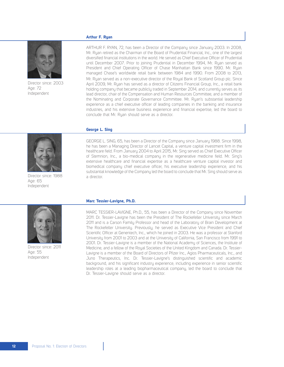### **Arthur F. Ryan**



ARTHUR F. RYAN, 72, has been a Director of the Company since January 2003. In 2008, Mr. Ryan retired as the Chairman of the Board of Prudential Financial, Inc., one of the largest diversified financial institutions in the world. He served as Chief Executive Officer of Prudential until December 2007. Prior to joining Prudential in December 1994, Mr. Ryan served as President and Chief Operating Officer of Chase Manhattan Bank since 1990. Mr. Ryan managed Chase's worldwide retail bank between 1984 and 1990. From 2008 to 2013, Mr. Ryan served as a non-executive director of the Royal Bank of Scotland Group plc. Since Director since: 2003 April 2009, Mr. Ryan has served as a director of Citizens Financial Group, Inc., a retail bank<br>Age: 72 Age: 72 holding company that became publicly traded in September 2014, and currently serves as its<br>Independent load director chair of the Compensation and Human Resources Committee, and a member of lead director, chair of the Compensation and Human Resources Committee, and a member of the Nominating and Corporate Governance Committee. Mr. Ryan's substantial leadership experience as a chief executive officer of leading companies in the banking and insurance industries, and his extensive business experience and financial expertise, led the board to conclude that Mr. Ryan should serve as a director.

### **George L. Sing**

GEORGE L. SING, 65, has been a Director of the Company since January 1988. Since 1998, he has been a Managing Director of Lancet Capital, a venture capital investment firm in the healthcare field. From January 2004 to April 2015, Mr. Sing served as Chief Executive Officer of Stemnion, Inc., a bio-medical company in the regenerative medicine field. Mr. Sing's extensive healthcare and financial expertise as a healthcare venture capital investor and biomedical company chief executive officer, his executive leadership experience, and his substantial knowledge of the Company led the board to conclude that Mr. Sing should serve as

### **Marc Tessier-Lavigne, Ph.D.**

MARC TESSIER-LAVIGNE, Ph.D., 55, has been a Director of the Company since November 2011. Dr. Tessier-Lavigne has been the President of The Rockefeller University since March 2011 and is a Carson Family Professor and head of the Laboratory of Brain Development at The Rockefeller University. Previously, he served as Executive Vice President and Chief Scientific Officer at Genentech, Inc., which he joined in 2003. He was a professor at Stanford University from 2001 to 2003 and at the University of California, San Francisco from 1991 to 2001. Dr. Tessier-Lavigne is a member of the National Academy of Sciences, the Institute of Director since: 2011 Medicine, and a fellow of the Royal Societies of the United Kingdom and Canada. Dr. Tessier-<br>Age: 55 Age: 55 Lavigne is a member of the Board of Directors of Pfizer Inc., Agios Pharmaceuticals, Inc., and Juno Therapeutics, Inc. Dr. Tessier-Lavigne's distinguished scientific and academic background, and his significant industry experience, including experience in senior scientific leadership roles at a leading biopharmaceutical company, led the board to conclude that Dr. Tessier-Lavigne should serve as a director.



Director since: 1988 a director. Age: 65 Independent

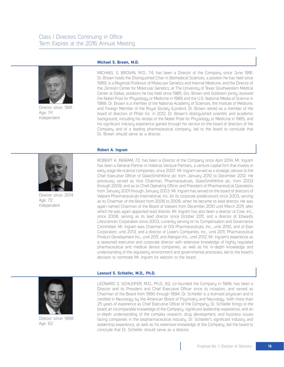

### **Michael S. Brown, M.D.**

MICHAEL S. BROWN, M.D., 74, has been a Director of the Company since June 1991. Dr. Brown holds the Distinguished Chair in Biomedical Sciences, a position he has held since 1989, is a Regental Professor of Molecular Genetics and Internal Medicine, and the Director of the Jonsson Center for Molecular Genetics, at The University of Texas Southwestern Medical Center at Dallas, positions he has held since 1985. Drs. Brown and Goldstein jointly received the Nobel Prize for Physiology or Medicine in 1985 and the U.S. National Medal of Science in 1988. Dr. Brown is a member of the National Academy of Sciences, the Institute of Medicine, Director since: 1991 and Foreign Member of the Royal Society (London). Dr. Brown retired as a member of the Royal Society (London). Dr. Brown retired as a member of the Royal Society (London). Age: 74 board of directors of Pfizer Inc. in 2012. Dr. Brown's distinguished scientific and academic background, including his receipt of the Nobel Prize for Physiology or Medicine in 1985, and his significant industry experience gained through his service on the board of directors of the Company and of a leading pharmaceutical company, led to the board to conclude that Dr. Brown should serve as a director.

### **Robert A. Ingram**



ROBERT A. INGRAM, 72, has been a Director of the Company since April 2014. Mr. Ingram has been a General Partner in Hatteras Venture Partners, a venture capital firm that invests in early stage life science companies, since 2007. Mr. Ingram served as a strategic advisor to the Chief Executive Officer of GlaxoSmithKline plc from January 2010 to December 2012. He previously served as Vice Chairman, Pharmaceuticals, GlaxoSmithKline plc, from 2003 through 2009, and as its Chief Operating Officer and President of Pharmaceutical Operations from January 2001 through January 2003. Mr. Ingram has served on the board of directors of Director since: 2014 Valeant Pharmaceuticals International, Inc. (or its corporate predecessor) since 2003, serving Age: 72 as its Chairman of the Board from 2006 to 2008, when he became its lead director. He was<br>Independent analogouse and chairman of the Board of Valeant from December 2010 until March 2011, after again named Chairman of the Board of Valeant from December 2010 until March 2011, after which he was again appointed lead director. Mr. Ingram has also been a director of Cree, Inc., since 2008, serving as its lead director since October 2011, and a director of Edwards Lifesciences Corporation since 2003, currently serving on its Compensation and Governance Committee. Mr. Ingram was Chairman of OSI Pharmaceuticals, Inc., until 2010, and of Elan Corporation, until 2013, and a director of Lowe's Companies, Inc., until 2011, Pharmaceutical Product Development Inc., until 2011, and Allergan Inc., until 2012. Mr. Ingram's experience as a seasoned executive and corporate director with extensive knowledge of highly regulated pharmaceutical and medical device companies, as well as his in-depth knowledge and understanding of the regulatory environment and governmental processes, led to the board's decision to nominate Mr. Ingram for election to the board.

### **Leonard S. Schleifer, M.D., Ph.D.**



LEONARD S. SCHLEIFER, M.D., Ph.D., 62, co-founded the Company in 1988, has been a Director and its President and Chief Executive Officer since its inception, and served as Chairman of the Board from 1990 through 1994. Dr. Schleifer is a licensed physician and is certified in Neurology by the American Board of Psychiatry and Neurology. With more than 25 years of experience as Chief Executive Officer of the Company, Dr. Schleifer brings to the board an incomparable knowledge of the Company, significant leadership experience, and an in-depth understanding of the complex research, drug development, and business issues Director since: 1988 facing companies in the biopharmaceutical industry. Dr. Schleifer's significant industry and<br>Age: 62 and the board to readership experience as well as his extensive knowledge of the Company led the boa leadership experience, as well as his extensive knowledge of the Company, led the board to conclude that Dr. Schleifer should serve as a director.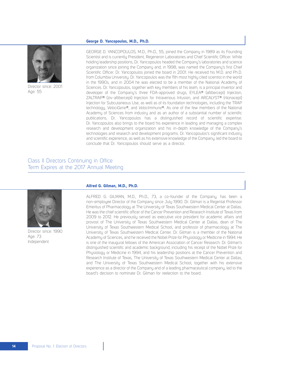### **George D. Yancopoulos, M.D., Ph.D.**



GEORGE D. YANCOPOULOS, M.D., Ph.D., 55, joined the Company in 1989 as its Founding Scientist and is currently President, Regeneron Laboratories and Chief Scientific Officer. While holding leadership positions, Dr. Yancopoulos headed the Company's laboratories and science organization since joining the Company and, in 1998, was named the Company's first Chief Scientific Officer. Dr. Yancopoulos joined the board in 2001. He received his M.D. and Ph.D. from Columbia University. Dr. Yancopoulos was the 11th most highly cited scientist in the world in the 1990s, and in 2004 he was elected to be a member of the National Academy of Director since: 2001 Sciences. Dr. Yancopoulos, together with key members of his team, is a principal inventor and<br>Age: 55 developer of the Company's three EDA-approved drugs. EVI EA® (affibercent) Injection developer of the Company's three FDA-approved drugs, EYLEA® (aflibercept) Injection, ZALTRAP<sup>®</sup> (ziv-aflibercept) Injection for Intravenous Infusion, and ARCALYST<sup>®</sup> (rilonacept) Injection for Subcutaneous Use, as well as of its foundation technologies, including the TRAP technology, *VelociGene*, and *VelocImmune*. As one of the few members of the National Academy of Sciences from industry and as an author of a substantial number of scientific publications, Dr. Yancopoulos has a distinguished record of scientific expertise. Dr. Yancopoulos also brings to the board his experience in leading and managing a complex research and development organization and his in-depth knowledge of the Company's technologies and research and development programs. Dr. Yancopoulos's significant industry and scientific experience, as well as his extensive knowledge of the Company, led the board to conclude that Dr. Yancopoulos should serve as a director.

### Class II Directors Continuing in Office Term Expires at the 2017 Annual Meeting



### **Alfred G. Gilman, M.D., Ph.D.**

ALFRED G. GILMAN, M.D., Ph.D., 73, a co-founder of the Company, has been a non-employee Director of the Company since July 1990. Dr. Gilman is a Regental Professor Emeritus of Pharmacology at The University of Texas Southwestern Medical Center at Dallas. He was the chief scientific officer of the Cancer Prevention and Research Institute of Texas from 2009 to 2012. He previously served as executive vice president for academic affairs and provost of The University of Texas Southwestern Medical Center at Dallas, dean of The University of Texas Southwestern Medical School, and professor of pharmacology at The Director since: 1990 University of Texas Southwestern Medical Center. Dr. Gilman is a member of the National Age: 73 Age: 73 Academy of Sciences, and he received the Nobel Prize for Physiology or Medicine in 1994. He is one of the inaugural fellows of the American Association of Cancer Research. Dr. Gilman's distinguished scientific and academic background, including his receipt of the Nobel Prize for Physiology or Medicine in 1994, and his leadership positions at the Cancer Prevention and Research Institute of Texas, The University of Texas Southwestern Medical Center at Dallas, and The University of Texas Southwestern Medical School, together with his extensive experience as a director of the Company and of a leading pharmaceutical company, led to the board's decision to nominate Dr. Gilman for reelection to the board.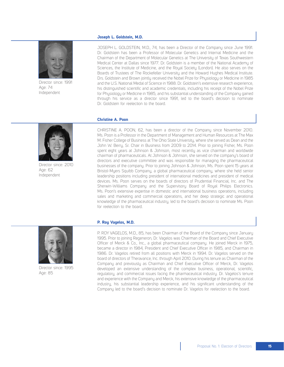### **Joseph L. Goldstein, M.D.**



JOSEPH L. GOLDSTEIN, M.D., 74, has been a Director of the Company since June 1991. Dr. Goldstein has been a Professor of Molecular Genetics and Internal Medicine and the Chairman of the Department of Molecular Genetics at The University of Texas Southwestern Medical Center at Dallas since 1977. Dr. Goldstein is a member of the National Academy of Sciences, the Institute of Medicine, and the Royal Society (London). He also serves on the Boards of Trustees of The Rockefeller University and the Howard Hughes Medical Institute. Drs. Goldstein and Brown jointly received the Nobel Prize for Physiology or Medicine in 1985 Director since: 1991 and the U.S. National Medal of Science in 1988. Dr. Goldstein's extensive research experience,<br>Age: 74 bis distinguished scientific and academic credentials, including his receipt of the Nobel Prize Age: 74 his distinguished scientific and academic credentials, including his receipt of the Nobel Prize (Arist<br>Andependent for Phusiplogu or Medicine in 1985, and his substantial understanding of the Company gained for Physiology or Medicine in 1985, and his substantial understanding of the Company gained through his service as a director since 1991, led to the board's decision to nominate Dr. Goldstein for reelection to the board.

### **Christine A. Poon**



CHRISTINE A. POON, 62, has been a director of the Company since November 2010. Ms. Poon is a Professor in the Department of Management and Human Resources at The Max M. Fisher College of Business at The Ohio State University, where she served as Dean and the John W. Berry, Sr. Chair in Business from 2009 to 2014. Prior to joining Fisher, Ms. Poon spent eight years at Johnson & Johnson, most recently as vice chairman and worldwide chairman of pharmaceuticals. At Johnson & Johnson, she served on the company's board of directors and executive committee and was responsible for managing the pharmaceutical Director since: 2010 businesses of the company. Prior to joining Johnson & Johnson, Ms. Poon spent 15 years at<br>Age: 62 Bristol-Muers Squibb Company, a global pharmaceutical company, where she held senior Age: 62 Bristol-Myers Squibb Company, a global pharmaceutical company, where she held senior leadership positions including president of international medicines and president of medical devices. Ms. Poon serves on the boards of directors of Prudential Financial, Inc. and The Sherwin-Williams Company and the Supervisory Board of Royal Philips Electronics. Ms. Poon's extensive expertise in domestic and international business operations, including sales and marketing and commercial operations, and her deep strategic and operational knowledge of the pharmaceutical industry, led to the board's decision to nominate Ms. Poon for reelection to the board.

### **P. Roy Vagelos, M.D.**



P. ROY VAGELOS, M.D., 85, has been Chairman of the Board of the Company since January 1995. Prior to joining Regeneron, Dr. Vagelos was Chairman of the Board and Chief Executive Officer of Merck & Co., Inc., a global pharmaceutical company. He joined Merck in 1975, became a director in 1984, President and Chief Executive Officer in 1985, and Chairman in 1986. Dr. Vagelos retired from all positions with Merck in 1994. Dr. Vagelos served on the board of directors of Theravance, Inc. through April 2010. During his tenure as Chairman of the Company and previously as Chairman and Chief Executive Officer of Merck, Dr. Vagelos Director since: 1995 developed an extensive understanding of the complex business, operational, scientific,<br>Age: 85 developed and commercial issues facing the pharmaceutical industry. Dr. Vagelos's tenure regulatory, and commercial issues facing the pharmaceutical industry. Dr. Vagelos's tenure and experience with the Company and Merck, his extensive knowledge of the pharmaceutical industry, his substantial leadership experience, and his significant understanding of the Company led to the board's decision to nominate Dr. Vagelos for reelection to the board.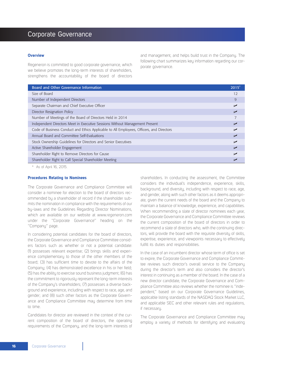# Corporate Governance

strengthens the accountability of the board of directors

**Overview Company** and management, and helps build trust in the Company. The following chart summarizes key information regarding our cor- Regeneron is committed to good corporate governance, which porate governance. we believe promotes the long-term interests of shareholders,

18FEB201522184096

| Board and Other Governance Information                                                   | 2015' |
|------------------------------------------------------------------------------------------|-------|
| Size of Board                                                                            | 12    |
| Number of Independent Directors                                                          | 9     |
| Separate Chairman and Chief Executive Officer                                            |       |
| Director Resignation Policy                                                              |       |
| Number of Meetings of the Board of Directors Held in 2014                                |       |
| Independent Directors Meet in Executive Sessions Without Management Present              |       |
| Code of Business Conduct and Ethics Applicable to All Employees, Officers, and Directors |       |
| Annual Board and Committee Self-Evaluations                                              |       |
| Stock Ownership Guidelines for Directors and Senior Executives                           | مما   |
| Active Shareholder Engagement                                                            |       |
| Shareholder Right to Remove Directors for Cause                                          |       |
| Shareholder Right to Call Special Shareholder Meeting                                    |       |

\* As of April 16, 2015.

the Corporate Governance and Compliance Committee consid- expertise, experience, and viewpoints of the Corporation ers. In the Corporation ers factors such as whether or not a potential candidate fulfill its duties and res ers factors such as whether or not a potential candidate: (1) possesses relevant expertise; (2) brings skills and experi-<br>ence complementary to those of the other members of the the oxpire the Caracate Cavarages and Compliance Commit ence complementary to those of the other members of the<br>board; (3) has sufficient time to devote to the affairs of the<br>Company; (4) has demonstrated excellence in his or her field;<br>(5) has the ability to exercise sound bus ground and experience, including with respect to race, age, and<br>gender; and (8) such other factors as the Corporate Govern-<br>and applicable listing standards of the NASDAQ Stock Market LLC,<br>and applicable listing standards

Candidates for director are reviewed in the context of the cur-<br>
The Corporate Governance and Compliance Committee may<br>
rent composition of the board of directors, the operating<br>
requirements of the Company, and the long-t

**Procedures Relating to Nominees shareholders. In conducting the assessment, the Committee** The Corporate Governance and Compliance Committee will<br>considers the individual's independence, experience, skills,<br>consider a nominee for election to the board of directors rec-<br>commended by a shareholder of record if the In considering potential candidates for the board of directors, tors, will provide the board with the requisite diversity of skills,<br>the Corporate Governance and Compliance Committee consid-expertise, experience, and viewp

if necessary.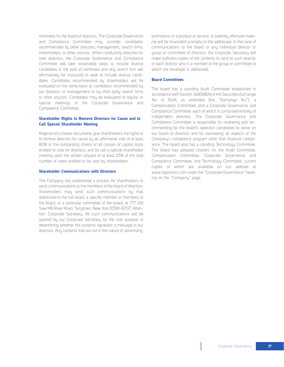nominees for the board of directors. The Corporate Governance promotions of a product or service, or patently offensive mateand Compliance Committee may consider candidates rial will be forwarded promptly to the addressee. In the case of recommended by other directors, management, search firms, communications to the board or any individual director or shareholders, or other sources. When conducting searches for group or committee of directors, the Corporate Secretary will new directors, the Corporate Governance and Compliance make sufficient copies of the contents to send to such director Committee will take reasonable steps to include diverse or each director who is a member of the group or committee to candidates in the pool of nominees and any search firm will which the envelope is addressed. affirmatively be instructed to seek to include diverse candidates. Candidates recommended by shareholders will be **Board Committees**

ing on the ''Company'' page. The Company has established a process for shareholders to send communications to the members of the board of directors. Shareholders may send such communications by mail addressed to the full board, a specific member or members of the board, or a particular committee of the board, at 777 Old Saw Mill River Road, Tarrytown, New York 10591-6707, Attention: Corporate Secretary. All such communications will be opened by our Corporate Secretary for the sole purpose of determining whether the contents represent a message to our directors. Any contents that are not in the nature of advertising,

evaluated on the same basis as candidates recommended by<br>our directors or management or by third party search firms<br>or other sources. Candidates may be evaluated at regular or<br>special meetings of the Corporate Governance a **Shareholder Rights to Remove Directors for Cause and to** independent directors. The Corporate Governance and **Compliance Committee** is responsible for reviewing and rec-<br>Call Special Shareholder Meeting **Call Special Shar** Regeneron's charter documents give shareholders the rights to our board of directors and for overseeing all aspects of the (i) remove directors for cause by an affirmative vote of at least Company's compliance program other than financial compli-80% of the outstanding shares of all classes of capital stock ance. The board also has a standing Technology Committee. entitled to vote for directors; and (ii) call a special shareholder The board has adopted charters for the Audit Committee, meeting upon the written request of at least 25% of the total Compensation Committee, Corporate Governance and number of votes entitled to be cast by shareholders. Compliance Committee, and Technology Committee, current copies of which are available on our website at **Shareholder Communications with Directors** *www.regeneron.com* under the "Corporate Governance" head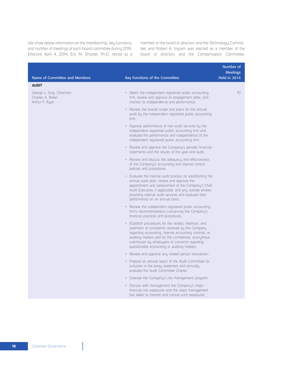and number of meetings of each board committee during 2014. tee, and Robert A. Ingram was elected as a member of the Effective April 4, 2014, Eric M. Shooter, Ph.D. retired as a board of directors and the Compensation Committee.

We show below information on the membership, key functions, member of the board of directors and the Technology Commit-

|                                                                                |                                                                                                                                                                                                                                                                                                                              | Number of<br><b>Meetings</b> |
|--------------------------------------------------------------------------------|------------------------------------------------------------------------------------------------------------------------------------------------------------------------------------------------------------------------------------------------------------------------------------------------------------------------------|------------------------------|
| Name of Committee and Members                                                  | Key Functions of the Committee                                                                                                                                                                                                                                                                                               | <b>Held in 2014</b>          |
| <b>AUDIT</b><br>George L. Sing, Chairman<br>Charles A. Baker<br>Arthur F. Ryan | • Select the independent registered public accounting<br>firm, review and approve its engagement letter, and<br>monitor its independence and performance.                                                                                                                                                                    | 10 <sup>1</sup>              |
|                                                                                | • Review the overall scope and plans for the annual<br>audit by the independent registered public accounting<br>firm.                                                                                                                                                                                                        |                              |
|                                                                                | • Approve performance of non-audit services by the<br>independent registered public accounting firm and<br>evaluate the performance and independence of the<br>independent registered public accounting firm.                                                                                                                |                              |
|                                                                                | • Review and approve the Company's periodic financial<br>statements and the results of the year-end audit.                                                                                                                                                                                                                   |                              |
|                                                                                | • Review and discuss the adequacy and effectiveness<br>of the Company's accounting and internal control<br>policies and procedures.                                                                                                                                                                                          |                              |
|                                                                                | • Evaluate the internal audit process for establishing the<br>annual audit plan; review and approve the<br>appointment and replacement of the Company's Chief<br>Audit Executive, if applicable, and any outside entities<br>providing internal audit services and evaluate their<br>performance on an annual basis.         |                              |
|                                                                                | • Review the independent registered public accounting<br>firm's recommendations concerning the Company's<br>financial practices and procedures.                                                                                                                                                                              |                              |
|                                                                                | • Establish procedures for the receipt, retention, and<br>treatment of complaints received by the Company<br>regarding accounting, internal accounting controls, or<br>auditing matters and for the confidential, anonymous<br>submission by employees of concerns regarding<br>questionable accounting or auditing matters. |                              |
|                                                                                | • Review and approve any related person transaction.                                                                                                                                                                                                                                                                         |                              |
|                                                                                | • Prepare an annual report of the Audit Committee for<br>inclusion in the proxy statement and annually<br>evaluate the Audit Committee Charter.                                                                                                                                                                              |                              |
|                                                                                | • Oversee the Company's risk management program.                                                                                                                                                                                                                                                                             |                              |
|                                                                                | • Discuss with management the Company's major<br>financial risk exposures and the steps management<br>has taken to monitor and control such exposures.                                                                                                                                                                       |                              |
|                                                                                |                                                                                                                                                                                                                                                                                                                              |                              |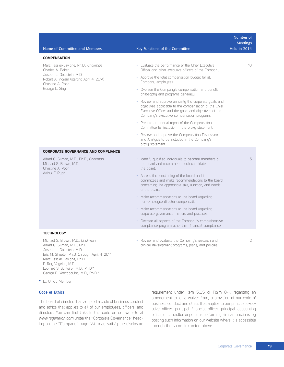| Name of Committee and Members                                                                                                                                                                           | Key Functions of the Committee                                                                                                                                                                                         | Number of<br><b>Meetings</b><br><b>Held in 2014</b> |
|---------------------------------------------------------------------------------------------------------------------------------------------------------------------------------------------------------|------------------------------------------------------------------------------------------------------------------------------------------------------------------------------------------------------------------------|-----------------------------------------------------|
| <b>COMPENSATION</b>                                                                                                                                                                                     |                                                                                                                                                                                                                        |                                                     |
| Marc Tessier-Lavigne, Ph.D., Chairman<br>Charles A. Baker                                                                                                                                               | • Evaluate the performance of the Chief Executive<br>Officer and other executive officers of the Company.                                                                                                              | 10 <sup>1</sup>                                     |
| Joseph L. Goldstein, M.D.<br>Robert A. Ingram (starting April 4, 2014)<br>Christine A. Poon                                                                                                             | • Approve the total compensation budget for all<br>Company employees.                                                                                                                                                  |                                                     |
| George L. Sing                                                                                                                                                                                          | • Oversee the Company's compensation and benefit<br>philosophy and programs generally.                                                                                                                                 |                                                     |
|                                                                                                                                                                                                         | • Review and approve annually the corporate goals and<br>objectives applicable to the compensation of the Chief<br>Executive Officer and the goals and objectives of the<br>Company's executive compensation programs. |                                                     |
|                                                                                                                                                                                                         | • Prepare an annual report of the Compensation<br>Committee for inclusion in the proxy statement.                                                                                                                      |                                                     |
|                                                                                                                                                                                                         | • Review and approve the Compensation Discussion<br>and Analysis to be included in the Company's<br>proxy statement.                                                                                                   |                                                     |
| <b>CORPORATE GOVERNANCE AND COMPLIANCE</b>                                                                                                                                                              |                                                                                                                                                                                                                        |                                                     |
| Alfred G. Gilman, M.D., Ph.D., Chairman<br>Michael S. Brown, M.D.<br>Christine A. Poon                                                                                                                  | • Identify qualified individuals to become members of<br>the board and recommend such candidates to<br>the board.                                                                                                      | 5                                                   |
| Arthur F. Ryan                                                                                                                                                                                          | • Assess the functioning of the board and its<br>committees and make recommendations to the board<br>concerning the appropriate size, function, and needs<br>of the board.                                             |                                                     |
|                                                                                                                                                                                                         | • Make recommendations to the board regarding<br>non-employee director compensation.                                                                                                                                   |                                                     |
|                                                                                                                                                                                                         | • Make recommendations to the board regarding<br>corporate governance matters and practices.                                                                                                                           |                                                     |
|                                                                                                                                                                                                         | • Oversee all aspects of the Company's comprehensive<br>compliance program other than financial compliance.                                                                                                            |                                                     |
| <b>TECHNOLOGY</b>                                                                                                                                                                                       |                                                                                                                                                                                                                        |                                                     |
| Michael S. Brown, M.D., Chairman<br>Alfred G. Gilman, M.D., Ph.D.<br>Joseph L. Goldstein, M.D.<br>Eric M. Shooter, Ph.D. (through April 4, 2014)<br>Marc Tessier-Lavigne, Ph.D.<br>P. Roy Vagelos, M.D. | • Review and evaluate the Company's research and<br>clinical development programs, plans, and policies.                                                                                                                | 2                                                   |

Ex Officio Member **\***

Leonard S. Schleifer, M.D., Ph.D.\* George D. Yancopoulos, M.D., Ph.D.\*

**Code of Ethics Code of Ethics requirement under Item 5.05 of Form 8-K regarding an** The board of directors has adopted a code of business conduct<br>and ethics that applies to all of our employees, officers, and<br>directors. You can find links to this code on our website at<br>www.regeneron.com under the "Corpora *www.regeneron.com* under the ''Corporate Governance'' head- posting such information on our website where it is accessible ing on the ''Company'' page. We may satisfy the disclosure through the same link noted above.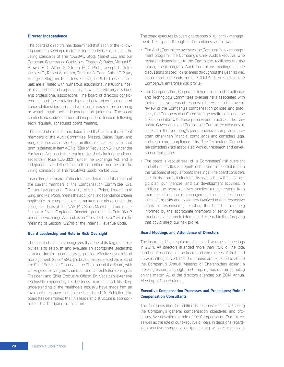George L. Sing, and Marc Tessier-Lavigne, Ph.D. These individ- as semi-annual reports from the Chief Audit Executive on the Chief Audit Executive on the Chief Audit Executive on the Chief Audit Executive on the Chief Audit uals are affiliated with numerous educational institutions, hospitals, charities and corporations, as well as civic organizations<br>and professional associations. The board of directors consid-<br>ered each of these relationships and determined that none of<br>these relationships conflicted w

members of the Audit Committee, Messrs. Baker, Ryan, and term is defined in Item 407(d)(5)(ii) of Regulation S-K under the left considers risks<br>Exchange Act meets the required standards for independence opment programs. Exchange Act, meets the required standards for independence set forth in Rule 10A-3(b)(1) under the Exchange Act, and is and the reasonal is kept abreast of its Committees' risk oversight<br>independent as defined for audit committee members in the and other activities via reports of

the current members of the Compensation Committee, Drs. gic plan, our finances, and our development activities. In Tessier-Lavigne and Goldstein, Messrs. Baker, Ingram, and addition, the board receives detailed regular reports from Sing, and Ms. Poon, meets the additional independence criteria members of our senior management that include discusapplicable to compensation committee members under the sions of the risks and exposures involved in their respective listing standards of The NASDAQ Stock Market LLC and quali- areas of responsibility. Further, the board is routinely fies as a "Non-Employee Director" pursuant to Rule 16b-3 finformed by the appropriate members of senior manage<br>under the Exchange Act and as an "outside director" within the fine ment of developments internal and external under the Exchange Act and as an ''outside director'' within the ment of developments internal and external to the Internal Revenue Code meaning of Section 162(m) of the Internal Revenue Code.

bilities is to establish and evaluate an appropriate leadership in 2014. All directors attended more than 75% of the total<br>Structure for the board so as to provide effective oversight of a number of meetings of the board a structure for the board so as to provide effective oversight of number of meetings of the board and committees of the board management. Since 1995, the board has separated the roles of on which they served. Board members are expected to attend<br>the Chief Executive Officer and the Chairman of the Board with the Company's Annual Meeting of Shareho the Chief Executive Officer and the Chairman of the Board, with the Company's Annual Meeting of Shareholders absent a<br>Dr. Vagelos serving as Chairman and Dr. Schleifer serving as the pressing reason, although the Company h Dr. Vagelos serving as Chairman and Dr. Schleifer serving as pressing reason, although the Company has no formal policy President and Chief Executive Officer. Dr. Vagelos's extensive on the matter. All of the directors at the dire<br>directors at the directors at the directors at the directors at the directors at the directors at the director leadership experience, his business acumen, and his deep understanding of the healthcare industry have made him an<br>invaluable resource to both the board and Dr. Schleifer. The **Executive Compensation Processes and Procedures; Role of**<br>**Compensation Consultants Compensation Consultants** board has determined that this leadership structure is appropriate for the Company at this time. The Compensation Committee is responsible for overseeing

**Director Independence** The board executes its oversight responsibility for risk management directly and through its Committees, as follows: The board of directors has determined that each of the follow-

- ing currently serving directors is independent as defined in the came the Audit Committee oversees the Company's risk manage-<br>listing standards of The NASDAQ Stock Market LLC and our came ment program. The Company's Chief listing standards of The NASDAQ Stock Market LLC and our ment program. The Company's Chief Audit Executive, who Corporate Governance Guidelines: Charles A. Baker, Michael S. reports independently to the Committee, facilitates the risk Brown, M.D., Alfred G. Gilman, M.D., Ph.D., Joseph L. Gold- management program. Audit Committee meetings include stein, M.D., Robert A. Ingram, Christine A. Poon, Arthur F. Ryan, a discussions of specific risk areas throughout the year, as well<br>George L. Sing and Marc Tessier-Lavigne, Ph.D. These individ- as semi-annual reports from • The Audit Committee oversees the Company's risk manage-
- each regularly scheduled board meeting. por all porate Governance and Compliance Committee oversees all The board of directors has determined that each of the current aspects of the Company's comprehensive compliance pro-<br>members of the Audit Committee, Messrs, Baker, Ruan, and are gram other than financial compliance and co Sing, qualifies as an ''audit committee financial expert'' as that and regulatory compliance risks. The Technology Commit-• The Compensation, Corporate Governance and Compliance,
- In addition, the board of directors has determined that each of specific risk topics, including risks associated with our strate-<br>In addition, the board of the Compensation Committee. Drs. The gic plan, our finances, and o

### **Board Leadership and Role in Risk Oversight Board Meetings and Attendance of Directors**

The board of directors recognizes that one of its key responsi-<br>The board hilities is to establish and evaluate an annronriate leadershin in 2014. All directors attended more than 75% of the total

the Company's general compensation objectives and programs. We describe the role of the Compensation Committee, as well as the role of our executive officers, in decisions regarding executive compensation (particularly with respect to our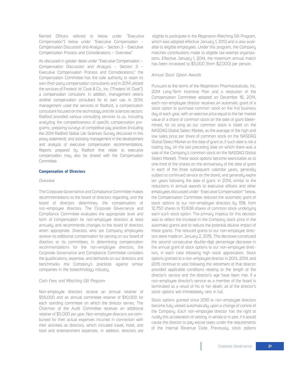Compensation'') below under ''Executive Compensation – which was adopted effective January 1, 2013 and is also avail-Compensation Discussion and Analysis – Section 3 – Executive able to eligible employees. Under this program, the Company Compensation Process and Considerations – Overview.'' matches contributions made to eligible tax-exempt organiza-

Executive Compensation Process and Considerations,'' the *Annual Stock Option Awards* Compensation Committee has the sole authority to retain its

recommendations to the board of directors regarding, and the the Compensation Committee reduced the automatic grant of board of directors determines, the compensation of stock options to our non-employee directors by 15%, from non-employee directors. The Corporate Governance and 12,750 shares to 10,838 shares of common stock underlying Compliance Committee evaluates the appropriate level and each such stock option. The primary impetus for this decision form of compensation for non-employee directors at least was to reflect the increase in the Company stock price in the annually and recommends changes to the board of directors automatic grants and to reduce the potential dilutive impact of when appropriate. Directors who are Company employees these grants. The reduced grants to our non-employee direcreceive no additional compensation for serving on our board of tors were made on January 2, 2015. This decrease constituted directors or its committees. In determining compensation the second consecutive double-digit percentage decrease in recommendations for the non-employee directors, the the annual grant of stock options to our non-employee direc-Corporate Governance and Compliance Committee considers tors, in each case following high stock appreciation. Stock the qualifications, expertise, and demands on our directors and options granted to a non-employee director in 2013, 2014, and benchmarks the Company's practices against similar 2015 continue to vest following the retirement of that director companies in the biotechnology industry. provided applicable conditions relating to the length of the

Non-employee directors receive an annual retainer of stock options will immediately vest in full. %55,000 and an annual committee retainer of \$10,000 for<br>each standing committee on which the director serves. The<br>Chairman of the Audit Committee receives an additional<br>retainer of \$5,000 per year. Non-employee directors a

Named Officers referred to below under ''Executive eligible to participate in the Regeneron Matching Gift Program, As discussed in greater detail under "Executive Compensation – tions. Effective January 1, 2014, the maximum annual match<br>Compensation Discussion and Analysis – Section 3 – has been increased to \$5,000 (from \$2,000) per p

own third-party compensation consultants and in 2014 utilized<br>a compensation consultants and in 2014 utilized<br>a compensation consultant to rist own use. In 2014,<br>a compensation consultant for its own use. In 2014,<br>anonagem in each of the three subsequent calendar years, generally **Compensation of Directors** subject to continued service on the board, and generally expire *Overview* ten years following the date of grant. In 2014, similar to the reductions in annual awards to executive officers and other The Corporate Governance and Compliance Committee makes employees discussed under ''Executive Compensation'' below, director's service and the director's age have been met. If a *Cash Fees and Matching Gift Program* non-employee director's service as a member of the board is terminated as a result of his or her death, all of the director's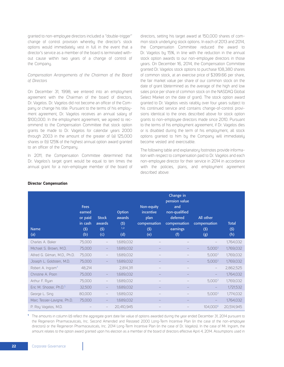granted to non-employee directors included a ''double-trigger'' directors, setting his target award at 150,000 shares of comchange of control provision whereby the director's stock mon stock underlying stock options. In each of 2013 and 2014, options would immediately vest in full in the event that a the Compensation Committee reduced the award to director's service as a member of the board is terminated with-<br>Dr. Vagelos by 15%, in line with the reduction in the annual out cause within two years of a change of control of stock option awards to our non-employee directors in those the Company. The Company of the Company of the Compensation Committee in the Compensation Committee

# *of Directors* the fair market value per share of our common stock on the

agreement with the Chairman of the board of directors, Select Market on the date of grant). The stock option award Dr. Vagelos. Dr. Vagelos did not become an officer of the Com- granted to Dr. Vagelos vests ratably over four years subject to pany or change his title. Pursuant to the terms of his employ- his continued service and contains change-of-control proviment agreement, Dr. Vagelos receives an annual salary of sions identical to the ones described above for stock option \$100,000. In the employment agreement, we agreed to rec- grants to non-employee directors made since 2010. Pursuant ommend to the Compensation Committee that stock option to the terms of his employment agreement, if Dr. Vagelos dies grants be made to Dr. Vagelos for calendar years 2000 or is disabled during the term of his employment, all stock through 2003 in the amount of the greater of (a) 125,000 options granted to him by the Company will immediately shares or (b) 125% of the highest annual option award granted become vested and exercisable. to an officer of the Company. The following table and explanatory footnotes provide informa-

Dr. Vagelos's target grant would be equal to ten times the non-employee director for their service in 2014 in accordance annual grant for a non-employee member of the board of with the policies, plans, and employment agreement

granted Dr. Vagelos stock options to purchase 108,380 shares *Compensation Arrangements of the Chairman of the Board* of common stock, at an exercise price of \$399.66 per share, date of grant (determined as the average of the high and low On December 31, 1998, we entered into an employment sales price per share of common stock on the NASDAQ Global

In 2011, the Compensation Committee determined that tion with respect to compensation paid to Dr. Vagelos and each described above:

| Name<br>(a)                         | <b>Fees</b><br>earned<br>or paid<br>in cash<br>$(\$)$<br>(b) | <b>Stock</b><br>awards<br>$($ \$)<br>(c) | <b>Option</b><br>awards<br>(3)<br>1,2<br>(d) | Non-equity<br>incentive<br>plan<br>compensation<br>$(\$)$<br>(e) | Change in<br>pension value<br>and<br>non-qualified<br>deferred<br>compensation<br>earnings<br>(f) | All other<br>compensation<br>$($ \$)<br>(g) | <b>Total</b><br>$($ \$)<br>(h) |
|-------------------------------------|--------------------------------------------------------------|------------------------------------------|----------------------------------------------|------------------------------------------------------------------|---------------------------------------------------------------------------------------------------|---------------------------------------------|--------------------------------|
| Charles A. Baker                    | 75,000                                                       |                                          | 1,689,032                                    |                                                                  |                                                                                                   |                                             | 1,764,032                      |
| Michael S. Brown, M.D.              | 75,000                                                       |                                          | 1,689,032                                    |                                                                  |                                                                                                   | 5,000 <sup>3</sup>                          | 1,769,032                      |
| Alfred G. Gilman, M.D., Ph.D.       | 75,000                                                       |                                          | 1,689,032                                    |                                                                  |                                                                                                   | 5,000 <sup>3</sup>                          | 1,769,032                      |
| Joseph L. Goldstein, M.D.           | 75,000                                                       |                                          | 1,689,032                                    |                                                                  |                                                                                                   | $5,000^3$                                   | 1,769,032                      |
| Robert A. Ingram <sup>4</sup>       | 48,214                                                       |                                          | 2,814,311                                    |                                                                  |                                                                                                   |                                             | 2,862,525                      |
| Christine A. Poon                   | 75,000                                                       |                                          | 1,689,032                                    |                                                                  |                                                                                                   |                                             | 1,764,032                      |
| Arthur F. Ryan                      | 75,000                                                       |                                          | 1,689,032                                    |                                                                  |                                                                                                   | $5,000^3$                                   | 1,769,032                      |
| Eric M. Shooter, Ph.D. <sup>5</sup> | 32,500                                                       | $\qquad \qquad -$                        | 1,689,032                                    |                                                                  |                                                                                                   |                                             | 1,721,532                      |
| George L. Sing                      | 80,000                                                       |                                          | 1,689,032                                    |                                                                  |                                                                                                   | 5,000 <sup>3</sup>                          | 1,774,032                      |
| Marc Tessier-Lavigne, Ph.D.         | 75,000                                                       |                                          | 1,689,032                                    |                                                                  |                                                                                                   |                                             | 1,764,032                      |
| P. Roy Vagelos, M.D.                |                                                              |                                          | 20,410,945                                   |                                                                  |                                                                                                   | 104,000 <sup>6</sup>                        | 20,514,945                     |

### **Director Compensation**

The amounts in column (d) reflect the aggregate grant date fair value of options awarded during the year ended December 31, 2014 pursuant to **1** the Regeneron Pharmaceuticals, Inc. Second Amended and Restated 2000 Long-Term Incentive Plan (in the case of the non-employee directors) or the Regeneron Pharmaceuticals, Inc. 2014 Long-Term Incentive Plan (in the case of Dr. Vagelos). In the case of Mr. Ingram, the amount relates to the option award granted upon his election as a member of the board of directors effective April 4, 2014. Assumptions used in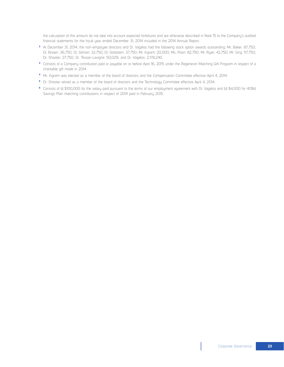the calculation of this amount do not take into account expected forfeitures and are otherwise described in Note 15 to the Company's audited financial statements for the fiscal year ended December 31, 2014 included in the 2014 Annual Report.

- At December 31, 2014, the non-employee directors and Dr. Vagelos had the following stock option awards outstanding: Mr. Baker: 87,750; **2** Dr. Brown: 36,750; Dr. Gilman: 32,750; Dr. Goldstein: 37,750; Mr. Ingram: 20,000; Ms. Poon: 82,750; Mr. Ryan: 42,750; Mr. Sing: 117,750; Dr. Shooter: 27,750; Dr. Tessier-Lavigne: 50,029; and Dr. Vagelos: 2,178,240.
- Consists of a Company contribution paid or payable on or before April 16, 2015 under the Regeneron Matching Gift Program in respect of a **3** charitable gift made in 2014.
- Mr. Ingram was elected as a member of the board of directors and the Compensation Committee effective April 4, 2014. **4**
- Dr. Shooter retired as a member of the board of directors and the Technology Committee effective April 4, 2014. **5**
- Consists of (i) \$100,000 for the salary paid pursuant to the terms of our employment agreement with Dr. Vagelos and (ii) \$4,000 for 401(k) **6** Savings Plan matching contributions in respect of 2014 paid in February 2015.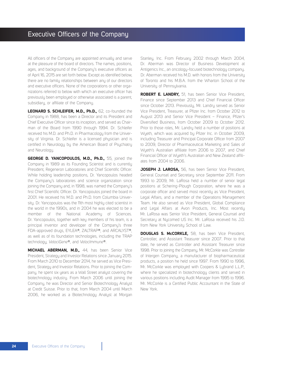at the pleasure of the board of directors. The names, positions, Dr. Aberman was Director of Business Development at ages, and background of the Company's executive officers as Antigenics Inc., an oncology-focused biotechnology company. of April 16, 2015 are set forth below. Except as identified below, Dr. Aberman received his M.D. with honors from the University there are no family relationships between any of our directors of Toronto and his M.B.A. from the Wharton School of the and executive officers. None of the corporations or other orga- University of Pennsylvania. nizations referred to below with which an executive officer has<br>previously been employed or otherwise associated is a parent,<br>subsidiary, or affiliate of the Company.<br>since October 2013. Previously, Mr. Landry served as Se

Company in 1988, has been a Director and its President and August 2013 and Senior Vice President – Finance, Pfizer's Chief Executive Officer since its inception, and served as Chair- Diversified Business, from October 2009 to October 2012. man of the Board from 1990 through 1994. Dr. Schleifer Prior to those roles, Mr. Landry held a number of positions at received his M.D. and Ph.D. in Pharmacology from the Univer- Wyeth, which was acquired by Pfizer Inc. in October 2009, sity of Virginia. Dr. Schleifer is a licensed physician and is including Treasurer and Principal Corporate Officer from 2007 certified in Neurology by the American Board of Psychiatry to 2009, Director of Pharmaceutical Marketing and Sales of and Neurology. Wyeth's Australian affiliate from 2006 to 2007, and Chief

President, Regeneron Laboratories and Chief Scientific Officer. **JOSEPH J. LAROSA,** 56, has been Senior Vice President, While holding leadership positions, Dr. Yancopoulos headed General Counsel and Secretary since September 2011. From the Company's laboratories and science organization since 1993 to 2009, Mr. LaRosa held a number of senior legal joining the Company and, in 1998, was named the Company's positions at Schering-Plough Corporation, where he was a first Chief Scientific Officer. Dr. Yancopoulos joined the board in corporate officer and served most recently as Vice President, 2001. He received his M.D. and Ph.D. from Columbia Univer- Legal Affairs, and a member of the Operations Management sity. Dr. Yancopoulos was the 11th most highly cited scientist in Team. He also served as Vice President, Global Compliance the world in the 1990s, and in 2004 he was elected to be a and Legal Affairs at Avon Products, Inc. Most recently member of the National Academy of Sciences. Mr. LaRosa was Senior Vice President, General Counsel and Dr. Yancopoulos, together with key members of his team, is a Secretary at Nycomed US Inc. Mr. LaRosa received his J.D. principal inventor and developer of the Company's three from New York University School of Law. FDA-approved drugs, EYLEA®, ZALTRAP®, and ARCALYST®,<br>as well as of its foundation technologies, including the TRAP<br>technology, VelociGene®, and VelocImmune®.<br>date, he served as Controller and Assistant Treasurer since

President, Strategy and Investor Relations since January 2015. of Intergen Company, a manufacturer of biopharmaceutical From March 2010 to December 2014, he served as Vice Presi- products, a position he held since 1997. From 1990 to 1996, dent, Strategy and Investor Relations. Prior to joining the Com- Mr. McCorkle was employed with Coopers & Lybrand L.L.P., pany, he spent six years as a Wall Street analyst covering the where he specialized in biotechnology clients and served in biotechnology industry. From March 2006 until joining the various positions including Audit Manager from 1995 to 1996. Company, he was Director and Senior Biotechnology Analyst Mr. McCorkle is a Certified Public Accountant in the State of at Credit Suisse. Prior to that, from March 2004 until March New York. 2006, he worked as a Biotechnology Analyst at Morgan

All officers of the Company are appointed annually and serve Stanley, Inc. From February 2002 through March 2004,

18FEB201522184096

**LEONARD S. SCHLEIFER, M.D., Ph.D.,** 62, co-founded the Vice President, Treasurer, at Pfizer Inc. from October 2012 to **GEORGE D. YANCOPOULOS, M.D., Ph.D.,** 55, joined the Financial Officer of Wyeth's Australian and New Zealand affili-<br>Company in 1989 as its Founding Scientist and is currently ates from 2004 to 2006.

**MICHAEL ABERMAN, M.D.,** 44, has been Senior Vice 1998. Prior to joining the Company, Mr. McCorkle was Controller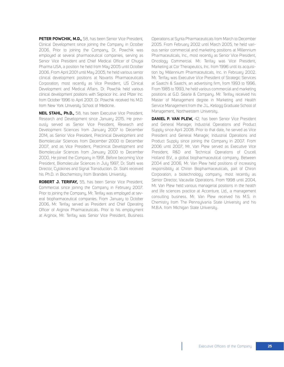**PETER POWCHIK, M.D.,** 58, has been Senior Vice President, Operations at Synta Pharmaceuticals from March to December Clinical Development since joining the Company in October 2005. From February 2002 until March 2005, he held vari-2006. Prior to joining the Company, Dr. Powchik was ous senior commercial and marketing positions at Millennium employed at several pharmaceutical companies, serving as Pharmaceuticals, Inc., most recently as Senior Vice President, Senior Vice President and Chief Medical Officer of Chugai Oncology Commercial. Mr. Terifay was Vice President, Pharma USA, a position he held from May 2005 until October Marketing at Cor Therapeutics, Inc. from 1996 until its acquisi-2006. From April 2001 until May 2005, he held various senior tion by Millennium Pharmaceuticals, Inc. in February 2002. clinical development positions at Novartis Pharmaceuticals Mr. Terifay was Executive Vice President of Strategic Services Corporation, most recently as Vice President, US Clinical at Saatchi & Saatchi, an advertising firm, from 1993 to 1996. Development and Medical Affairs. Dr. Powchik held various From 1985 to 1993, he held various commercial and marketing clinical development positions with Sepracor Inc. and Pfizer Inc. positions at G.D. Searle & Company. Mr. Terifay received his from October 1996 to April 2001. Dr. Powchik received his M.D. Master of Management degree in Marketing and Health from New York University School of Medicine. Service Management from the J.L. Kellogg Graduate School of

Management, Northwestern University. **NEIL STAHL, Ph.D.,** 58, has been Executive Vice President, Research and Development since January 2015. He previ- **DANIEL P. VAN PLEW,** 42, has been Senior Vice President

**ROBERT J. TERIFAY,** 55, has been Senior Vice President, Senior Director, Vacaville Operations. From 1998 until 2004,<br>
Commercial since joining the Company in February 2007.<br>
Prior to joining the Company, Mr. Terifay was e at Arginox, Mr. Terifay was Senior Vice President, Business

ously served as Senior Vice President, Research and and General Manager, Industrial Operations and Product Development Sciences from January 2007 to December Supply since April 2008. Prior to that date, he served as Vice 2014, as Senior Vice President, Preclinical Development and President and General Manager, Industrial Operations and Biomolecular Sciences from December 2000 to December Product Supply since joining the Company in 2007. From 2007, and as Vice President, Preclinical Development and 2006 until 2007, Mr. Van Plew served as Executive Vice Biomolecular Sciences from January 2000 to December President, R&D and Technical Operations of Crucell 2000. He joined the Company in 1991. Before becoming Vice Holland B.V., a global biopharmaceutical company. Between President, Biomolecular Sciences in July 1997, Dr. Stahl was 2004 and 2006, Mr. Van Plew held positions of increasing Director, Cytokines and Signal Transduction. Dr. Stahl received responsibility at Chiron Biopharmaceuticals, part of Chiron his Ph.D. in Biochemistry from Brandeis University. Corporation, a biotechnology company, most recently as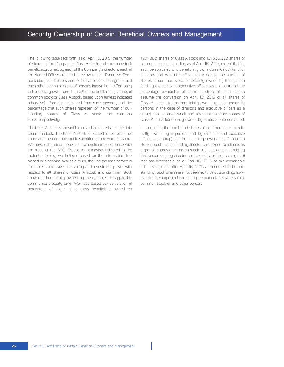The following table sets forth, as of April 16, 2015, the number 1,971,868 shares of Class A stock and 101,305,623 shares of of shares of the Company's Class A stock and common stock common stock outstanding as of April 16, 2015, except that for beneficially owned by each of the Company's directors, each of each person listed who beneficially owns Class A stock (and for the Named Officers referred to below under ''Executive Com- directors and executive officers as a group), the number of pensation,'' all directors and executive officers as a group, and shares of common stock beneficially owned by that person each other person or group of persons known by the Company (and by directors and executive officers as a group) and the to beneficially own more than 5% of the outstanding shares of percentage ownership of common stock of such person common stock or Class A stock, based upon (unless indicated assume the conversion on April 16, 2015 of all shares of otherwise) information obtained from such persons, and the Class A stock listed as beneficially owned by such person (or percentage that such shares represent of the number of out- persons in the case of directors and executive officers as a standing shares of Class A stock and common group) into common stock and also that no other shares of stock, respectively. Class A stock beneficially owned by others are so converted.

The Class A stock is convertible on a share-for-share basis into In computing the number of shares of common stock beneficommon stock. The Class A stock is entitled to ten votes per cially owned by a person (and by directors and executive share and the common stock is entitled to one vote per share. officers as a group) and the percentage ownership of common We have determined beneficial ownership in accordance with stock of such person (and by directors and executive officers as the rules of the SEC. Except as otherwise indicated in the a group), shares of common stock subject to options held by footnotes below, we believe, based on the information fur- that person (and by directors and executive officers as a group) nished or otherwise available to us, that the persons named in that are exercisable as of April 16, 2015 or are exercisable the table below have sole voting and investment power with within sixty days after April 16, 2015 are deemed to be outrespect to all shares of Class A stock and common stock standing. Such shares are not deemed to be outstanding, howshown as beneficially owned by them, subject to applicable ever, for the purpose of computing the percentage ownership of community property laws. We have based our calculation of common stock of any other person. percentage of shares of a class beneficially owned on

18FEB201522184096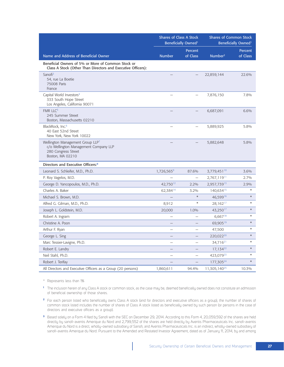|                                                                                                                      | <b>Shares of Class A Stock</b><br>Beneficially Owned <sup>1</sup> |                          | <b>Shares of Common Stock</b><br>Beneficially Owned <sup>1</sup> |                     |
|----------------------------------------------------------------------------------------------------------------------|-------------------------------------------------------------------|--------------------------|------------------------------------------------------------------|---------------------|
| Name and Address of Beneficial Owner                                                                                 | <b>Number</b>                                                     | Percent<br>of Class      | Number <sup>2</sup>                                              | Percent<br>of Class |
| Beneficial Owners of 5% or More of Common Stock or<br>Class A Stock (Other Than Directors and Executive Officers):   |                                                                   |                          |                                                                  |                     |
| Sanofi <sup>3</sup><br>54, rue La Boetie<br>75008 Paris<br>France                                                    |                                                                   |                          | 22,859,144                                                       | 22.6%               |
| Capital World Investors <sup>4</sup><br>333 South Hope Street<br>Los Angeles, California 90071                       |                                                                   |                          | 7,876,150                                                        | 7.8%                |
| FMR LLC <sup>5</sup><br>245 Summer Street<br>Boston, Massachusetts 02210                                             |                                                                   |                          | 6,687,091                                                        | 6.6%                |
| BlackRock, Inc. <sup>6</sup><br>40 East 52nd Street<br>New York, New York 10022                                      |                                                                   |                          | 5,889,925                                                        | 5.8%                |
| Wellington Management Group LLP7<br>c/o Wellington Management Company LLP<br>280 Congress Street<br>Boston, MA 02210 |                                                                   |                          | 5,882,648                                                        | 5.8%                |
| Directors and Executive Officers: <sup>8</sup>                                                                       |                                                                   |                          |                                                                  |                     |
| Leonard S. Schleifer, M.D., Ph.D.                                                                                    | 1,726,565 <sup>9</sup>                                            | 87.6%                    | 3,779,45110                                                      | 3.6%                |
| P. Roy Vagelos, M.D.                                                                                                 |                                                                   | $\overline{\phantom{0}}$ | 2,767,119 <sup>11</sup>                                          | 2.7%                |
| George D. Yancopoulos, M.D., Ph.D.                                                                                   | 42,750 <sup>12</sup>                                              | 2.2%                     | 2,957,73913                                                      | 2.9%                |
| Charles A. Baker                                                                                                     | 62,384 <sup>14</sup>                                              | 3.2%                     | 140,634 <sup>15</sup>                                            | $\ast$              |
| Michael S. Brown, M.D.                                                                                               |                                                                   | $\ast$                   | 46,59916                                                         | $\ast$              |
| Alfred G. Gilman, M.D., Ph.D.                                                                                        | 8,912                                                             | $\ast$                   | 28,162 <sup>17</sup>                                             | $\ast$              |
| Joseph L. Goldstein, M.D.                                                                                            | 20,000                                                            | 1.0%                     | 43,25017                                                         | $\ast$              |
| Robert A. Ingram                                                                                                     |                                                                   |                          | 6,66718                                                          | $\ast$              |
| Christine A. Poon                                                                                                    |                                                                   |                          | 69,905 <sup>19</sup>                                             | $\ast$              |
| Arthur F. Ryan                                                                                                       |                                                                   |                          | 47,500                                                           | $\ast$              |
| George L. Sing                                                                                                       |                                                                   |                          | 220,02220                                                        | $\ast$              |
| Marc Tessier-Lavigne, Ph.D.                                                                                          | -                                                                 |                          | 34,716 <sup>21</sup>                                             | $\ast$              |
| Robert E. Landry                                                                                                     |                                                                   |                          | 17,13422                                                         | $\ast$              |
| Neil Stahl, Ph.D.                                                                                                    |                                                                   | -                        | 423,07923                                                        | $\ast$              |
| Robert J. Terifay                                                                                                    |                                                                   |                          | 177,305 <sup>24</sup>                                            | $\ast$              |
| All Directors and Executive Officers as a Group (20 persons)                                                         | 1,860,611                                                         | 94.4%                    | 11,305,140 <sup>25</sup>                                         | 10.3%               |

<sup>\*</sup> Represents less than 1%

- The inclusion herein of any Class A stock or common stock, as the case may be, deemed beneficially owned does not constitute an admission **1** of beneficial ownership of those shares.
- For each person listed who beneficially owns Class A stock (and for directors and executive officers as a group), the number of shares of **2** common stock listed includes the number of shares of Class A stock listed as beneficially owned by such person (or persons in the case of directors and executive officers as a group).
- $^{\textbf{3}}$  Based solely on a Form 4 filed by Sanofi with the SEC on December 29, 2014. According to this Form 4, 20,059,592 of the shares are held directly by sanofi-aventis Amerique du Nord and 2,799,552 of the shares are held directly by Aventis Pharmaceuticals Inc. sanofi-aventis Amerique du Nord is a direct, wholly-owned subsidiary of Sanofi, and Aventis Pharmaceuticals Inc. is an indirect, wholly-owned subsidiary of sanofi-aventis Amerique du Nord. Pursuant to the Amended and Restated Investor Agreement, dated as of January 11, 2014, by and among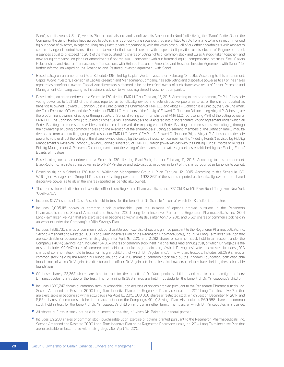Sanofi, sanofi-aventis US LLC, Aventis Pharmaceuticals Inc., and sanofi-aventis Amerique du Nord (collectively, the ''Sanofi Parties''), and the Company, the Sanofi Parties have agreed to vote all shares of our voting securities they are entitled to vote from time to time as recommended by our board of directors, except that they may elect to vote proportionally with the votes cast by all of our other shareholders with respect to certain change-of-control transactions and to vote in their sole discretion with respect to liquidation or dissolution of Regeneron, stock issuances equal to or exceeding 20% of the then outstanding shares or voting rights of common stock and Class A stock (taken together), and new equity compensation plans or amendments if not materially consistent with our historical equity compensation practices. See ''Certain Relationships and Related Transactions – Transactions with Related Persons – Amended and Restated Investor Agreement with Sanofi'' for further information regarding the Amended and Restated Investor Agreement with Sanofi.

- Based solely on an amendment to a Schedule 13G filed by Capital World Investors on February 13, 2015. According to this amendment, **4** Capital World Investors, a division of Capital Research and Management Company, has sole voting and dispositive power as to all of the shares reported as beneficially owned. Capital World Investors is deemed to be the beneficial owner of such shares as a result of Capital Research and Management Company acting as investment adviser to various registered investment companies.
- Based solely on an amendment to a Schedule 13G filed by FMR LLC on February 13, 2015. According to this amendment, FMR LLC has sole voting power as to 521,163 of the shares reported as beneficially owned and sole dispositive power as to all of the shares reported as beneficially owned. Edward C. Johnson 3d is a Director and the Chairman of FMR LLC and Abigail P. Johnson is a Director, the Vice Chairman, the Chief Executive Officer, and the President of FMR LLC. Members of the family of Edward C. Johnson 3d, including Abigail P. Johnson, are the predominant owners, directly or through trusts, of Series B voting common shares of FMR LLC, representing 49% of the voting power of FMR LLC. The Johnson family group and all other Series B shareholders have entered into a shareholders' voting agreement under which all Series B voting common shares will be voted in accordance with the majority vote of Series B voting common shares. Accordingly, through their ownership of voting common shares and the execution of the shareholders' voting agreement, members of the Johnson family may be deemed to form a controlling group with respect to FMR LLC. None of FMR LLC, Edward C. Johnson 3d, or Abigail P. Johnson has the sole power to vote or direct the voting of the shares owned directly by the various investment companies (the ''Fidelity Funds'') advised by Fidelity Management & Research Company, a wholly owned subsidiary of FMR LLC, which power resides with the Fidelity Funds' Boards of Trustees. Fidelity Management & Research Company carries out the voting of the shares under written guidelines established by the Fidelity Funds' Boards of Trustees. **5**
- Based solely on an amendment to a Schedule 13G filed by BlackRock, Inc. on February 9, 2015. According to this amendment, **6** BlackRock, Inc. has sole voting power as to 5,172,479 shares and sole dispositive power as to all of the shares reported as beneficially owned.
- Based solely on a Schedule 13G filed by Wellington Management Group LLP on February 12, 2015. According to this Schedule 13G, Wellington Management Group LLP has shared voting power as to 1,938,367 of the shares reported as beneficially owned and shared dispositive power as to all of the shares reported as beneficially owned. **7**
- The address for each director and executive officer is c/o Regeneron Pharmaceuticals, Inc., 777 Old Saw Mill River Road, Tarrytown, New York **8** 10591-6707.
- Includes 15,775 shares of Class A stock held in trust for the benefit of Dr. Schleifer's son, of which Dr. Schleifer is a trustee. **9**
- Includes 2,005,118 shares of common stock purchasable upon the exercise of options granted pursuant to the Regeneron **10** Pharmaceuticals, Inc. Second Amended and Restated 2000 Long-Term Incentive Plan or the Regeneron Pharmaceuticals, Inc. 2014 Long-Term Incentive Plan that are exercisable or become so within sixty days after April 16, 2015 and 5,681 shares of common stock held in an account under the Company's 401(k) Savings Plan.
- Includes 1,836,735 shares of common stock purchasable upon exercise of options granted pursuant to the Regeneron Pharmaceuticals, Inc. **11** Second Amended and Restated 2000 Long-Term Incentive Plan or the Regeneron Pharmaceuticals, Inc. 2014 Long-Term Incentive Plan that are exercisable or become so within sixty days after April 16, 2015 and 2,282 shares of common stock held in an account under the Company's 401(k) Savings Plan. Includes 154,804 shares of common stock held in a charitable lead annuity trust, of which Dr. Vagelos is the trustee. Includes 92,947 shares of common stock held in a trust for his grandchildren, of which Dr. Vagelos's wife is the trustee. Includes 1,203 shares of common stock held in trusts for his grandchildren, of which Dr. Vagelos and/or his wife are trustees. Includes 58,099 shares of common stock held by the Marianthi Foundation, and 251,956 shares of common stock held by the Pindaros Foundation, both charitable foundations, of which Dr. Vagelos is a director and an officer. Dr. Vagelos disclaims beneficial ownership of the shares held by these charitable foundations.
- Of these shares, 23,367 shares are held in trust for the benefit of Dr. Yancopoulos's children and certain other family members; **12** Dr. Yancopoulos is a trustee of the trust. The remaining 19,383 shares are held in custody for the benefit of Dr. Yancopoulos's children.
- Includes 1,839,747 shares of common stock purchasable upon exercise of options granted pursuant to the Regeneron Pharmaceuticals, Inc. **13** Second Amended and Restated 2000 Long-Term Incentive Plan or the Regeneron Pharmaceuticals, Inc. 2014 Long-Term Incentive Plan that are exercisable or become so within sixty days after April 16, 2015, 500,000 shares of restricted stock which vest on December 17, 2017, and 5,654 shares of common stock held in an account under the Company's 401(k) Savings Plan. Also includes 569,588 shares of common stock held in trust for the benefit of Dr. Yancopoulos's children and certain other family members, of which Dr. Yancopoulos is a trustee.
- All shares of Class A stock are held by a limited partnership, of which Mr. Baker is a general partner. **14**
- Includes 69,250 shares of common stock purchasable upon exercise of options granted pursuant to the Regeneron Pharmaceuticals, Inc. **15** Second Amended and Restated 2000 Long-Term Incentive Plan or the Regeneron Pharmaceuticals, Inc. 2014 Long-Term Incentive Plan that are exercisable or become so within sixty days after April 16, 2015.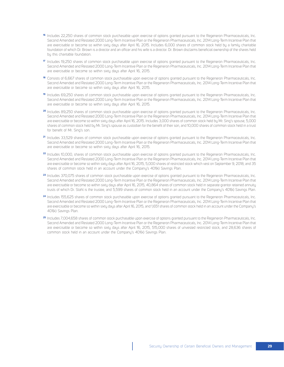- Includes 22,250 shares of common stock purchasable upon exercise of options granted pursuant to the Regeneron Pharmaceuticals, Inc. **16** Second Amended and Restated 2000 Long-Term Incentive Plan or the Regeneron Pharmaceuticals, Inc. 2014 Long-Term Incentive Plan that are exercisable or become so within sixty days after April 16, 2015. Includes 6,000 shares of common stock held by a family charitable foundation of which Dr. Brown is a director and an officer and his wife is a director. Dr. Brown disclaims beneficial ownership of the shares held by this charitable foundation.
- Includes 19,250 shares of common stock purchasable upon exercise of options granted pursuant to the Regeneron Pharmaceuticals, Inc. **17** Second Amended and Restated 2000 Long-Term Incentive Plan or the Regeneron Pharmaceuticals, Inc. 2014 Long-Term Incentive Plan that are exercisable or become so within sixty days after April 16, 2015.
- Consists of 6,667 shares of common stock purchasable upon exercise of options granted pursuant to the Regeneron Pharmaceuticals, Inc. **18** Second Amended and Restated 2000 Long-Term Incentive Plan or the Regeneron Pharmaceuticals, Inc. 2014 Long-Term Incentive Plan that are exercisable or become so within sixty days after April 16, 2015.
- Includes 69,250 shares of common stock purchasable upon exercise of options granted pursuant to the Regeneron Pharmaceuticals, Inc. **19** Second Amended and Restated 2000 Long-Term Incentive Plan or the Regeneron Pharmaceuticals, Inc. 2014 Long-Term Incentive Plan that are exercisable or become so within sixty days after April 16, 2015.
- Includes 89,250 shares of common stock purchasable upon exercise of options granted pursuant to the Regeneron Pharmaceuticals, Inc. **20** Second Amended and Restated 2000 Long-Term Incentive Plan or the Regeneron Pharmaceuticals, Inc. 2014 Long-Term Incentive Plan that are exercisable or become so within sixty days after April 16, 2015. Includes 3,000 shares of common stock held by Mr. Sing's spouse, 5,000 shares of common stock held by Mr. Sing's spouse as custodian for the benefit of their son, and 10,000 shares of common stock held in a trust for benefit of Mr. Sing's son.
- Includes 33,529 shares of common stock purchasable upon exercise of options granted pursuant to the Regeneron Pharmaceuticals, Inc. **21** Second Amended and Restated 2000 Long-Term Incentive Plan or the Regeneron Pharmaceuticals, Inc. 2014 Long-Term Incentive Plan that are exercisable or become so within sixty days after April 16, 2015.
- Includes 10,000, shares of common stock purchasable upon exercise of options granted pursuant to the Regeneron Pharmaceuticals, Inc. **22** Second Amended and Restated 2000 Long-Term Incentive Plan or the Regeneron Pharmaceuticals, Inc. 2014 Long-Term Incentive Plan that are exercisable or become so within sixty days after April 16, 2015, 5,000 shares of restricted stock which vest on September 9, 2018, and 35 shares of common stock held in an account under the Company's 401(k) Savings Plan.
- Includes 370,075 shares of common stock purchasable upon exercise of options granted pursuant to the Regeneron Pharmaceuticals, Inc. **23** Second Amended and Restated 2000 Long-Term Incentive Plan or the Regeneron Pharmaceuticals, Inc. 2014 Long-Term Incentive Plan that are exercisable or become so within sixtu daus after April 16, 2015, 40,864 shares of common stock held in separate grantor retained annuity trusts of which Dr. Stahl is the trustee, and 5,599 shares of common stock held in an account under the Company's 401(k) Savings Plan.
- Includes 155,625 shares of common stock purchasable upon exercise of options granted pursuant to the Regeneron Pharmaceuticals, Inc. **24** Second Amended and Restated 2000 Long-Term Incentive Plan or the Regeneron Pharmaceuticals, Inc. 2014 Long-Term Incentive Plan that are exercisable or become so within sixty days after April 16, 2015, and 1,651 shares of common stock held in an account under the Company's 401(k) Savings Plan.
- Includes 7,004,658 shares of common stock purchasable upon exercise of options granted pursuant to the Regeneron Pharmaceuticals, Inc. **25** Second Amended and Restated 2000 Long-Term Incentive Plan or the Regeneron Pharmaceuticals, Inc. 2014 Long-Term Incentive Plan that are exercisable or become so within sixty days after April 16, 2015, 515,000 shares of unvested restricted stock, and 28,636 shares of common stock held in an account under the Company's 401(k) Savings Plan.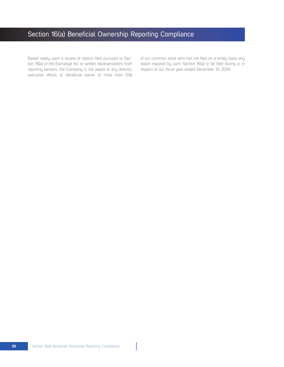# Section 16(a) Beneficial Ownership Reporting Compliance

Based solely upon a review of reports filed pursuant to Sec- of our common stock who has not filed on a timely basis any reporting persons, the Company is not aware of any director, respect of our fiscal year ended December 31, 2014. executive officer, or beneficial owner of more than 10%

tion 16(a) of the Exchange Act or written representations from report required by such Section 16(a) to be filed during or in

18FEB201522184096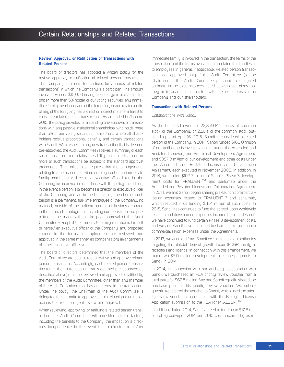The board of directors has adopted a written policy for the review, approval, or ratification of related person transactions.<br>The Company considers transactions (or a series of related chairman of the Audit Committee (or t diate family member of any of the foregoing, or any related entity **Transactions with Related Persons** of any of the foregoing has a direct or indirect material interest to *Collaborations with Sanofi* constitute related person transactions. As amended in January 2015, the policing provides for a standing pre-approval of transac-<br>tons with any passive institutional shareholder who holds more<br>tons which any passive institutional shareholder who holds more<br>than 5% of our voting secu approved in the same manner as compensatory arrangements In 2013, we acquired from Sanofi exclusive rights to antibodies of other executive officers). targeting the platelet derived growth factor (PDGF) family of

tion (other than a transaction that is deemed pre-approved as In 2014, in connection with our antibody collaboration with of the Audit Committee that has an interest in the transaction. purchase price of this priority review voucher. We subse-Under the policy, the Chairman of the Audit Committee is quently transferred the voucher to Sanofi, which used the prioractions that require urgent review and approval. . . . . . . . . . . . . Application submission to the FDA for PRALUENT™.

action, the Audit Committee will consider several factors, lion of agreed-upon 2014 and 2015 costs incurred by us in including the benefits to the Company, the impact on a director's independence in the event that a director or his/her

**Review, Approval, or Ratification of Transactions with** immediate family is involved in the transaction, the terms of the **Related Persons Related Persons transaction**, and the terms available to unrelated third parties or

18FEB201522184560

The board of directors determined that the members of the receptors and ligands. In connection with this arrangement, we<br>Audit Committee are best suited to review and approve related made two \$5.0 million development miles

described above) must be reviewed and approved or ratified by Sanofi, we purchased an FDA priority review voucher from a the members of the Audit Committee, other than any member third party for \$67.5 million. We and Sanofi equally shared the delegated the authority to approve certain related person trans- ity review voucher in connection with the Biologics License

When reviewing, approving, or ratifying a related person trans-<br>In addition, during 2014, Sanofi agreed to fund up to \$17.5 mil-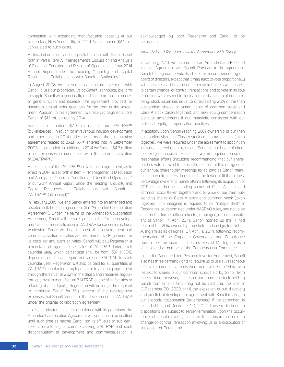Rensselaer, New York facility. In 2014, Sanofi funded \$2.1 mil-<br>permanent. lion related to such costs.

Forth in Part II, Item 7. "Management's Discussion and Analysis In January 2014, we entered into an Amended and Restated of Financial Condition and Results of Operations" of our 2014 Investor Agreement with Sanofi. Pursuan

Sanofi also funded \$7.3 million of our ZALTRAP® historical-equity-compensation-practices. (ziv-aflibercept) Injection for Intravenous Infusion development In addition, upon Sanofi reaching 20% ownership of our then and other costs in 2014 under the terms of the collaboration outstanding shares of Class A stock and common stock (taken agreement related to ZALTRAP® entered into in September together), we were required under the agreement to appoint an 2003, as amended. In addition, in 2014 we funded \$4.7 million individual agreed upon by us and Sanofi to our board of direcof net expenses in connection with the commercialization tors. Subject to certain exceptions, we are required to use our of ZALTRAP®. The control of ZALTRAP®. The control of ZALTRAP®.

restated collaboration agreement (the "Amended Collaboration" Regeneron, as determined under NASDAQ rules, and not to be<br>Agreement''). Under the terms of the Amended Collaboration a current or former officer director emplo Agreement''). Under the terms of the Amended Collaboration a current or former officer, director, employee, or paid consult-<br>Agreement, Sanofi will be solely responsible for the develop-and of Sanofi. In Ancil 2014, Sanofi Agreement, Sanofi will be solely responsible for the develop- ant of Sanofi. In April 2014, Sanofi notified us that it had ment and commercialization of ZALTRAP for cancer indications reached the 20% ownership threshold and designated Robert<br>- worldwide. Sanofi will bear the cost of all development and real poram as its designee. On April 4, worldwide. Sanofi will bear the cost of all development and a A. Ingram as its designee. On April 4, 2014, following recom-<br>Commercialization activities and will reimburse Regeneron for a mendation of the Corporate Governa commercialization activities and will reimburse Regeneron for mendation of the Corporate Governance and Compliance its costs for any such activities. Sanofi will pay Regeneron a committee, the board of directors elected Mr. Ingram as a<br>percentage of aggregate net sales of ZALTRAP during each a director and a member of the Compensation percentage of aggregate net sales of ZALTRAP during each director and a member of the Compensation Committee.<br>calendar year, which percentage shall be from 15% to 30%, calendar year, which percentage shall be from 15% to 30%,<br>depending on the aggregate net sales of ZALTRAP in such<br>calendar year. Regeneron will also be paid for all quantities of<br>zALTRAP manufactured by it pursuant to a su

sees is developing or commercializing ZALTRAP and such liquidation of Regeneron. discontinuation of development and commercialization is

connection with expanding manufacturing capacity at our acknowledged by both Regeneron and Sanofi to be

# *Amended and Restated Investor Agreement with Sanofi* A description of our antibody collaboration with Sanofi is set

In August 2008, we entered into a separate agreement with with the votes cast by all of our other shareholders with respect Sanofi to use our proprietary *VelociGene®* technology platform to certain change-of-control transactions and to vote in its sole to supply Sanofi with genetically modified mammalian models discretion with respect to liquidation or dissolution of our comof gene function and disease. The agreement provided for pany, stock issuances equal to or exceeding 20% of the then minimum annual order quantities for the term of the agree- outstanding shares or voting rights of common stock and ment. Pursuant to this agreement, we received payments from Class A stock (taken together), and new equity compensation Sanofi of \$1.1 million during 2014. **plans or amendments if not materially consistent with our** 

A description of the ZALTRAP® collaboration agreement, as in<br>effect in 2014, is set forth in Item 7, "Management's Discussion<br>and Analysis of Financial Condition and Results of Operations"<br>of our 2014 Annual Report, under In February 2015, we and Sanofi entered into an amended and together). This designee is required to be "independent" of<br>restated collaboration agreement (the "Amended Collaboration pageneron as determined under NASDAO qule

Unless terminated earlier in accordance with its provisions, the dispositions are subject to earlier termination upon the occur-<br>Amended Collaboration Agreement will continue to be in effect conce of certain events, such a Amended Collaboration Agreement will continue to be in effect rence of certain events, such as the consummation of a<br>until such time as neither Sanofi nor its affiliates or sublicen-renance-of-control transaction involving change-of-control transaction involving us or a dissolution or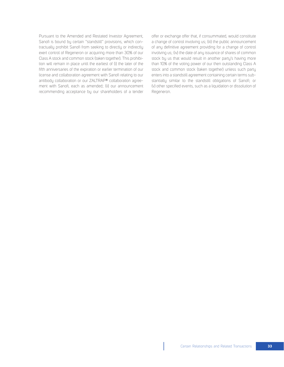Pursuant to the Amended and Restated Investor Agreement, offer or exchange offer that, if consummated, would constitute recommending acceptance by our shareholders of a tender Regeneron.

Sanofi is bound by certain ''standstill'' provisions, which con- a change of control involving us; (iii) the public announcement tractually prohibit Sanofi from seeking to directly or indirectly of any definitive agreement providing for a change of control exert control of Regeneron or acquiring more than 30% of our involving us; (iv) the date of any issuance of shares of common Class A stock and common stock (taken together). This prohibi- stock by us that would result in another party's having more tion will remain in place until the earliest of (i) the later of the than 10% of the voting power of our then outstanding Class A fifth anniversaries of the expiration or earlier termination of our stock and common stock (taken together) unless such party license and collaboration agreement with Sanofi relating to our enters into a standstill agreement containing certain terms subantibody collaboration or our ZALTRAP® collaboration agree-<br>stantially similar to the standstill obligations of Sanofi; or ment with Sanofi, each as amended; (ii) our announcement (v) other specified events, such as a liquidation or dissolution of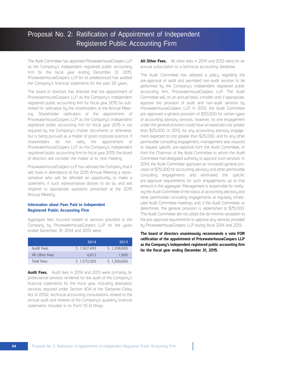# Proposal No. 2: Ratification of Appointment of Independent Registered Public Accounting Firm

as the Company's independent registered public accounting annual subscription to a technical accounting database. Firm for the fiscal year ending December 31, 2015.<br>
PricewaterhouseCoopers LLP (or its predecessor) has audited<br>
the Company's financial statements for the past 26 years.<br>
performed by the Company's independent registered

PricewaterhouseCoopers LLP as the Company's independent Committee will, on an annual basis, consider and, if appropriate, registered public accounting firm for fiscal year 2015 be sub-<br>approve the provision of audit and non-audit services by mitted for ratification by the shareholders at the Annual Meet- PricewaterhouseCoopers LLP. In 2013, the Audit Committee ing. Shareholder ratification of the appointment of pre-approved a general provision of \$50,000 for certain types PricewaterhouseCoopers LLP as the Company's independent of accounting advisory services; however, no one engagement registered public accounting firm for fiscal year 2015 is not under the general provision could have an expected cost greater required by the Company's charter documents or otherwise, than \$25,000. In 2013, for any accounting advisory engagebut is being pursued as a matter of good corporate practice. If ment expected to cost greater than \$25,000, and for any other shareholders do not ratify the appointment of permissible consulting engagement, management was required PricewaterhouseCoopers LLP as the Company's independent to request specific pre-approval from the Audit Committee, or registered public accounting firm for fiscal year 2015, the board from the Chairman of the Audit Committee to whom the Audit of directors will consider the matter at its next meeting. Committee had delegated authority to approve such services. In

Company by PricewaterhouseCoopers LLP for the years by PricewaterhouseCoopers LLP during fiscal 2014 and 2013. ended December 31, 2014 and 2013 were: **The board of directors unanimously recommends a vote FOR**

|                   | 2014        | 2013        |
|-------------------|-------------|-------------|
| Audit Fees        | \$1,567,493 | \$1,298,800 |
| All Other Fees    | 4.812       | 1.800       |
| <b>Total Fees</b> | \$1,572,305 | \$1,300,600 |

**Audit Fees.** Audit fees in 2014 and 2013 were primarily for professional services rendered for the audit of the Company's financial statements for the fiscal year, including attestation services required under Section 404 of the Sarbanes-Oxley Act of 2002, technical accounting consultations related to the annual audit and reviews of the Company's quarterly financial statements included in its Form 10-Q filings.

The Audit Committee has appointed PricewaterhouseCoopers LLP **All Other Fees.** All other fees in 2014 and 2013 were for an

12MAR201510380258

The board of directors has directed that the appointment of accounting firm, PricewaterhouseCoopers LLP. The Audit PricewaterhouseCoopers LLP has advised the Company that it<br>will have in attendance at the 2015 Annual Meeting a repre-<br>sentative who will be afforded an opportunity to make a<br>statement, if such representative desires to do Information about Fees Paid to Independent<br>
Information about Fees Paid to Independent<br>
Registered Public Accounting Firm<br>
The Audit Committee did not utilize the de minimis exception to Aggregate fees incurred related to services provided to the the pre-approval requirements to approve any services provided

ratification of the appointment of PricewaterhouseCoopers LLP<br>as the Company's independent registered public accounting firm<br>for the fiscal year ending December 31, 2015.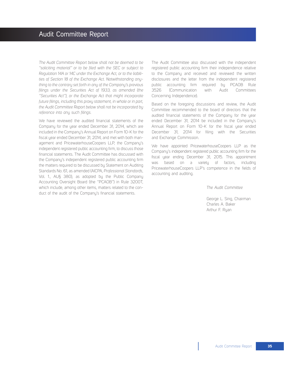*''Securities Act''), or the Exchange Act that might incorporate* Concerning Independence). future filings, including this proxy statement, in whole or in part,<br>the Audit Committee Report below shall not be incorporated by<br>reference into any such filings.<br>andited financial statements of the Company for the year

Company for the year ended December 31, 2014, which are Annual Report on Form 10-K for the fiscal year ended included in the Company's Annual Report on Form 10-K for the December 31, 2014 for filing with the Securities fiscal year ended December 31, 2014, and met with both man- and Exchange Commission. agement and PricewaterhouseCoopers LLP, the Company's<br>
independent registered public accounting firm, to discuss those<br>
financial statements. The Audit Committee has discussed with<br>
the Company's independent registered pub Accounting Oversight Board (the ''PCAOB'') in Rule 3200T, which include, among other items, matters related to the con- *The Audit Committee* duct of the audit of the Company's financial statements.

*The Audit Committee Report below shall not be deemed to be* The Audit Committee also discussed with the independent *''soliciting material'' or to be filed with the SEC or subject to* registered public accounting firm their independence relative *Regulation 14A or 14C under the Exchange Act, or to the liabili-* to the Company and received and reviewed the written *ties of Section 18 of the Exchange Act. Notwithstanding any-* disclosures and the letter from the independent registered *thing to the contrary set forth in any of the Company's previous* public accounting firm required by PCAOB Rule *filings under the Securities Act of 1933, as amended (the* 3526 (Communication with Audit Committees

18FEB201522184560

We have reviewed the audited financial statements of the ended December 31, 2014 be included in the Company's

George L. Sing, Chairman Charles A. Baker Arthur F. Ryan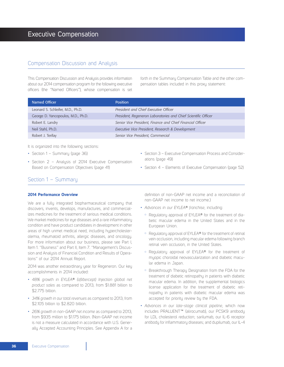# Executive Compensation

# Compensation Discussion and Analysis

about our 2014 compensation program for the following executive pensation tables included in this proxy statement: officers (the ''Named Officers''), whose compensation is set

This Compensation Discussion and Analysis provides information forth in the Summary Compensation Table and the other com-

18FEB201522184096

| Named Officer                      | <b>Position</b>                                                |
|------------------------------------|----------------------------------------------------------------|
| Leonard S. Schleifer, M.D., Ph.D.  | President and Chief Executive Officer                          |
| George D. Yancopoulos, M.D., Ph.D. | President, Regeneron Laboratories and Chief Scientific Officer |
| Robert E. Landry                   | Senior Vice President, Finance and Chief Financial Officer     |
| Neil Stahl, Ph.D.                  | Executive Vice President, Research & Development               |
| Robert J. Terifay                  | Senior Vice President, Commercial                              |

It is organized into the following sections:

- Section 1 Summary (page 36)
- ations (page 49) Section 2 Analysis of 2014 Executive Compensation •
- Section 3 Executive Compensation Process and Consider-
	- Based on Compensation Objectives (page 41) **•** Section 4 Elements of Executive Compensation (page 52)

# Section 1 – Summary

non-GAAP net income to net income.) We are a fully integrated biopharmaceutical company that *discovers, invents, develops, manufactures, and commercial*izes medicines for the treatment of serious medical conditions.  $\qquad \circ \;$  Regulatory approval of EYLEA® for the treatment of dia-We market medicines for eye diseases and a rare inflammatory betic macular edema in the United States and in the condition and have product candidates in development in other European Union. areas of high unmet medical need, including hypercholester-  $\circ$  Regulatory approval of EYLEA® for the treatment of retinal olemia, rheumatoid arthritis, allergic diseases, and oncology.<br>
For more information about our business, please see Part I,<br>
Item 1. "Business" and Part II, Item 7. "Management's Discussion and Analysis of Financial Condition and Results of Opera-

2014 was another extraordinary year for Regeneron. Our key Breakthrough Therapy Designation from the FDA for the accomplishments in 2014 included:

- 48% growth in EYLEA® (aflibercept) Injection global net
- 34% growth in our total revenues as compared to 2013, from accepted for priority review by the FDA.
- ally Accepted Accounting Principles. See Appendix A for a

**2014 Performance Overview definition of non-GAAP net income and a reconciliation of <b>properties** 

- Advances in our EYLEA® franchise, including:
	-
	-
- myopic choroidal neovascularization and diabetic macu- tions'' of our 2014 Annual Report. · Regulatory approval of EYLEA® for the treatment of
	- deal treatment of diabetic retinopathy in patients with diabetic<br>
	growth in EYLEA® (aflibercept) Injection global net<br>
	product sales as compared to 2013, from \$1.881 billion to<br>
	ficense application for the treatment of dia
- \$2.105 billion to \$2.820 billion. *Advances in our late-stage clinical pipeline*, which now • 26% growth in non-GAAP net income as compared to 2013, includes PRALUENT™ (alirocumab), our PCSK9 antibody from \$935 million to \$1.175 billion. (Non-GAAP net income for LDL cholesterol reduction; sarilumab, our IL-6 receptor is not a measure calculated in accordance with U.S. Gener- antibody for inflammatory diseases; and dupilumab, our IL-4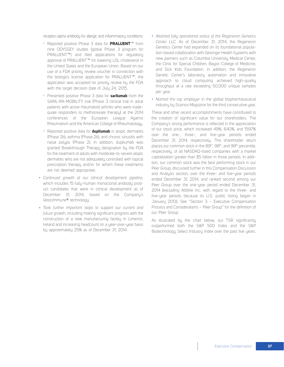- 
- Presented positive Phase 3 data for **sarilumab** from the patients with active rheumatoid arthritis who were inadequate responders to methotrexate therapy) at the 2014 These and other recent accomplishments have contributed to
- Reported positive data for **dupilumab** in atopic dermatitis
- Continued growth of our clinical development pipeline,
- future growth, including making significant progress with the our Peer Group. construction of a new manufacturing facility in Limerick, As illustrated by the chart below, our TSR significantly<br>Ireland and increasing headcount on a year-over-year basis autherformed both the S&P 500 Index and the S&P
- receptor-alpha antibody for allergic and inflammatory conditions: *Attained fully operational status of the Regeneron Genetics*  $\circ$  Reported positive Phase 3 data for PRALUENT™ from and *Center LLC. As of December 31, 2014, the Regeneron* FIMIT (DIVSSEY studies (global Phase 3 program for Genetics Center had expanded on its foundational popula-<br>PRALUENT™) and filed applications for regulatory tion-based collaboration with Geisinger Health Systems with<br>appr per year.
	- *Named the top employer* in the global biopharmaceutical SARIL-RA-MOBILITY trial (Phase 3 clinical trial in adult • Named the top employer in the global biopharmaceutical

conferences of the European League Against the creation of significant value for our shareholders. The Rheumatism and the American College of Rheumatology. Company's strong performance is reflected in the appreciation Reported positive data for **dupilumab** in atopic dermatitis<br>
(Phase 2b), and hronic sinusitis with<br>
masal polyps (Phase 2b), and chronic sinusitis with<br>
masal polyps (Phase 2). In addition, dupilumab was<br>
granted Breakthro *Continued growth of our clinical development pipeline*, ended December 31, 2014, and ranked second among our which includes 15 fully-human monoclonal antibody prod-peer Group over the one-year period ended December 31,<br>uct candidates that were in clinical development as of productional AbbVie Inc. with regard to the three- and uct candidates that were in clinical development as of 2014 (excluding AbbVie Inc. with regard to the three- and December 31, 2014, based on the Company's five-year periods because its U.S. public listing began in January 2013). See "Section 3 – Executive Compensation *Took further important steps to support our current and* Process and Considerations – Peer Group'' for the definition of •

Ireland and increasing headcount on a year-over-year basis outperformed both the S&P 500 Index and the S&P Biotechnology Select Industry Index over the past five years.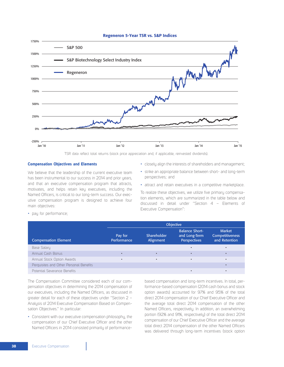

# **Regeneron 5-Year TSR vs. S&P Indices**

We believe that the leadership of the current executive team has been instrumental to our success in 2014 and prior years, perspectives; and and that an executive compensation program that attracts, a catract and retain executives in a competitive marketplace.

- Compensation **Objectives and Elements** entertainment of the interests of shareholders and management;
	- strike an appropriate balance between short- and long-term
	-

motivates, and helps retain key executives, including the<br>Named Officers, is critical to our long-term success. Our exec-<br>utive compensation program is designed to achieve four<br>main objectives:<br>main objectives:<br>Executive C

• pay for performance;

|                                         |                        |                          | <b>Objective</b>                                              |                                                          |
|-----------------------------------------|------------------------|--------------------------|---------------------------------------------------------------|----------------------------------------------------------|
| <b>Compensation Element</b>             | Pay for<br>Performance | Shareholder<br>Alignment | <b>Balance Short-</b><br>and Long-Term<br><b>Perspectives</b> | <b>Market</b><br><b>Competitiveness</b><br>and Retention |
| Base Salary                             |                        |                          |                                                               |                                                          |
| Annual Cash Bonus                       |                        |                          |                                                               |                                                          |
| Annual Stock Option Awards              |                        |                          |                                                               |                                                          |
| Perquisites and Other Personal Benefits |                        |                          |                                                               |                                                          |
| Potential Severance Benefits            |                        |                          |                                                               |                                                          |

The Compensation Committee considered each of our com- based compensation and long-term incentives. In total, perpensation objectives in determining the 2014 compensation of formance-based compensation (2014 cash bonus and stock our executives, including the Named Officers, as discussed in option awards) accounted for 97% and 95% of the total greater detail for each of these objectives under ''Section 2 – direct 2014 compensation of our Chief Executive Officer and Analysis of 2014 Executive Compensation Based on Compen- the average total direct 2014 compensation of the other sation Objectives." In particular: Named Officers, respectively. In addition, an overwhelming

• Consistent with our executive compensation philosophy, the

Consistent with our executive compensation philosophy, the compensation of our Chief Executive Officer and the other<br>Compensation of our Chief Executive Officer and the average compensation of our Chief Executive Officer a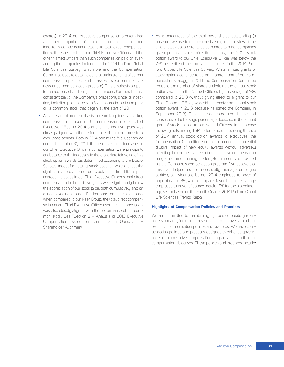- sation of our Chief Executive Officer over the last three years **Highlights of Compensation Policies and Practices** was also closely aligned with the performance of our common stock. See "Section 2 - Analysis of 2013 Executive We are committed to maintaining rigorous corporate govern-• As a result of our emphasis on stock options as a key
- awards). In 2014, our executive compensation program had As a percentage of the total basic shares outstanding (a a higher proportion of both performance-based and measure we use to ensure consistency in our review of the long-term compensation relative to total direct compensa- size of stock option grants as compared to other companies tion with respect to both our Chief Executive Officer and the given potential stock price fluctuations), the 2014 stock other Named Officers than such compensation paid on aver- option award to our Chief Executive Officer was below the age by the companies included in the 2014 Radford Global 75<sup>th</sup> percentile of the companies included in the 2014 Rad-Life Sciences Survey (which we and the Compensation ford Global Life Sciences Survey. While annual grants of Committee used to obtain a general understanding of current stock options continue to be an important part of our comcompensation practices and to assess overall competitive- pensation strategy, in 2014 the Compensation Committee ness of our compensation program). This emphasis on per- reduced the number of shares underlying the annual stock formance-based and long-term compensation has been a option awards to the Named Officers by an average of 16% consistent part of the Company's philosophy since its incep- compared to 2013 (without giving effect to a grant to our tion, including prior to the significant appreciation in the price Chief Financial Officer, who did not receive an annual stock of its common stock that began at the start of 2011. **option award in 2013** because he joined the Company in As a result of our emphasis on stock options as a key<br>
compensation component, the compensation of our Chief<br>
Executive Officer in 2014 and over the last five years was distinguited dubtle-digit percentage decrease in the

Compensation Based on Compensation Objectives – ance standards, including those related to the oversight of our Shareholder Alignment." The state of the state of the executive compensation policies and practices. We have compensation policies and practices designed to enhance governance of our executive compensation program and to further our compensation objectives. These policies and practices include: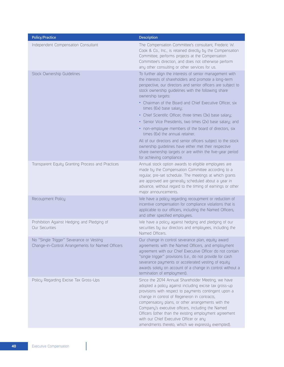| <b>Policy/Practice</b>                                                                        | <b>Description</b>                                                                                                                                                                                                                                                                                                                                                                                                                                                                                                                                                                                                                                                                                                                                                                                |
|-----------------------------------------------------------------------------------------------|---------------------------------------------------------------------------------------------------------------------------------------------------------------------------------------------------------------------------------------------------------------------------------------------------------------------------------------------------------------------------------------------------------------------------------------------------------------------------------------------------------------------------------------------------------------------------------------------------------------------------------------------------------------------------------------------------------------------------------------------------------------------------------------------------|
| Independent Compensation Consultant                                                           | The Compensation Committee's consultant, Frederic W.<br>Cook & Co., Inc., is retained directly by the Compensation<br>Committee, performs projects at the Compensation<br>Committee's direction, and does not otherwise perform<br>any other consulting or other services for us.                                                                                                                                                                                                                                                                                                                                                                                                                                                                                                                 |
| Stock Ownership Guidelines                                                                    | To further align the interests of senior management with<br>the interests of shareholders and promote a long-term<br>perspective, our directors and senior officers are subject to<br>stock ownership guidelines with the following share<br>ownership targets:<br>• Chairman of the Board and Chief Executive Officer, six<br>times (6x) base salary;<br>• Chief Scientific Officer, three times (3x) base salary;<br>• Senior Vice Presidents, two times (2x) base salary; and<br>• non-employee members of the board of directors, six<br>times (6x) the annual retainer.<br>All of our directors and senior officers subject to the stock<br>ownership guidelines have either met their respective<br>share ownership targets or are within the five-year period<br>for achieving compliance. |
| Transparent Equity Granting Process and Practices                                             | Annual stock option awards to eligible employees are<br>made by the Compensation Committee according to a<br>regular, pre-set schedule. The meetings at which grants<br>are approved are generally scheduled about a year in<br>advance, without regard to the timing of earnings or other<br>major announcements.                                                                                                                                                                                                                                                                                                                                                                                                                                                                                |
| Recoupment Policy                                                                             | We have a policy regarding recoupment or reduction of<br>incentive compensation for compliance violations that is<br>applicable to our officers, including the Named Officers,<br>and other specified employees.                                                                                                                                                                                                                                                                                                                                                                                                                                                                                                                                                                                  |
| Prohibition Against Hedging and Pledging of<br><b>Our Securities</b>                          | We have a policy against hedging and pledging of our<br>securities by our directors and employees, including the<br>Named Officers.                                                                                                                                                                                                                                                                                                                                                                                                                                                                                                                                                                                                                                                               |
| No "Single Trigger" Severance or Vesting<br>Change-in-Control Arrangements for Named Officers | Our change in control severance plan, equity award<br>agreements with the Named Officers, and employment<br>agreement with our Chief Executive Officer do not contain<br>"single trigger" provisions (i.e., do not provide for cash<br>severance payments or accelerated vesting of equity<br>awards solely on account of a change in control without a<br>termination of employment).                                                                                                                                                                                                                                                                                                                                                                                                            |
| Policy Regarding Excise Tax Gross-Ups                                                         | Since the 2014 Annual Shareholder Meeting, we have<br>adopted a policy against including excise tax gross-up<br>provisions with respect to payments contingent upon a<br>change in control of Regeneron in contracts,<br>compensatory plans, or other arrangements with the<br>Company's executive officers, including the Named<br>Officers (other than the existing employment agreement<br>with our Chief Executive Officer or any<br>amendments thereto, which we expressly exempted).                                                                                                                                                                                                                                                                                                        |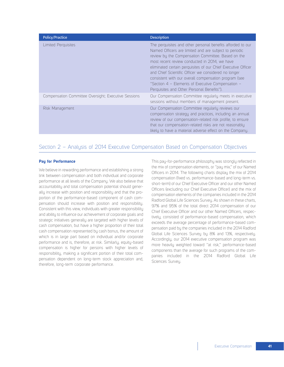| <b>Policy/Practice</b>                               | <b>Description</b>                                                                                                                                                                                                                                                                                                                                                                                                                                                                                                |
|------------------------------------------------------|-------------------------------------------------------------------------------------------------------------------------------------------------------------------------------------------------------------------------------------------------------------------------------------------------------------------------------------------------------------------------------------------------------------------------------------------------------------------------------------------------------------------|
| Limited Perguisites                                  | The perquisites and other personal benefits afforded to our<br>Named Officers are limited and are subject to periodic<br>review by the Compensation Committee. Based on the<br>most recent review conducted in 2014, we have<br>eliminated certain perquisites of our Chief Executive Officer<br>and Chief Scientific Officer we considered no longer<br>consistent with our overall compensation program (see<br>"Section 4 – Elements of Executive Compensation –<br>Perguisites and Other Personal Benefits"). |
| Compensation Committee Oversight; Executive Sessions | Our Compensation Committee regularly meets in executive<br>sessions without members of management present.                                                                                                                                                                                                                                                                                                                                                                                                        |
| Risk Management                                      | Our Compensation Committee regularly reviews our<br>compensation strategy and practices, including an annual<br>review of our compensation-related risk profile, to ensure<br>that our compensation-related risks are not reasonably<br>likely to have a material adverse effect on the Company.                                                                                                                                                                                                                  |

# Section 2 – Analysis of 2014 Executive Compensation Based on Compensation Objectives

We believe in rewarding performance and establishing a strong<br>
link between compensation and both individual and corporate<br>
performance at all text in the columnal web as believe that all the following charge and compensat

**Pay for Performance Pay in Performance Pay for Performance philosophy was strongly reflected in**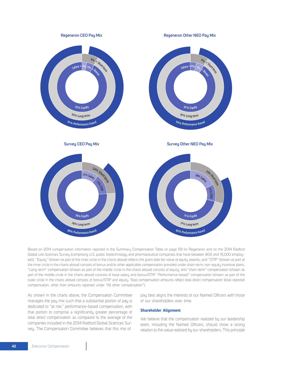

Based on 2014 compensation information reported in the Summary Compensation Table on page 59 for Regeneron and on the 2014 Radford Global Life Sciences Survey (comprising U.S. public biotechnology and pharmaceutical companies that have between 800 and 15,000 employees). ''Equity'' (shown as part of the inner circle in the charts above) reflects the grant date fair value of equity awards; and ''STIP'' (shown as part of the inner circle in the charts above) consists of bonus and/or other applicable compensation provided under short-term, non-equity incentive plans. ''Long-term'' compensation (shown as part of the middle circle in the charts above) consists of equity; and ''short-term'' compensation (shown as part of the middle circle in the charts above) consists of base salary and bonus/STIP. ''Performance-based'' compensation (shown as part of the outer circle in the charts above) consists of bonus/STIP and equity. Total compensation amounts reflect total direct compensation (total reported compensation, other than amounts reported under ''All other compensation'').

manages the pay mix such that a substantial portion of pay is of our shareholders over time. dedicated to ''at risk,'' performance-based compensation, with **Shareholder Alignment** that portion to comprise a significantly greater percentage of total direct compensation as compared to the average of the We believe that the compensation realized by our leadership<br>Companies included in the 2014 Radford Global Sciences Sur-

As shown in the charts above, the Compensation Committee pay best aligns the interests of our Named Officers with those

companies included in the 2014 Radford Global Sciences Sur- team, including the Named Officers, should show a strong relation to the value realized by our shareholders. This principle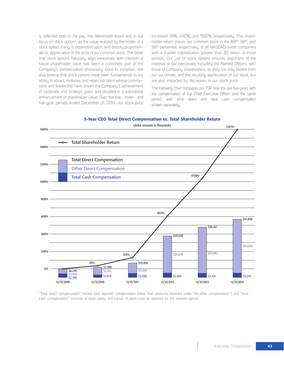focus on stock options, as the value realized by the holder of a holder return places our common stock in the  $89th$ ,  $98th$ , and stock option, if any, is dependent upon, and directly proportion-<br>99<sup>th</sup> percentile, respectively, of all NASDAQ-listed companies ate to, appreciation in the price of our common stock. The belief with a market capitalization greater than \$5 billion in those that stock options naturally align executives with creation of periods. Our use of stock options ensures alignment of the future shareholder value has been a consistent part of the interests of our executives, including the Named Officers, with Company's compensation philosophy since its inception. We those of Company shareholders, as they not only benefit from also believe that stock options have been fundamental to our our successes, and the resulting appreciation of our stock, but ability to attract, motivate, and retain top talent whose contribu- are also impacted by decreases in our stock price. tions and leadership have driven the Company's achievement<br>of corporate and strategic goals and resulted in a substantial the compensation of our Chief Executive Officer over the same<br>enhancement of shareholder value. Over

is reflected both in the pay mix referenced above and in our increased 49%, 640%, and 1597%, respectively. This share-



**5-Year CEO Total Direct Compensation vs. Total Shareholder Return**

''Total direct compensation'' means total reported compensation (other than amounts reported under ''All other compensation'') and ''total cash compensation'' consists of base salary and bonus, in each case as reported for the relevant period.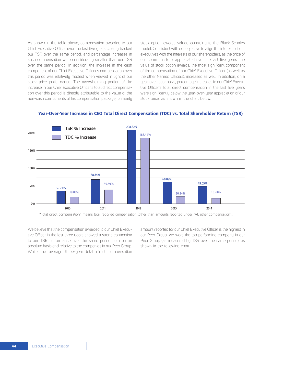Chief Executive Officer over the last five years closely tracked model. Consistent with our objective to align the interests of our our TSR over the same period, and percentage increases in executives with the interests of our shareholders, as the price of such compensation were considerably smaller than our TSR our common stock appreciated over the last five years, the over the same period. In addition, the increase in the cash value of stock option awards, the most significant component component of our Chief Executive Officer's compensation over of the compensation of our Chief Executive Officer (as well as this period was relatively modest when viewed in light of our the other Named Officers), increased as well. In addition, on a stock price performance. The overwhelming portion of the year-over-year basis, percentage increases in our Chief Execuincrease in our Chief Executive Officer's total direct compensa- tive Officer's total direct compensation in the last five years tion over this period is directly attributable to the value of the were significantly below the year-over-year appreciation of our non-cash components of his compensation package, primarily stock price, as shown in the chart below.

As shown in the table above, compensation awarded to our stock option awards valued according to the Black-Scholes



### **Year-Over-Year Increase in CEO Total Direct Compensation (TDC) vs. Total Shareholder Return (TSR)**

''Total direct compensation'' means total reported compensation (other than amounts reported under ''All other compensation'').

tive Officer in the last three years showed a strong connection our Peer Group, we were the top performing company in our to our TSR performance over the same period both on an Peer Group (as measured by TSR over the same period), as absolute basis and relative to the companies in our Peer Group. shown in the following chart. While the average three-year total direct compensation

We believe that the compensation awarded to our Chief Execu- amount reported for our Chief Executive Officer is the highest in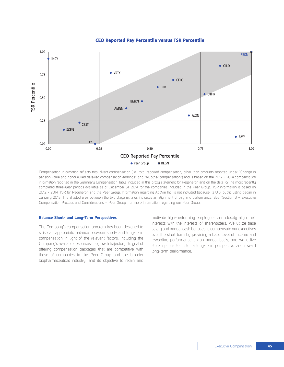

# **CEO Reported Pay Percentile versus TSR Percentile**

Compensation information reflects total direct compensation (*i.e.*, total reported compensation, other than amounts reported under ''Change in pension value and nonqualified deferred compensation earnings'' and ''All other compensation'') and is based on the 2012 - 2014 compensation information reported in the Summary Compensation Table included in this proxy statement for Regeneron and on the data for the most recently completed three-year periods available as of December 31, 2014 for the companies included in the Peer Group. TSR information is based on 2012 - 2014 TSR for Regeneron and the Peer Group. Information regarding AbbVie Inc. is not included because its U.S. public listing began in January 2013. The shaded area between the two diagonal lines indicates an alignment of pay and performance. See ''Section 3 – Executive Compensation Process and Considerations – Peer Group'' for more information regarding our Peer Group.

The Company's compensation program has been designed to<br>strike an appropriate balance between short- and long-term<br>compensation in light of the relevant factors, including the<br>Company's available resources; its growth traj biopharmaceutical industry; and its objective to retain and

**Balance Short- and Long-Term Perspectives motivate high-performing employees and closely align their** interests with the interests of shareholders. We utilize base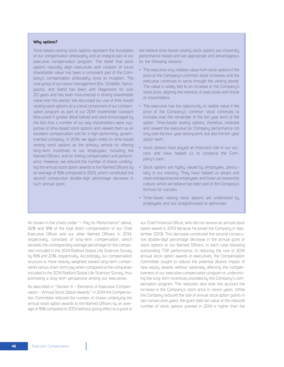### **Why options?**

of our compensation philosophy and an integral part of our performance-based and are appropriate and advantageous executive compensation program. The belief that stock for the following reasons: options naturally align executives with creation of future<br>
shareholder value has been a consistent part of the Com-<br>
pany's compensation philosophy since its inception. The<br>
core group of our senior management (Drs. Schle vesting stock options as a critical component of our compensation program as part of our 2014 shareholder outreach price of the Company's common stock continues to (discussed in greater detail below) and were encouraged by increase over the remainder of the ten-year term of the the fact that a number of our key shareholders were sup- option. Time-based vesting options, therefore, motivate portive of time-based stock options and viewed them as an and reward the executive for Company performance not excellent compensation tool for a high-performing, growth- only over the four-year vesting term, but also the ten-year oriented company. In 2014, we again relied on time-based option term. vesting stock options as the primary vehicle for offering<br>long-term incentives to our employees, including the<br>Named Officers, and for linking compensation and perform-<br>ance. However we reduced the number of shares underlu ing the annual stock option awards to the Named Officers by an average of 16% compared to 2013, which constituted the larly in our industry. They have helped us attract and second consecutive double-digit percentage decrease in retain entrepreneurial employees and foster an ownership such annual grant. Culture, which we believe has been part of the Company's

Time-based vesting stock options represent the foundation We believe time-based vesting stock options are inherently

- The executive only realizes value from stock options if the
- The executive has the opportunity to realize value if the
- Stock options have played an important role in our suc-
- formula for success. • Stock options are highly valued by employees, particu-
- Time-based vesting stock options are understood by employees and are straightforward to administer.

As shown in the charts under "- Pay for Performance" above, our Chief Financial Officer, who did not receive an annual stock 92% and 91% of the total direct compensation of our Chief option award in 2013 because he joined the Company in Sep-Executive Officer and our other Named Officers in 2014, tember 2013). This decrease constituted the second consecurespectively, consisted of long-term compensation, which tive double-digit percentage decrease in the annual grant of exceeds the corresponding average percentage for the compa- stock options to our Named Officers, in each case following nies included in the 2014 Radford Global Life Sciences Survey outstanding TSR performance. In reducing the size of 2014 by 16% and 20%, respectively. Accordingly, our compensation annual stock option awards to executives, the Compensation structure is more heavily weighted toward long-term compo- Committee sought to reduce the potential dilutive impact of nents versus short-term pay when compared to the companies new equity awards without adversely affecting the competiincluded in the 2014 Radford Global Life Sciences Survey, thus tiveness of our executive compensation program or underminpromoting a long-term perspective among our executives. ing the long-term incentives provided by the Company's com-

As described in "Section 4 – Elements of Executive Compen-<br>sation – Annual Stock Option Awards," in 2014 the Compensa-<br>tion Committee reduced the number of shares underlying the<br>annual stock option awards to the Named Offi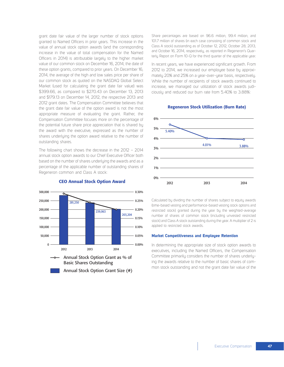increase in the value of total compensation for the Named<br>Officers in 2014) is attributable largely to the higher market lerly Report on Form 10-Q for the third quarter of the applicable year. value of our common stock on December 16, 2014, the date of In recent years, we have experienced significant growth. From \$399.66, as compared to \$270.43 on December 13, 2013 ciously and reduced our burn rate from 5.40% to 3.88%: and \$179.13 on December 14, 2012, the respective 2013 and 2012 grant dates. The Compensation Committee believes that the grant date fair value of the option award is not the most appropriate measure of evaluating the grant. Rather, the Compensation Committee focuses more on the percentage of the potential future share price appreciation that is shared by the award with the executive, expressed as the number of shares underlying the option award relative to the number of outstanding shares.

The following chart shows the decrease in the 2012 – 2014 annual stock option awards to our Chief Executive Officer both based on the number of shares underlying the awards and as a percentage of the applicable number of outstanding shares of Regeneron common and Class A stock:



## **CEO Annual Stock Option Award**

grant date fair value of the larger number of stock options Share percentages are based on 96.6 million, 99.4 million, and<br>Incented to Named Officers in prior uears. This increase in the 101.7 million of shares (in each ca granted to Named Officers in prior years. This increase in the 101.7 million of shares (in each case consisting of common stock and<br>Value of annual stock ontion awards (and the corresponding Class A stock) outstanding as o value of annual stock option awards (and the corresponding Class A stock) outstanding as of October 12, 2012, October 28, 2013,<br>increase in the value of total compensation for the Named and October 16, 2014, respectively,

these option grants, compared to prior years. On December 16, 2012 to 2014, we increased our employee base by approxi-2014, the average of the high and low sales price per share of mately 20% and 25% on a year-over-year basis, respectively. our common stock as quoted on the NASDAQ Global Select While the number of recipients of stock awards continued to Market (used for calculating the grant date fair value) was increase, we managed our utilization of stock awards judi-

# **Regeneron Stock Utilization (Burn Rate)**



Calculated by dividing the number of shares subject to equity awards (time-based vesting and performance-based vesting stock options and restricted stock) granted during the year by the weighted-average number of shares of common stock (including unvested restricted stock) and Class A stock outstanding during the year. A multiplier of 2 is applied to restricted stock awards.

### **Market Competitiveness and Employee Retention**

In determining the appropriate size of stock option awards to executives, including the Named Officers, the Compensation Committee primarily considers the number of shares underlying the awards relative to the number of basic shares of common stock outstanding and not the grant date fair value of the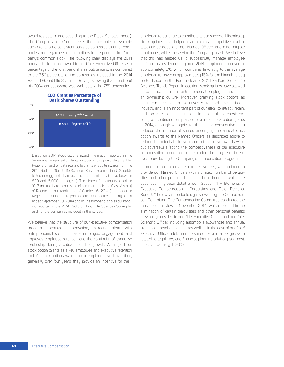The Compensation Committee is therefore able to evaluate stock options have helped us maintain a competitive level of such grants on a consistent basis as compared to other com- total compensation for our Named Officers and other eligible panies and regardless of fluctuations in the price of the Com- employees, while conserving the Company's cash. We believe pany's common stock. The following chart displays the 2014 that this has helped us to successfully manage employee annual stock options award to our Chief Executive Officer as a attrition, as evidenced by our 2014 employee turnover of percentage of the total basic shares outstanding, as compared approximately 6%, which compares favorably to the average to the 75<sup>th</sup> percentile of the companies included in the 2014 employee turnover of approximately 16% for the biotechnology Radford Global Life Sciences Survey, showing that the size of sector based on the Fourth Quarter 2014 Radford Global Life his 2014 annual award was well below the 75<sup>th</sup> percentile: Sciences Trends Report. In addition, stock options have allowed



# **CEO Grant as Percentage of Basic Shares Outstanding**

Regeneron and on data relating to grants of equity awards from the In order to maintain market competitiveness, we continued to<br>2014 Radford Global Life Sciences Survey (comprising U.S. public Incovide our Named Officers w ing reported in the 2014 Radford Global Life Sciences Survey for

program encourages innovation, attracts talent with credit card membership fees (as well as, in the case of our Chief entrepreneurial spirit, increases employee engagement, and Executive Officer, club membership dues and a tax gross-up improves employee retention and the continuity of executive related to legal, tax, and financial planning advisory services), leadership during a critical period of growth. We regard our effective January 1, 2015. stock option grants as a key employee and executive retention tool. As stock option awards to our employees vest over time, generally over four years, they provide an incentive for the

award (as determined according to the Black-Scholes model). employee to continue to contribute to our success. Historically, us to attract and retain entrepreneurial employees and foster an ownership culture. Moreover, granting stock options as long-term incentives to executives is standard practice in our industry and is an important part of our effort to attract, retain, and motivate high-quality talent. In light of these considerations, we continued our practice of annual stock option grants in 2014, although we again (for the second consecutive year) reduced the number of shares underlying the annual stock option awards to the Named Officers as described above to reduce the potential dilutive impact of executive awards without adversely affecting the competitiveness of our executive Based on 2014 stock options award information reported in the compensation program or undermining the long-term incen-<br>Summary Compensation Table included in this proxy statement for tives provided by the Company's compens

2014 Radford Global Life Sciences Survey (comprising U.S. public<br>biotechnology and pharmaceutical companies that have between<br>800 and 15,000 employees). The share information is based on<br>101.7 million shares (consisting of Benefits'' below, are periodically reviewed by the Compensa- Regeneron's Quarterly Report on Form 10-Q for the quarterly period ended September 30, 2014) and on the number of shares outstand- tion Committee. The Compensation Committee conducted the each of the companies included in the survey. elimination of certain perquisites and other personal benefits previously provided to our Chief Executive Officer and our Chief We believe that the structure of our executive compensation Scientific Officer, including automobile allowances and annual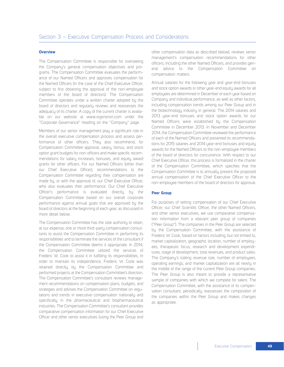The Compensation Committee is responsible for overseeing<br>the Company's general compensation objectives and pro-<br>grams. The Compensation Committee evaluates the perform-<br>ance of our Named Officers and approves compensation the Named Officers (in the case of the Chief Executive Officer, Annual salaries for the following year and year-end bonuses<br>subject to first obtaining the annoyal of the non-employee and stock option awards or other year-e members of the board of directors). The Compensation "Corporate Governance" heading on the "Company" page.

the overall executive compensation process and assess perception of each of the Named Officers and presented its recommenda-<br>formance of other officers. They also recommend, for<br>Compensation Committee approval, salary, bon Officer's performance is evaluated directly by the **Peer Group** Compensation Committee based on our overall corporate performance against annual goals that are approved by the For purposes of setting compensation of our Chief Executive<br>hoard of directors at the beginning of each upar as discussed in Officer, our Chief Scientific Officer, board of directors at the beginning of each year, as discussed in

at our expense, one or more third-party compensation consul-<br>tants to assist the Compensation Committee in performing its<br>responsibilities and to terminate the services of the consultant if<br>the Compensation Committee deems ment recommendations on compensation plans, budgets, and<br>strategies and advises the Compensation Committee on regu-<br>lations and trends in executive compensation nationally and<br>specifically in the pharmaceutical and biophar comparative compensation information for our Chief Executive Officer and other senior executives (using the Peer Group and

**Overview Overview other compensation data as described below), reviews senior** 

subject to first obtaining the approval of the non-employee and stock option awards or other year-end equity awards for all<br>members of the board of directors). The Compensation employees are determined in December of each Committee operates under a written charter adopted by the Company and individual performance, as well as other factors, board of directors and regularly reviews and reassesses the including compensation trends among our Peer Group and in adequacy of its charter. A copy of the current charter is availa- the biotechnology industry in general. The 2014 salaries and ble on our website at *www.regeneron.com* under the 2013 year-end bonuses and stock option awards for our<br>Cornorate-Governance'' heading on the ''Companu'' nage Named Officers were established by the Compensation." Committee in December 2013. In November and December Members of our senior management play a significant role in 2014, the Compensation Committee reviewed the performance<br>the overall executive compensation process and assess per-<br>of oach of the Named Officers and processed i

more detail below. and other senior executives, we use comparative compensa-<br>tion information from a relevant peer group of companies The Compensation Committee has the sole authority to retain, ("Peer Group"). The companies in the Peer Group are selected<br>at our expense, one or more third-party compensation consul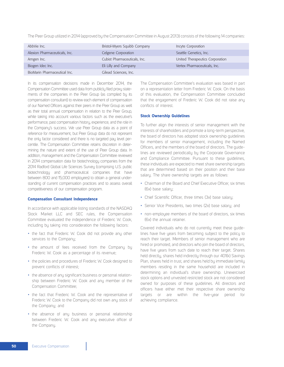The Peer Group utilized in 2014 (approved by the Compensation Committee in August 2013) consists of the following 14 companies:

| AbbVie Inc.                   | Bristol-Myers Squibb Company | Incyte Corporation              |
|-------------------------------|------------------------------|---------------------------------|
| Alexion Pharmaceuticals, Inc. | Celgene Corporation          | Seattle Genetics, Inc.          |
| Amgen Inc.                    | Cubist Pharmaceuticals, Inc. | United Therapeutics Corporation |
| Biogen Idec Inc.              | Eli Lilly and Company        | Vertex Pharmaceuticals, Inc.    |
| BioMarin Pharmaceutical Inc.  | Gilead Sciences, Inc.        |                                 |

In its compensation decisions made in December 2014, the The Compensation Committee's evaluation was based in part Compensation Committee used data from publicly filed proxy state- on a representation letter from Frederic W. Cook. On the basis ments of the companies in the Peer Group (as compiled by its of this evaluation, the Compensation Committee concluded compensation consultant) to review each element of compensation that the engagement of Frederic W. Cook did not raise any of our Named Officers against their peers in the Peer Group as well conflicts of interest. as their total annual compensation in relation to the Peer Group, while taking into account various factors such as the executive's **Stock Ownership Guidelines** Defformance, past compensation history, experience, and the role in<br>the Company's success. We use Peer Group data as a point of<br>interests of shareholders and promote a long-term perspective,<br>the only factor considered and standing of current compensation practices and to assess overall competitiveness of our compensation program. (6x) base salary;

In accordance with applicable listing standards of the NASDAQ Committee evaluated the independence of Frederic W. Cook, (6x) the annual retainer. including by taking into consideration the following factors: Covered individuals who do not currently meet these guide-

- the fact that Frederic W. Cook did not provide any other
- the amount of fees received from the Company by
- the policies and procedures of Frederic W. Cook designed to
- the absence of any significant business or personal relation-
- Frederic W. Cook to the Company did not own any stock of achieving compliance. the Company; and • the fact that Frederic W. Cook and the representative of
- the absence of any business or personal relationship between Frederic W. Cook and any executive officer of the Company.

- Chairman of the Board and Chief Executive Officer, six times
- Chief Scientific Officer, three times (3x) base salary; **Compensation Consultant Independence**
	- Senior Vice Presidents, two times (2x) base salary; and
- Stock Market LLC and SEC rules, the Compensation non-employee members of the board of directors, six times

lines have five years from becoming subject to the policy to services to the Company; the company of their target. Members of senior management who are the amount of fees received from the Company by<br>Frederic W. Cook as a percentage of its revenue;<br>held directly, shares held indirectly through our 401(k) Savings Plan, shares held in trust, and shares held by immediate family prevent conflicts of interest; members residing in the same household are included in the absence of any significant business or personal relation-<br>ship between Frederic W. Cook and any member of the stock options and unvested restricted stock are not considered<br>Compensation Committee; expective share owner targets or are within the five-year period for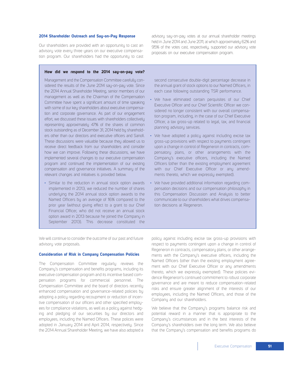### 2014 Shareholder Outreach and Say-on-Pay Response advisory say-on-pay votes at our annual shareholder meetings

Our shareholders are provided with an opportunity to cast an<br>advisory vote every three years on our executive compensa-<br>tion program. Our shareholders had the opportunity to cast<br>tion program. Our shareholders had the oppo

## **How did we respond to the 2014 say-on-pay vote?**

Management and the Compensation Committee carefully con-<br>second consecutive double-digit percentage decrease in sidered the results of the June 2014 say-on-pay vote. Since the annual grant of stock options to our Named Officers, in the 2014 Annual Shareholder Meeting, senior members of our each case following outstanding TSR performance. Committee have spent a significant amount of time speaking<br>
with some of our key shareholders about executive compensa-<br>
tion and corporate governance. As part of our engagement<br>
effort, we discussed these issues with shar ers other than our directors and executive officers and Sanofi. • We have adopted a policy against including excise tax These discussions were valuable because they allowed us to gross-up provisions with respect to payments contingent receive direct feedback from our shareholders and consider upon a change in control of Regeneron in contracts, comhow we can improve. Following these discussions, we have pensatory plans, or other arrangements with the implemented several changes to our executive compensation Company's executive officers, including the Named program and continued the implementation of our existing Officers (other than the existing employment agreement compensation and governance initiatives. A summary of the with our Chief Executive Officer or any amendrelevant changes and initiatives is provided below. ments thereto, which we expressly exempted).

prior year (without giving effect to a grant to our Chief tion decisions at Regeneron. Financial Officer, who did not receive an annual stock option award in 2013 because he joined the Company in September 2013). This decrease constituted the • Similar to the reduction in annual stock option awards

- We have eliminated certain perquisites of our Chief
- •
- We have provided additional information regarding comimplemented in 2013, we reduced the number of shares pensation decisions and our compensation philosophy in underlying the 2014 annual stock option awards to the this Compensation Discussion and Analysis to better Named Officers by an average of 16% compared to the communicate to our shareholders what drives compensa-

ees for compliance violations, as well as a policy against hedg- We believe that the Company's programs balance risk and ing and pledging of our securities by our directors and potential reward in a manner that is appropriate to the employees, including the Named Officers. These polices were Company's circumstances and in the best interests of the adopted in January 2014 and April 2014, respectively. Since Company's shareholders over the long term. We also believe the 2014 Annual Shareholder Meeting, we have also adopted a that the Company's compensation and benefits programs do

We will continue to consider the outcome of our past and future policy against including excise tax gross-up provisions with advisory vote proposals. The respect to payments contingent upon a change in control of Regeneron in contracts, compensatory plans, or other arrange-**Consideration of Risk in Company Compensation Policies** ments with the Company's executive officers, including the The Compensation Committee regularly reviews the<br>Company's compensation and benefits programs, including its<br>executive compensation program and its incentive based com-<br>pensation programs for commercial personnel. The<br>Comp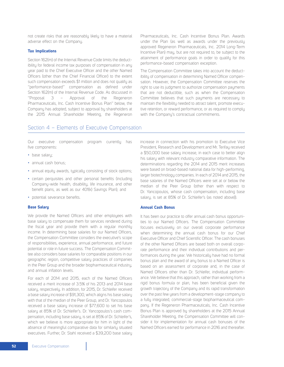not create risks that are reasonably likely to have a material Pharmaceuticals, Inc. Cash Incentive Bonus Plan. Awards

year paid to the Chief Executive Officer and the other Named The Compensation Committee takes into account the deduct-<br>Officers (other than the Chief Financial Officer) to the extent jbility of compensation in determining such compensation exceeds \$1 million and does not qualify as sation. However, the Compensation Committee reserves the ''performance-based'' compensation as defined under right to use its judgment to authorize compensation payments Section 162(m) of the Internal Revenue Code. As discussed in that are not deductible, such as when the Compensation ''Proposal 3 – Approval of the Regeneron Committee believes that such payments are necessary to Pharmaceuticals, Inc. Cash Incentive Bonus Plan'' below, the maintain the flexibility needed to attract talent, promote execu-Company has adopted, subject to approval by shareholders at tive retention, or reward performance, or as required to comply the 2015 Annual Shareholder Meeting, the Regeneron with the Company's contractual commitments.

adverse effect on the Company. The Company were not to the Plan (as well as awards under the previously approved Regeneron Pharmaceuticals, Inc. 2014 Long-Term **Tax Implications Tax Implications** Incentive Plan) may, but are not required to, be subject to the Section 162(m) of the Internal Revenue Code limits the deduct-<br>ibility for federal income tax purposes of compensation in any performance-based compensation exception.

ibility of compensation in determining Named Officer compen-

# Section 4 – Elements of Executive Compensation

Our executive compensation program currently has increase in connection with his promotion to Executive Vice five components: President, Research and Development and Mr. Terifay received

- base salary;
- annual cash bonus;
- 
- certain perquisites and other personal benefits (including
- · potential severance benefits.

We provide the Named Officers and other employees with It has been our practice to offer annual cash bonus opportunibase salary to compensate them for services rendered during ties to our Named Officers. The Compensation Committee<br>the fiscal year and provide them with a regular monthly to focuses exclusively on our overall corporate per the fiscal year and provide them with a regular monthly focuses exclusively on our overall corporate performance<br>Income In-determining-base-salaries-for-our-Named-Officers, when determining the annual cash bonus for our Ch income. In determining base salaries for our Named Officers, when determining the annual cash bonus for our Chief of responsibilities, experience, annual performance, and future of the other Named Officers are based both on overall corpo-<br>potential or role in future success. The Compensation Commit-orate performance and their individu potential or role in future success. The Compensation Commit- rate performance and their individual contributions and pertee also considers base salaries for comparable positions in our formances during the year. We historically have had no formal<br>geographic region, competitive salary practices of companies formances during the award of any in the Peer Group and the broader biopharmaceutical industry, based on an assessment of corporate and, in the case of

pensation, including base salary, is set at 85% of Dr. Schleifer's, Shareholder Meeting, the Compensation Committee will conabsence of meaningful comparative data for similarly situated Named Officers earned for performance in 2016 and thereafter. executives. Further, Dr. Stahl received a \$39,200 base salary

a \$50,000 base salary increase, in each case to better align<br>his salary with relevant industry comparative information. The determinations regarding the 2014 and 2015 merit increases  $\cdot$  annual equity awards, typically consisting of stock options; were based on broad-based national data for high-performing, larger biotechnology companies. In each of 2014 and 2015, the certain perquisites and other personal benefits (including<br>Company-wide health, disability, life insurance, and other and companies of the Named Officers were s Company-wide health, disability, life insurance, and other median of the Peer Group (other than with respect to benefit plans, as well as our 401(k) Savings Plan); and Dr. Yancopoulos, whose cash compensation, including base salary, is set at 85% of Dr. Schleifer's (as noted above)).

# **Base Salary Annual Cash Bonus**

Executive Officer and Chief Scientific Officer. The cash bonuses bonus plan and the award of any bonus to a Named Officer is Named Officers other than Dr. Schleifer, individual perform-For each of 2014 and 2015, each of the Named Officers ance. We believe that this approach, rather than working from a received a merit increase of 3.5% of his 2013 and 2014 base rigid bonus formula or plan, has been beneficial given the salary, respectively. In addition, for 2015, Dr. Schleifer received growth trajectory of the Company and its rapid transformation a base salary increase of \$91,300, which aligns his base salary over the past few years from a development-stage company to with that of the median of the Peer Group, and Dr. Yancopoulos a fully integrated, commercial-stage biopharmaceutical comreceived a base salary increase of \$77,600 to set his base pany. If the Regeneron Pharmaceuticals, Inc. Cash Incentive salary at 85% of Dr. Schleifer's. Dr. Yancopoulos's cash com-<br>Bonus Plan is approved by shareholders at the 2015 Annual which we believe is more appropriate for him in light of the sider it for implementation for annual cash bonuses of the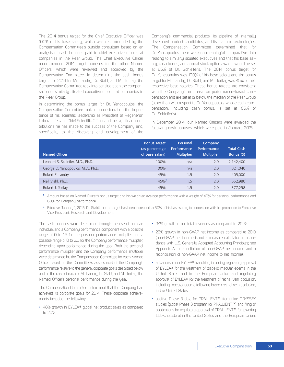Compensation, Committee took into consideration the impor- pensation, including cash bonus, into consideration the impor- Dr. Schleifer's). tance of his scientific leadership as President of Regeneron Laboratories and Chief Scientific Officer and the significant con-<br>tributions he has made to the success of the Company and, trailowing cash boquege which were paid in Japuary 2015 specifically, to the discovery and development of the

The 2014 bonus target for the Chief Executive Officer was Company's commercial products, its pipeline of internally 100% of his base salary, which was recommended by the developed product candidates, and its platform technologies. Compensation Committee's outside consultant based on an The Compensation Committee determined that for analysis of cash bonuses paid to chief executive officers at Dr. Yancopoulos there were no meaningful comparative data companies in the Peer Group. The Chief Executive Officer relating to similarly situated executives and that his base salrecommended 2014 target bonuses for the other Named ary, cash bonus, and annual stock option awards would be set Officers, which were reviewed and approved by the at 85% of Dr. Schleifer's. The 2014 bonus target for Compensation Committee. In determining the cash bonus Dr. Yancopoulos was 100% of his base salary and the bonus targets for 2014 for Mr. Landry, Dr. Stahl, and Mr. Terifay, the target for Mr. Landry, Dr. Stahl, and Mr. Terifay was 45% of their Compensation Committee took into consideration the compen- respective base salaries. These bonus targets are consistent sation of similarly situated executive officers at companies in with the Company's emphasis on performance-based comthe Peer Group. pensation and are set at or below the median of the Peer Group In determining the bonus target for Dr. Yancopoulos, the (other than with respect to Dr. Yancopoulos, whose cash com-<br>Compensation Committee took into consideration the impor- pensation, including cash bonus, is set at 85%

following cash bonuses, which were paid in January 2015.

| Named Officer                      | <b>Bonus Target</b><br>(as percentage<br>of base salary) | Personal<br>Performance<br><b>Multiplier</b> | Company<br>Performance<br><b>Multiplier</b> | <b>Total Cash</b><br>Bonus $(\$)$ |
|------------------------------------|----------------------------------------------------------|----------------------------------------------|---------------------------------------------|-----------------------------------|
| Leonard S. Schleifer, M.D., Ph.D.  | 100%                                                     | n/a                                          | 2.0                                         | 2,142,400                         |
| George D. Yancopoulos, M.D., Ph.D. | 100%                                                     | n/a                                          | 2.0                                         | 1,821,040                         |
| Robert E. Landry                   | 45%                                                      | 1.5                                          | 2.0                                         | 405,000                           |
| Neil Stahl, Ph.D.                  | $45\%^2$                                                 | 1.5                                          | 2.0                                         | 532,980                           |
| Robert J. Terifay                  | 45%                                                      | 1.5                                          | 2.0                                         | 377,298                           |

Amount based on Named Officer's bonus target and his weighted average performance with a weight of 40% for personal performance and **1** 60% for Company performance.

Effective January 1, 2015, Dr. Stahl's bonus target has been increased to 60% of his base salary in connection with his promotion to Executive **2** Vice President, Research and Development.

The cash bonuses were determined through the use of both an individual and a Company performance component with a possible<br>
range of 0 to 1.5 for the personal performance multiplier and a<br>
possible range of 0 to 2.0 for the Company performance multiplier,<br>
depending upon performanc Officer based on the Committee's assessment of the Company's  $\quad \bullet \quad$  advances in our EYLEA® franchise, including regulatory approval performance relative to the general corporate goals described below of EYLEA® for the treatment of diabetic macular edema in the and, in the case of each of Mr. Landry, Dr. Stahl, and Mr. Terifay, the United States and in the European Union and regulatory Named Officer's personal performance during the year. **a**pproval of EYLEA® for the treatment of retinal vein occlusion,

• 48% growth in EYLEA® global net product sales as compared

- 34% growth in our total revenues as compared to 2013;
- 26% growth in non-GAAP net income as compared to 2013
- including macular edema following branch retinal vein occlusion, The Compensation Committee determined that the Company had in the United States; achieved its corporate goals for 2014. These corporate achieve-
- ments included the following: positive Phase 3 data for PRALUENT from nine ODYSSEY studies (global Phase 3 program for PRALUENT™) and filing of<br>applications for regulatory approval of PRALUENT™ for lowering<br>LDL-cholesterol in the United States and the European Union;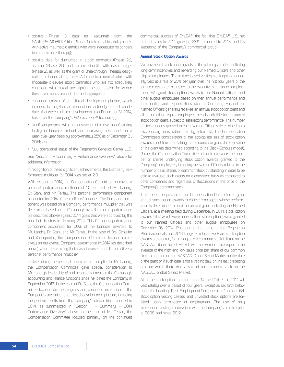- with active rheumatoid arthritis who were inadequate responders leadership of the Company's commercial group. · positive Phase 3 data for sarilumab from the
- to methotrexate therapy); **Annual Stock Option Awards** positive data for dupilumab in atopic dermatitis (Phase 2b), asthma (Phase 2b), and chronic sinusitis with nasal polyps We have used stock option grants as the primary vehicle for offering<br>(Phase 2) as well as the grant of Breakthrough Theranu design long-term incentives and rewardi controlled with topical prescription therapy and/or for whom
- continued growth of our clinical development pipeline, which
- significant progress with the construction of a new manufacturing
- 

In recognition of these significant achievements, the Company per- number of basic shares of common stock outstanding in order to be

personal performance multiplier of 1.5 for each of Mr. Landry, Company's common stock. Dr. Stahl, and Mr. Terifay. The personal performance component It has been the practice of our Compensation Committee to grant<br>accounted for 40% of these officers' bonuses. The Company com-annual stock ontion awards to eli accounted for 40% of these officers' bonuses. The Company com- annual stock option awards to eligible employees whose performponent was based on a Company performance multiplier that was ance is determined to merit an annual grant, including the Named determined based on the Company's overall corporate performance Officers, at a meeting held during December. In 2014, stock option (as described above) against 2014 goals that were approved by the awards (all of which were non-qualified stock options) were granted<br>Board of directors in January 2014. This Company performance and pour abanged Officers a board of directors in January 2014. This Company performance to our Named Officers and other eligible employees on<br>Component accounted for 60% of the bonuses awarded to the personner 16, 2014. Pursuant to the torms of the Mr. Landry, Dr. Stahl, and Mr. Terifay. In the case of Drs. Schleifer pharmaceuticals, Inc. 2014 Long-Term Incentive Plan, stock option<br>and Yancopoulos, the Compensation Committee focused exclu- awards are granted for so l and Yancopoulos, the Compensation Committee focused exclu- awards are granted, for so long as our common stock is listed on the<br>Sively on our overall Company performance in 2014 (as described and spinal Select Market with sively on our overall Company performance in 2014 (as described NASDAQ Global Select Market, with an exercise price equal to the<br>above) when determining their cash bonuses and did not utilize a sa saggape of the bigh and l above) when determining their cash bonuses and did not utilize a average of the high and low sales price per share of our common<br>personal performance multiplier.

the Compensation Committee gave special consideration to date on which there was a sale of our common stock on the Mr. Landry's leadership of and accomplishments in the Company's NASDAQ Global Select Market. accounting and finance functions since he joined the Company in All of the stock options granted to our Named Officers in 2014 will<br>September 2013, In the case of Dr. Stahl, the Compensation Com- west catably over a period September 2013. In the case of Dr. Stahl, the Compensation Com- vest ratably over a period of four years. Except as set forth below mittee focused on the progress and continued expansion of the under the heading ''Post-Employment Compensation'' on page 64, Company's preclinical and clinical development pipeline, including stock option vesting ceases, and unvested stock options are forthe positive results from the Company's clinical trials reported in feited, upon termination of employment. The use of only<br>1901, as summarized in "Section 1 – Summary – 2014 – time-based vesting is consistent with the Com Performance Overview" above. In the case of Mr. Terifay, the to 2008 and since 2012. Compensation Committee focused primarily on the continued

commercial success of EYLEA®, the fact that EYLEA® U.S. net SARIL-RA-MOBILITY trial (Phase 3 clinical trial in adult patients product sales in 2014 grew by 23% compared to 2013, and his

(Phase 2), as well as the grant of Breakthrough Therapy desig- long-term incentives and rewarding our Named Officers and other<br>Ination to dupilumab by the FDA for the treatment of adults with leligible employees. These tim nation to dupilumab by the FDA for the treatment of adults with eligible employees. These time-based vesting stock options genermoderate-to-severe atopic dermatitis who are not adequately ally vest at a rate of 25% per year over the first four years of the<br>controlled with topical prescription therapy and/or for whom ten-year option term, subject to these treatments are not deemed appropriate; ment. We grant stock option awards to our Named Officers and continued growth of our clinical development pipeline, which<br>includes 15 fully-human monoclonal antibody product candi-<br>dates that were in clinical development as of December 31, 2014,<br>based on the Company's VelocImmune® significant progress with the construction of a new manufacturing of stock options granted to each Named Officer is determined on a<br>facility in Limerick, Ireland and increasing headcount on a oriscretionary basis rather th facility in Limerick, Ireland and increasing headcount on a discretionary basis, rather than by a formula. The Compensation<br>year-over-year-basis-by-approximately-25% as of December-31, committee's consideration of the appr year-over-year basis by approximately 25% as of December 31, Committee's consideration of the appropriate size of stock option awards is not limited to taking into account the grant date fair value  $\cdot$  fully operational status of the Regeneron Genetics Center LLC.  $\qquad$  of the grant (as determined according to the Black-Scholes model). See "Section 1 – Summary – Performance Overview" above for<br>additional information.<br>In recognition of these significant achievements, the Company per-<br>In recognition of these significant achievements, the Company per-<br>In um able to evaluate such grants on a consistent basis as compared to With respect to 2014, the Compensation Committee approved a other companies and regardless of fluctuations in the price of the

December 16, 2014. Pursuant to the terms of the Regeneron stock as quoted on the NASDAQ Global Select Market on the date In determining the personal performance multiplier for Mr. Landry, of the grant or, if such date is not a trading day, on the last preceding

time-based vesting is consistent with the Company's practice prior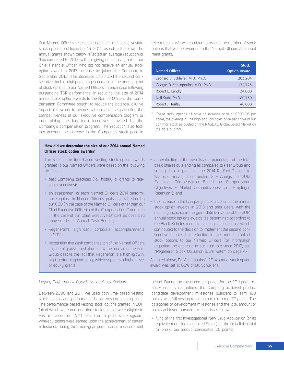stock options on December 16, 2014, as set forth below. The options that will be awarded to the Named Officers as annual annual grants shown below reflected an average reduction of merit grants. 16% compared to 2013 (without giving effect to a grant to our Chief Financial Officer, who did not receive an annual stock option award in 2013 because he joined the Company in September 2013). This decrease constituted the second con-<br>secutive double-digit percentage decrease in the annual grant of stock options to our Named Officers, in each case following<br>outstanding TSR performance. In reducing the size of 2014 annual stock option awards to the Named Officers, the Compensation Committee sought to reduce the potential dilutive impact of new equity awards without adversely affecting the These stock options all have an exercise price of \$399.66 per competitiveness of our executive compensation program or  $\frac{1}{2}$ . These stock options all have an exercise price of \$399.66 per competitiveness of our exercis undermining the long-term incentives provided by the same, the average of the high and low sales price per share of our<br>Company's compensation program. The reduction also took the date of grant.<br>Into account the increase i

# **How did we determine the size of our 2014 annual Named Officer stock option awards?**

The size of the time-based vesting stock option awards

- past Company practices (i.e., history of grants to rele-
- an assessment of each Named Officer's 2014 perform- Retention''); and
- Regeneron's significant corporate accomplishments contributed to the decision to implement the second con-
- high-performing company, which supports a higher level As noted above, Dr. Yancopoulos's 2014 annual stock option of equity grants; award was set at 85% of Dr. Schleifer's. • recognition that cash compensation of the Named Officers

Our Named Officers received a grant of time-based vesting recent years. We will continue to assess the number of stock

| Named Officer                      | Stock<br>Option Award <sup>1</sup> |
|------------------------------------|------------------------------------|
| Leonard S. Schleifer, M.D., Ph.D.  | 203,204                            |
| George D. Yancopoulos, M.D., Ph.D. | 172,723                            |
| Robert E. Landry                   | 34,000                             |
| Neil Stahl, Ph.D.                  | 80,750                             |
| Robert J. Terifay                  | 40.00C                             |

**1**

- granted to our Named Officers were based on the following basic shares outstanding as compared to Peer Group and six factors: survey data, in particular the 2014 Radford Global Life past Company practices (i.e., history of grants to rele-Sciences Survey (see "Section 2 – Analysis of 2013<br>Executive Compensation Based on Compensation<br>Objectives – Market Competitiveness and Employee • an evaluation of the awards as a percentage of the total
	- ance against the Named Officer's goals, as established by<br>our CEO (in the case of the Named Officers other than our<br>Chief Executive Officer) and the Compensation Committee<br>(in the case of our Chief Executive Officer), as d in 2014; secutive double-digit reduction in the annual grant of recognition that cash compensation of the Named Officers stock options to our Named Officers (for information<br>is generally positioned at or below the median of the Peer (Figure 1901)<br>Group despite the fact that Regeneron i • the increase in the Company stock price since the annual

stock options and performance-based vesting stock options. points, with full vesting requiring a minimum of 70 points. The The performance-based vesting stock options granted in 2011 categories of development milestones and the total amount of (all of which were non-qualified stock options) were eligible to points achieved pursuant to each is as follows: vest in December 2014 based on a point scale system,<br>whereby points were earned upon the achievement of certain<br>milestones during the three-year performance measurement<br>for one of our product candidates (20 points);

Legacy Performance-Based Vesting Stock Options **period. During the measurement period** for the 2011 performance-based stock options, the Company achieved product Between 2008 and 2011, we used both time-based vesting candidate development milestones sufficient to earn 103

• filing of the first Investigational New Drug Application (or its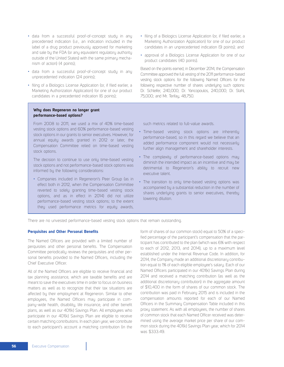- and sale by the FDA (or any equivalent regulatory authority **a** approval of a Biologics License<br>outside of the United States) with the same primary mecha-<br>nism of action) (4 points); · data from a successful proof-of-concept study in any
- 
- candidates in a precedented indication (6 points); 75,000; and Mr. Terifay, 48,750. • filing of a Biologics License Application (or, if filed earlier, a

## **Why does Regeneron no longer grant performance-based options?**

From 2008 to 2011, we used a mix of 40% time-based such metrics related to full-value awards. vesting stock options and 60% performance-based vesting<br>stock options in our grants to senior executives. However, for<br>annual equity awards granted in 2012 or later, the<br>Compensation Committee relied on time-based vesting<br>

Companies included in Regeneron's Peer Group (as in<br>effect both in 2012, when the Compensation Committee<br>reverted to solely granting time-based vesting stock<br>options, and as in effect in 2014) did not utilize<br>performance-b they used performance metrics for equity awards, • Companies included in Regeneron's Peer Group (as in<br>effect both in 2012, when the Compensation Committee • The transition to only time-based vesting options was

- filing of a Biologics License Application (or, if filed earlier, a precedented indication (*i.e.*, an indication included in the Marketing Authorization Application) for one of our product label of a drug product previously approved for marketing candidates in an unprecedented indication (9 points); and
	- approval of a Biologics License Application for one of our

data from a successful proof-of-concept study in any Basedon the pointsearned, in December 2014, the Compensation<br>Committee approved the full vesting of the 2011 performance-based<br>vesting stock options for the following Na following respective number of shares underlying such options: Marketing Authorization Application) for one of our product Dr. Schleifer, 240,000; Dr. Yancopoulos, 240,000; Dr. Stahl,

- Time-based vesting stock options are inherently
- The decision to continue to use only time-based vesting<br>stock options and not performance-based stock options was<br>informed by the following considerations:<br>informed by the following considerations:<br>executive talent. • The complexity of performance-based options may
	-

There are no unvested performance-based vesting stock options that remain outstanding.

meant to save the executives time in order to focus on business additional discretionary contribution) in the aggregate amount<br>matters as well as to reconnize that their tax situations are  $\sim$  0f \$10,400 in the form of sh matters as well as to recognize that their tax situations are of \$10,400 in the form of shares of our common stock. The affected by their employment at Regeneron. Similar to other contribution was paid in February 2015 and is included in the pany-wide health, disability, life insurance, and other benefit Officers in the Summary Compensation Table included in this plans, as well as our 401(k) Savings Plan. All employees who proxy statement. As with all employees, the number of shares participate in our 401(k) Savings Plan are eligible to receive of common stock that each Named Officer received was detercertain matching contributions. In each plan year, we contribute mined using the average market price per share of our com-<br>to each participant's account a matching contribution (in the mon stock during the 401(k) Savings to each participant's account a matching contribution (in the

**Perquisites and Other Personal Benefits** *CONDER 10* **Form of shares of our common stock) equal to 50% of a speci-**The Named Officers are provided with a limited number of fied percentage of the participant's compensation that the par-<br>perquisites and other personal benefits. The Compensation to each of 2012, 2013, and 2014), up to a m sonal benefits provided to the Named Officers, including the 2014, the Company made an additional discretionary contribu-<br>Chief Executive Officer. tion equal to 1% of each eligible employee's salary. Each of our All of the Named Officers are eligible to receive financial and Named Officers participated in our 401(k) Savings Plan during<br>Lax planning assistance, which are taxable benefits and are 2014 and received a matching contrib tax planning assistance, which are taxable benefits and are  $\qquad$  2014 and received a matching contribution (as well as the meant to save the executives time in order to focus on business additional discretionary contribut employees, the Named Officers may participate in com- compensation amounts reported for each of our Named was \$333.49.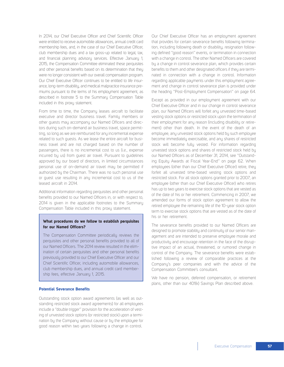were entitled to receive automobile allowances, annual credit card that provides for certain severance benefits following terminamembership fees, and, in the case of our Chief Executive Officer, tion, including following death or disability, resignation followclub membership dues and a tax gross-up related to legal, tax, ing defined ''good reason'' events, or termination in connection and financial planning advisory services. Effective January 1, with a change in control. The other Named Officers are covered 2015, the Compensation Committee eliminated these perquisites by a change in control severance plan, which provides certain and other personal benefits based on its determination that they benefits to them and other designated officers if they are termiwere no longer consistent with our overall compensation program. nated in connection with a change in control. Information Our Chief Executive Officer continues to be entitled to life insur- regarding applicable payments under this employment agreeance, long-term disability, and medical malpractice insurance pre- ment and change in control severance plan is provided under miums pursuant to the terms of his employment agreement, as the heading ''Post-Employment Compensation'' on page 64. described in footnote 5 to the Summary Compensation Table<br>included in our employment agreement with our included in this proxy statement.<br>Chief Executive Officer and in our change in control severance

other guests may accompany our Named Officers and direc- their employment for any reason (including disability or retireincurred by us) from quest air travel. Pursuant to quidelines our Named Officers as of December 31, 2014, see "Outstand-

# **What procedures do we follow to establish perquisites** The severance benefits provided to our Named Officers are **for our Named Officers?**

club membership dues, and annual credit card member- Compensation Committee's consultant.

# **Potential Severance Benefits**

Outstanding stock option award agreements (as well as outstanding restricted stock award agreements) for all employees include a ''double trigger'' provision for the acceleration of vesting of unvested stock options (or restricted stock) upon a termination by the Company without cause or by the employee for good reason within two years following a change in control.

In 2014, our Chief Executive Officer and Chief Scientific Officer Our Chief Executive Officer has an employment agreement

From time to time, the Company leases aircraft to facilitate plan, our Named Officers will forfeit any unvested time-based executive and director business travel. Family members or vesting stock options or restricted stock upon the termination of tors during such on-demand air business travel, space permit- ment) other than death. In the event of the death of an ting, so long as we are reimbursed for any incremental expense employee, any unvested stock options held by such employee related to such guests. As we lease the entire aircraft for busi- become immediately exercisable, and any shares of restricted ness travel and are not charged based on the number of stock will become fully vested. For information regarding passengers, there is no incremental cost to us (*i.e.*, expense unvested stock options and shares of restricted stock held by approved by our board of directors, in limited circumstances ing Equity Awards at Fiscal Year-End'' on page 62. When personal use of on-demand air travel may be permitted if employees (other than our Chief Executive Officer) retire, they authorized by the Chairman. There was no such personal use forfeit all unvested time-based vesting stock options and or guest use resulting in any incremental cost to us of the restricted stock. For all stock options granted prior to 2007, an leased aircraft in 2014. employee (other than our Chief Executive Officer) who retires Additional information regarding perquisites and other personal<br>benefits provided to our Named Officers in, or with respect to,<br>2014 is given in the applicable footnotes to the Summary<br>Compensation Table included in this p his or her retirement.

designed to promote stability and continuity of our senior man-The Compensation Committee periodically reviews the agement and are intended to preserve employee morale and perquisites and other personal benefits provided to all of productivity and approximate retention in the face of perquisites and other personal benefits provided to all of productivity and encourage retention in the face of the disrupour Named Officers. The 2014 review resulted in the elim- tive impact of an actual, threatened, or rumored change in ination of certain perquisites and other personal benefits control of the Company. The severance benefits were estab-<br>- previously provided to our Chief Executive Officer and our chief and following a review of comparable previously provided to our Chief Executive Officer and our lished following a review of comparable practices at the Company's peer companies and with the advice of the

> We have no pension, deferred compensation, or retirement plans, other than our 401(k) Savings Plan described above.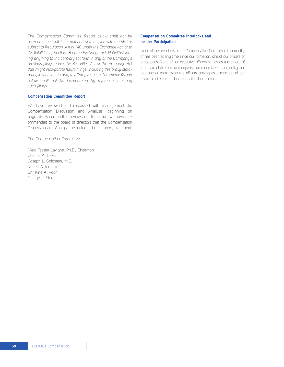*The Compensation Committee Report below shall not be* **Compensation Committee Interlocks and** *deemed to be ''soliciting material'' or to be filed with the SEC or* **Insider Participation** subject to Regulation 14A or 14C under the Exchange Act, or to<br>the liabilities of Section 18 of the Exchange Act. Notwithstand-<br>ing anything to the contrary set forth in any of the Company's<br>previous filings under the Secu *such filings.*

### **Compensation Committee Report**

We have reviewed and discussed with management the Compensation Discussion and Analysis, beginning on page 36. Based on that review and discussion, we have recommended to the board of directors that the Compensation Discussion and Analysis be included in this proxy statement.

*The Compensation Committee*

Marc Tessier-Lavigne, Ph.D., Chairman Charles A. Baker Joseph L. Goldstein, M.D. Robert A. Ingram Christine A. Poon George L. Sing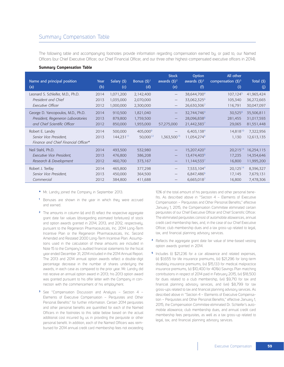# Summary Compensation Table

The following table and accompanying footnotes provide information regarding compensation earned by, or paid to, our Named Officers (our Chief Executive Officer, our Chief Financial Officer, and our three other highest-compensated executive officers in 2014).

### **Summary Compensation Table**

| Name and principal position<br>(a)   | Year<br>(b) | Salary $(\frac{4}{5})$<br>(c) | Bonus $(\frac{4}{5})^1$<br>(d) | <b>Stock</b><br>awards $(\frac{2}{3})^2$<br>(e) | Option<br>awards $(\frac{4}{5})^2$<br>(f) | All other<br>compensation $(\frac{4}{5})^3$<br>(i) | Total $($ math)<br>(i) |
|--------------------------------------|-------------|-------------------------------|--------------------------------|-------------------------------------------------|-------------------------------------------|----------------------------------------------------|------------------------|
| Leonard S. Schleifer, M.D., Ph.D.    | 2014        | 1,071,200                     | 2,142,400                      | $\qquad \qquad -$                               | 38,644,7004                               | 107,124 <sup>5</sup>                               | 41,965,424             |
| President and Chief                  | 2013        | 1,035,000                     | 2,070,000                      | $\qquad \qquad -$                               | 33,062,3256                               | 105,340                                            | 36,272,665             |
| Executive Officer                    | 2012        | 1,000,000                     | 2,300,000                      | $\qquad \qquad -$                               | 26,630,3067                               | 116,791                                            | 30,047,097             |
| George D. Yancopoulos, M.D., Ph.D.   | 2014        | 910,500                       | 1,821,040                      | $\overline{\phantom{0}}$                        | 32,744,7464                               | $30,525^8$                                         | 35,506,811             |
| President, Regeneron Laboratories    | 2013        | 879,800                       | 1,759,500                      | —                                               | 28,096,8386                               | 281,455                                            | 31,017,593             |
| and Chief Scientific Officer         | 2012        | 850,000                       | 1,955,000                      | 57,275,000                                      | 21,442,3837                               | 29,065                                             | 81,551,448             |
| Robert E. Landry                     | 2014        | 500,000                       | 405,000 <sup>9</sup>           |                                                 | 6,403,1384                                | 14,81810                                           | 7,322,956              |
| Senior Vice President,               | 2013        | $144,231$ <sup>11</sup>       | 50,000 <sup>12</sup>           | 1,363,500 <sup>13</sup>                         | 11,054,274 <sup>6</sup>                   | 1,130                                              | 12,613,135             |
| Finance and Chief Financial Officer* |             |                               |                                |                                                 |                                           |                                                    |                        |
| Neil Stahl, Ph.D.                    | 2014        | 493,500                       | 532,980                        | $\qquad \qquad -$                               | 15,207,420 <sup>4</sup>                   | $20,215^{14}$                                      | 16,254,115             |
| Executive Vice President,            | 2013        | 476,800                       | 386,208                        | $\qquad \qquad -$                               | 13,474,403 <sup>6</sup>                   | 17,235                                             | 14,354,646             |
| Research & Development               | 2012        | 460,700                       | 373,167                        | $\qquad \qquad -$                               | 11,144,533 <sup>7</sup>                   | 16,800                                             | 11,995,200             |
| Robert J. Terifay                    | 2014        | 465,800                       | 377,298                        | $\overline{\phantom{0}}$                        | 7,533,1044                                | $20,125^{14}$                                      | 8,396,327              |
| Senior Vice President,               | 2013        | 450,000                       | 364,500                        | —                                               | 6,847,4866                                | 17,145                                             | 7,679,131              |
| Commercial                           | 2012        | 384,800                       | 411,688                        | —                                               | 6,665,0187                                | 16,800                                             | 7,478,306              |

- \* Mr. Landry joined the Company in September 2013.
- <sup>1</sup> Bonuses are shown in the year in which they were accrued
- The amounts in column (e) and (f) reflect the respective aggregate perquisites of our Chief Executive Officer and Chief Scientific Officer. **2** grant date fair values (disregarding estimated forfeitures) of stock The eliminated perquisites consist of automobile allowances, annual and option awards granted in 2014, 2013, and 2012, respectively, credit card membership fees, and, in the case of our Chief Executive pursuant to the Regeneron Pharmaceuticals, Inc. 2014 Long-Term Officer, club membership dues and a tax gross-up related to legal, Incentive Plan or the Regeneron Pharmaceuticals, Inc. Second lax, and financial planning advisory services. Amended and Restated 2000 Long-Term Incentive Plan. Assump-https://www.filects.the aggregate grant date fair value of time-based vesting<br>tions used in the calculation of these amounts are included in apprion awards granted
- bursed for 2014 annual credit card membership fees not exceeding <sup>3</sup> See "Compensation Discussion and Analysis - Section 4 -

10% of the total amount of his perquisites and other personal benefits. As described above in ''Section 4 – Elements of Executive Bonuses are shown in the year in which they were accrued Compensation – Perquisites and Other Personal Benefits,'' effective<br>January 1, 2015, the Compensation Committee eliminated certain

- 
- year ended December 31, 2014 included in the 2014 Annual Report.  $\,$   $\,$  **5**  $\,$  Includes (i) \$21,236 for a car allowance and related expenses, The 2013 and 2014 annual option awards reflect a double-digit (ii) \$1,655 for life insurance premiums, (iii) \$21,296 for long-term percentage decrease in the number of shares underlying the disability insurance premiums, (iv) \$15,133 for medical malpractice awards, in each case as compared to the prior year. Mr. Landry did insurance premiums, (v) \$10,400 for 401(k) Savings Plan matching not receive an annual option award in 2013; his 2013 option award contributions in respect of 2014 paid in February 2015, (vi) \$18,500 was granted pursuant to his offer letter with the Company in con- for dues related to a club membership, (vii) \$9,710 for tax and nection with the commencement of his employment. The state of inancial planning advisory services, and (viii) \$8,799 for tax See "Compensation Discussion and Analysis – Section 4 –<br>Elements of Executive Compensation – Perquisites and Other<br>Personal Benefits," for further information. Certain 2014 perquisites<br>and other personal benefits are quant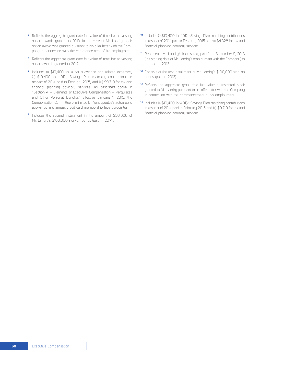- option awards granted in 2013. In the case of Mr. Landry, such option award was granted pursuant to his offer letter with the Com- financial planning advisory services. <sup>6</sup> Reflects the aggregate grant date fair value of time-based vesting
- option awards granted in 2012. 7 Reflects the aggregate grant date fair value of time-based vesting
- (ii) \$10,400 for 401(k) Savings Plan matching contributions in bonus (paid in 2013). respect of 2014 paid in February 2015, and (iii) \$9,710 for tax and<br>financial planning advisory services. As described above in "Section 4 – Elements of Executive Compensation – Perquisites and Other Personal Benefits," ef 8 Includes (i) \$10,400 for a car allowance and related expenses,
- financial planning advisory services. Includes the second installment in the amount of \$50,000 of **9** Mr. Landry's \$100,000 sign-on bonus (paid in 2014).
- **<sup>10</sup>** Includes (i) \$10,400 for 401(k) Savings Plan matching contributions in respect of 2014 paid in February 2015 and (ii) \$4,328 for tax and
- pany in connection with the commencement of his employment. **11** Represents Mr. Landry's base salary paid from September 9, 2013 (the starting date of Mr. Landry's employment with the Company) to
	- <sup>12</sup> Consists of the first installment of Mr. Landry's \$100,000 sign-on
	- <sup>13</sup> Reflects the aggregate grant date fair value of restricted stock
- Compensation Committee eliminated Dr. Yancopoulos's automobile **14** Includes (i) \$10,400 for 401(k) Savings Plan matching contributions allowance and annual credit card membership fees perquisites. in respect of 2014 paid in February 2015 and (ii) \$9,710 for tax and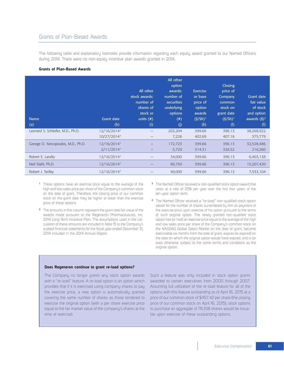# Grants of Plan-Based Awards

The following table and explanatory footnotes provide information regarding each equity award granted to our Named Officers during 2014. There were no non-equity incentive plan awards granted in 2014.

# **Grants of Plan-Based Awards**

| <b>Name</b><br>(a)                 | <b>Grant date</b><br>(b)                   | All other<br>stock awards:<br>number of<br>shares of<br>stock or<br>units $(*)$<br>(i) | All other<br>option<br>awards:<br>number of<br>securities<br>underlying<br>options<br>$^{(+)}$<br>(j) | <b>Exercise</b><br>or base<br>price of<br>option<br>awards<br>$(\frac{5}{5})^1$<br>(k) | Closing<br>price of<br>Company<br>common<br>stock on<br>grant date<br>$($ \$/Sh) <sup>1</sup><br>(1) | <b>Grant date</b><br>fair value<br>of stock<br>and option<br>awards $(\frac{2}{3})^2$<br>$\langle$ |
|------------------------------------|--------------------------------------------|----------------------------------------------------------------------------------------|-------------------------------------------------------------------------------------------------------|----------------------------------------------------------------------------------------|------------------------------------------------------------------------------------------------------|----------------------------------------------------------------------------------------------------|
| Leonard S. Schleifer, M.D., Ph.D.  | 12/16/2014 <sup>3</sup><br>10/27/20144     |                                                                                        | 203,204<br>7,226                                                                                      | 399.66<br>402.69                                                                       | 396.13<br>407.16                                                                                     | 38,268,922<br>375,779                                                                              |
| George D. Yancopoulos, M.D., Ph.D. | $12/16/2014^{3}$<br>2/11/2014 <sup>4</sup> |                                                                                        | 172,723<br>5,720                                                                                      | 399.66<br>314.31                                                                       | 396.13<br>326.52                                                                                     | 32,528,486<br>216,260                                                                              |
| Robert E. Landry                   | $12/16/2014^3$                             |                                                                                        | 34,000                                                                                                | 399.66                                                                                 | 396.13                                                                                               | 6,403,138                                                                                          |
| Neil Stahl, Ph.D.                  | 12/16/2014 <sup>3</sup>                    |                                                                                        | 80,750                                                                                                | 399.66                                                                                 | 396.13                                                                                               | 15,207,420                                                                                         |
| Robert J. Terifay                  | $12/16/2014^3$                             |                                                                                        | 40,000                                                                                                | 399.66                                                                                 | 396.13                                                                                               | 7,533,104                                                                                          |

- on the date of grant. Therefore, the closing price of our common ten-year option term.<br>stock on the grant date may be higher or lower than the exercise
- $^{\rm 2}$  The amounts in this column represent the grant date fair value of the  $\quad$  the exercise price upon exercise of his option pursuant to the terms audited financial statements for the fiscal year ended December 31,
- $^{\rm 1}$  These options have an exercise price equal to the average of the  $^{\rm 1}$  The Named Officer received a non-qualified stock option award that high and low sales price per share of the Company's common stock vests at a rate of 25% per year over the first four years of the
	- stock on the grant date may be higher or lower than the exercise  $\hskip1cm{\rm 4}$  The Named Officer received a ''re-load'' non-qualified stock option<br>award for the number of shares surrendered by him as payment of awards made pursuant to the Regeneron Pharmaceuticals, Inc. of such original option. The newly granted non-qualified stock<br>2014 Long-Term Incentive Plan. The assumptions used in the cal-option has (or had) an exercise pric option has (or had) an exercise price equal to the average of the high culation of these amounts are included in Note 15 to the Company's and low sales price per share of the Company's common stock on audited financial statements for the fiscal year ended December 31, the NASDAQ Global Select 2014 included in the 2014 Annual Report. expired in the 2014 Annual Report. expired) on exercisable six months from the date of grant, expires (or expired) on the date on which the original option would have expired, and is (or was) otherwise subject to the same terms and conditions as the original option.

# **Does Regeneron continue to grant re-load options?**

The Company no longer grants any stock option awards Such a feature was only included in stock option grants with a ''re-load'' feature. A re-load option is an option which awarded to certain executives from 2000 through 2007. provides that if it is exercised using company shares to pay Assuming full utilization of the re-load feature for all of the the exercise price, a new option is automatically granted options with this feature outstanding as of April 16, 2015 at a covering the same number of shares as those tendered to price of our common stock of \$457.42 per share (the closing exercise the original option (with a per share exercise price price of our common stock on April 16, 2015), stock options equal to the fair market value of the company's shares at the to purchase an aggregate of 76,108 shares would be issuatime of exercise). ble upon exercise of these outstanding options.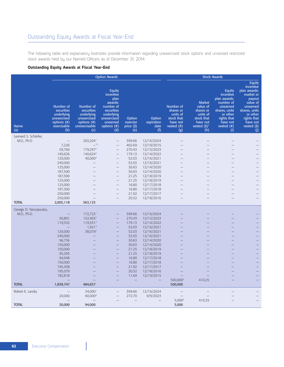# Outstanding Equity Awards at Fiscal Year-End

The following table and explanatory footnotes provide information regarding unexercised stock options and unvested restricted stock awards held by our Named Officers as of December 31, 2014.

# **Outstanding Equity Awards at Fiscal Year-End**

|                        |                                                                                             |                                                                                               | <b>Option Awards</b>                                                                                                             |                                           |                                     |                                                                                      |                                                                                                                 |                                                                                                                                             |                                                                                                                                                                     |
|------------------------|---------------------------------------------------------------------------------------------|-----------------------------------------------------------------------------------------------|----------------------------------------------------------------------------------------------------------------------------------|-------------------------------------------|-------------------------------------|--------------------------------------------------------------------------------------|-----------------------------------------------------------------------------------------------------------------|---------------------------------------------------------------------------------------------------------------------------------------------|---------------------------------------------------------------------------------------------------------------------------------------------------------------------|
| <b>Name</b><br>(a)     | Number of<br>securities<br>underlying<br>unexercised<br>options $(*)$<br>exercisable<br>(b) | Number of<br>securities<br>underlying<br>unexercised<br>options $(*)$<br>unexercisable<br>(c) | Equity<br>incentive<br>plan<br>awards:<br>number of<br>securities<br>underlying<br>unexercised<br>unearned<br>options (#)<br>(d) | Option<br>exercise<br>price $(\$)$<br>(e) | Option<br>expiration<br>date<br>(f) | Number of<br>shares or<br>units of<br>stock that<br>have not<br>vested $(\#)$<br>(g) | <b>Market</b><br>value of<br>shares or<br>units of<br>stock that<br>have not<br>vested $(\frac{2}{3})^7$<br>(h) | Equity<br>incentive<br>plan awards:<br>number of<br>unearned<br>shares, units<br>or other<br>rights that<br>have not<br>vested $(*)$<br>(i) | Equity<br>incentive<br>plan awards:<br>market or<br>payout<br>value of<br>unearned<br>shares, units<br>or other<br>rights that<br>have not<br>vested $($ \$)<br>(i) |
| Leonard S. Schleifer,  |                                                                                             |                                                                                               |                                                                                                                                  |                                           |                                     |                                                                                      |                                                                                                                 |                                                                                                                                             |                                                                                                                                                                     |
| M.D., Ph.D.            |                                                                                             | $203,204$ <sup>1</sup>                                                                        |                                                                                                                                  | 399.66                                    | 12/16/2024                          |                                                                                      |                                                                                                                 |                                                                                                                                             |                                                                                                                                                                     |
|                        | 7,226                                                                                       | $-10$                                                                                         |                                                                                                                                  | 402.69                                    | 12/19/2015                          |                                                                                      |                                                                                                                 |                                                                                                                                             |                                                                                                                                                                     |
|                        | 59,766                                                                                      | 179,297 <sup>2</sup>                                                                          | $\equiv$                                                                                                                         | 270.43                                    | 12/13/2023                          |                                                                                      |                                                                                                                 |                                                                                                                                             |                                                                                                                                                                     |
|                        | 140,626                                                                                     | 140,624 <sup>3</sup>                                                                          |                                                                                                                                  | 179.13                                    | 12/14/2022                          |                                                                                      |                                                                                                                 |                                                                                                                                             |                                                                                                                                                                     |
|                        | 120,000                                                                                     | 40,000 <sup>4</sup>                                                                           | $\overline{\phantom{0}}$                                                                                                         | 52.03                                     | 12/16/2021                          |                                                                                      |                                                                                                                 |                                                                                                                                             |                                                                                                                                                                     |
|                        | 240,000                                                                                     | $\overline{\phantom{0}}$                                                                      |                                                                                                                                  | 52.03                                     | 12/16/2021                          |                                                                                      |                                                                                                                 |                                                                                                                                             |                                                                                                                                                                     |
|                        | 125,000                                                                                     |                                                                                               |                                                                                                                                  | 30.63                                     | 12/14/2020                          |                                                                                      |                                                                                                                 |                                                                                                                                             |                                                                                                                                                                     |
|                        | 187,500                                                                                     |                                                                                               |                                                                                                                                  | 30.63                                     | 12/14/2020                          |                                                                                      |                                                                                                                 |                                                                                                                                             |                                                                                                                                                                     |
|                        | 187,500                                                                                     |                                                                                               | $\overline{\phantom{0}}$                                                                                                         | 21.25                                     | 12/18/2019                          |                                                                                      |                                                                                                                 |                                                                                                                                             |                                                                                                                                                                     |
|                        | 125,000                                                                                     |                                                                                               | $\overline{\phantom{0}}$                                                                                                         | 21.25                                     | 12/18/2019                          |                                                                                      |                                                                                                                 |                                                                                                                                             |                                                                                                                                                                     |
|                        | 125,000                                                                                     |                                                                                               |                                                                                                                                  | 16.80                                     | 12/17/2018                          |                                                                                      |                                                                                                                 |                                                                                                                                             |                                                                                                                                                                     |
|                        | 187,500                                                                                     |                                                                                               | $\overline{\phantom{0}}$                                                                                                         | 16.80<br>21.92                            | 12/17/2018                          |                                                                                      |                                                                                                                 |                                                                                                                                             |                                                                                                                                                                     |
|                        | 250,000                                                                                     |                                                                                               | $\equiv$                                                                                                                         | 20.32                                     | 12/17/2017                          |                                                                                      |                                                                                                                 |                                                                                                                                             |                                                                                                                                                                     |
| <b>TOTAL</b>           | 250,000<br>2,005,118                                                                        | 563,125                                                                                       |                                                                                                                                  |                                           | 12/18/2016                          |                                                                                      |                                                                                                                 |                                                                                                                                             |                                                                                                                                                                     |
|                        |                                                                                             |                                                                                               |                                                                                                                                  |                                           |                                     |                                                                                      |                                                                                                                 |                                                                                                                                             |                                                                                                                                                                     |
| George D. Yancopoulos, |                                                                                             | $172,723$ <sup>1</sup>                                                                        |                                                                                                                                  |                                           |                                     |                                                                                      |                                                                                                                 |                                                                                                                                             |                                                                                                                                                                     |
| M.D., Ph.D.            | 50,801                                                                                      | 152,403 <sup>2</sup>                                                                          |                                                                                                                                  | 399.66<br>270.43                          | 12/16/2024<br>12/13/2023            |                                                                                      |                                                                                                                 |                                                                                                                                             |                                                                                                                                                                     |
|                        | 119,532                                                                                     | $119,531^{3}$                                                                                 |                                                                                                                                  | 179.13                                    | 12/14/2022                          |                                                                                      |                                                                                                                 |                                                                                                                                             |                                                                                                                                                                     |
|                        |                                                                                             | 1,9215                                                                                        | $\overline{\phantom{0}}$                                                                                                         | 52.03                                     | 12/16/2021                          |                                                                                      |                                                                                                                 |                                                                                                                                             |                                                                                                                                                                     |
|                        | 120,000                                                                                     | 38,0795                                                                                       | $\overline{\phantom{0}}$                                                                                                         | 52.03                                     | 12/16/2021                          |                                                                                      |                                                                                                                 |                                                                                                                                             |                                                                                                                                                                     |
|                        | 240,000                                                                                     |                                                                                               |                                                                                                                                  | 52.03                                     | 12/16/2021                          |                                                                                      |                                                                                                                 |                                                                                                                                             |                                                                                                                                                                     |
|                        | 96,736                                                                                      |                                                                                               | $\overline{\phantom{0}}$                                                                                                         | 30.63                                     | 12/14/2020                          |                                                                                      |                                                                                                                 |                                                                                                                                             |                                                                                                                                                                     |
|                        | 150,000                                                                                     |                                                                                               |                                                                                                                                  | 30.63                                     | 12/14/2020                          |                                                                                      |                                                                                                                 |                                                                                                                                             |                                                                                                                                                                     |
|                        | 150,000                                                                                     |                                                                                               | $\equiv$                                                                                                                         | 21.25                                     | 12/18/2019                          |                                                                                      |                                                                                                                 |                                                                                                                                             |                                                                                                                                                                     |
|                        | 95,295                                                                                      |                                                                                               | $\overline{\phantom{0}}$                                                                                                         | 21.25                                     | 12/18/2019                          |                                                                                      |                                                                                                                 |                                                                                                                                             |                                                                                                                                                                     |
|                        | 94,048                                                                                      |                                                                                               |                                                                                                                                  | 16.80                                     | 12/17/2018                          |                                                                                      |                                                                                                                 |                                                                                                                                             |                                                                                                                                                                     |
|                        | 150,000                                                                                     |                                                                                               | $\equiv$                                                                                                                         | 16.80                                     | 12/17/2018                          |                                                                                      |                                                                                                                 |                                                                                                                                             |                                                                                                                                                                     |
|                        | 195,438                                                                                     |                                                                                               | $\equiv$                                                                                                                         | 21.92                                     | 12/17/2017                          |                                                                                      |                                                                                                                 |                                                                                                                                             |                                                                                                                                                                     |
|                        | 195,079                                                                                     |                                                                                               | $\overline{\phantom{0}}$                                                                                                         | 20.32                                     | 12/18/2016                          |                                                                                      |                                                                                                                 |                                                                                                                                             |                                                                                                                                                                     |
|                        | 182,818                                                                                     |                                                                                               |                                                                                                                                  | 11.64                                     | 12/19/2015                          |                                                                                      |                                                                                                                 |                                                                                                                                             |                                                                                                                                                                     |
|                        |                                                                                             |                                                                                               |                                                                                                                                  |                                           |                                     | 500,0006                                                                             | 410.25                                                                                                          |                                                                                                                                             |                                                                                                                                                                     |
| <b>TOTAL</b>           | 1,839,747                                                                                   | 484,657                                                                                       |                                                                                                                                  |                                           |                                     | 500,000                                                                              |                                                                                                                 |                                                                                                                                             |                                                                                                                                                                     |
| Robert E. Landry       |                                                                                             | 34,000 <sup>1</sup>                                                                           | $\overline{\phantom{0}}$                                                                                                         | 399.66                                    | 12/16/2024                          |                                                                                      |                                                                                                                 |                                                                                                                                             |                                                                                                                                                                     |
|                        | 20,000                                                                                      | 60,0008                                                                                       |                                                                                                                                  | 272.70                                    | 9/9/2023                            | $\overline{\phantom{0}}$                                                             | $\overline{\phantom{0}}$                                                                                        |                                                                                                                                             |                                                                                                                                                                     |
|                        |                                                                                             |                                                                                               |                                                                                                                                  |                                           |                                     | $5,000^9$                                                                            | 410.25                                                                                                          |                                                                                                                                             |                                                                                                                                                                     |
| <b>TOTAL</b>           | 20,000                                                                                      | 94,000                                                                                        |                                                                                                                                  |                                           |                                     | 5,000                                                                                |                                                                                                                 |                                                                                                                                             |                                                                                                                                                                     |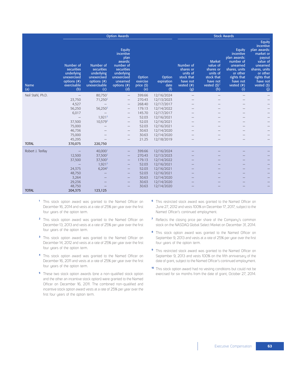|                    | <b>Option Awards</b>                                                                      |                                                                                             |                                                                                                                                  |                                           |                                     |                                                                                         | <b>Stock Awards</b>                                                                                             |                                                                                                                                             |                                                                                                                                                                            |  |
|--------------------|-------------------------------------------------------------------------------------------|---------------------------------------------------------------------------------------------|----------------------------------------------------------------------------------------------------------------------------------|-------------------------------------------|-------------------------------------|-----------------------------------------------------------------------------------------|-----------------------------------------------------------------------------------------------------------------|---------------------------------------------------------------------------------------------------------------------------------------------|----------------------------------------------------------------------------------------------------------------------------------------------------------------------------|--|
| <b>Name</b><br>(a) | Number of<br>securities<br>underlying<br>unexercised<br>options (#)<br>exercisable<br>(b) | Number of<br>securities<br>underlying<br>unexercised<br>options (#)<br>unexercisable<br>(c) | Equity<br>incentive<br>plan<br>awards:<br>number of<br>securities<br>underlying<br>unexercised<br>unearned<br>options (#)<br>(d) | Option<br>exercise<br>price $(\$)$<br>(e) | Option<br>expiration<br>date<br>(f) | Number of<br>shares or<br>units of<br>stock that<br>have not<br>vested $($ # $)$<br>(g) | <b>Market</b><br>value of<br>shares or<br>units of<br>stock that<br>have not<br>vested $(\frac{2}{3})^7$<br>(h) | Equity<br>incentive<br>plan awards:<br>number of<br>unearned<br>shares, units<br>or other<br>rights that<br>have not<br>vested $(*)$<br>(i) | <b>Equity</b><br>incentive<br>plan awards:<br>market or<br>payout<br>value of<br>unearned<br>shares, units<br>or other<br>rights that<br>have not<br>vested $($ \$)<br>(i) |  |
| Neil Stahl, Ph.D.  | $\overline{\phantom{0}}$                                                                  | 80,750                                                                                      | $\qquad \qquad -$                                                                                                                | 399.66                                    | 12/16/2024                          |                                                                                         |                                                                                                                 |                                                                                                                                             |                                                                                                                                                                            |  |
|                    | 23,750                                                                                    | 71,250 <sup>2</sup>                                                                         | $\overline{\phantom{0}}$                                                                                                         | 270.43                                    | 12/13/2023                          |                                                                                         |                                                                                                                 |                                                                                                                                             |                                                                                                                                                                            |  |
|                    | 4,527                                                                                     |                                                                                             |                                                                                                                                  | 268.40                                    | 12/17/2017                          |                                                                                         |                                                                                                                 |                                                                                                                                             |                                                                                                                                                                            |  |
|                    | 56,250                                                                                    | $56,250^3$                                                                                  | $\overline{\phantom{m}}$                                                                                                         | 179.13                                    | 12/14/2022                          |                                                                                         |                                                                                                                 |                                                                                                                                             |                                                                                                                                                                            |  |
|                    | 6,017                                                                                     |                                                                                             | $\overline{\phantom{m}}$                                                                                                         | 145.70                                    | 12/17/2017                          |                                                                                         |                                                                                                                 |                                                                                                                                             |                                                                                                                                                                            |  |
|                    |                                                                                           | 1,921 <sup>5</sup>                                                                          | $\overline{\phantom{0}}$                                                                                                         | 52.03                                     | 12/16/2021                          |                                                                                         |                                                                                                                 |                                                                                                                                             |                                                                                                                                                                            |  |
|                    | 37,500                                                                                    | 10,5795                                                                                     | $\overline{\phantom{0}}$                                                                                                         | 52.03                                     | 12/16/2021                          |                                                                                         |                                                                                                                 |                                                                                                                                             |                                                                                                                                                                            |  |
|                    | 75,000                                                                                    |                                                                                             | $\overline{\phantom{0}}$                                                                                                         | 52.03                                     | 12/16/2021                          |                                                                                         |                                                                                                                 |                                                                                                                                             |                                                                                                                                                                            |  |
|                    | 46,736                                                                                    |                                                                                             | $\overline{\phantom{0}}$                                                                                                         | 30.63                                     | 12/14/2020                          |                                                                                         |                                                                                                                 |                                                                                                                                             |                                                                                                                                                                            |  |
|                    | 75,000                                                                                    |                                                                                             | $\overline{\phantom{m}}$                                                                                                         | 30.63                                     | 12/14/2020                          |                                                                                         |                                                                                                                 |                                                                                                                                             |                                                                                                                                                                            |  |
|                    | 45,295                                                                                    |                                                                                             | $\overline{\phantom{0}}$                                                                                                         | 21.25                                     | 12/18/2019                          |                                                                                         |                                                                                                                 |                                                                                                                                             |                                                                                                                                                                            |  |
| <b>TOTAL</b>       | 370,075                                                                                   | 220,750                                                                                     |                                                                                                                                  |                                           |                                     |                                                                                         |                                                                                                                 |                                                                                                                                             |                                                                                                                                                                            |  |
| Robert J. Terifay  |                                                                                           | 40,000                                                                                      |                                                                                                                                  | 399.66                                    | 12/16/2024                          |                                                                                         |                                                                                                                 |                                                                                                                                             |                                                                                                                                                                            |  |
|                    | 12,500                                                                                    | 37,500 <sup>2</sup>                                                                         |                                                                                                                                  | 270.43                                    | 12/13/2023                          |                                                                                         |                                                                                                                 |                                                                                                                                             |                                                                                                                                                                            |  |
|                    | 37,500                                                                                    | 37,5003                                                                                     |                                                                                                                                  | 179.13                                    | 12/14/2022                          |                                                                                         |                                                                                                                 |                                                                                                                                             |                                                                                                                                                                            |  |
|                    |                                                                                           | 1,9215                                                                                      |                                                                                                                                  | 52.03                                     | 12/16/2021                          |                                                                                         |                                                                                                                 |                                                                                                                                             |                                                                                                                                                                            |  |
|                    | 24,375                                                                                    | 6,204 <sup>5</sup>                                                                          |                                                                                                                                  | 52.03                                     | 12/16/2021                          |                                                                                         |                                                                                                                 |                                                                                                                                             |                                                                                                                                                                            |  |
|                    | 48,750                                                                                    |                                                                                             |                                                                                                                                  | 52.03                                     | 12/16/2021                          |                                                                                         |                                                                                                                 |                                                                                                                                             |                                                                                                                                                                            |  |
|                    | 3,264                                                                                     |                                                                                             |                                                                                                                                  | 30.63                                     | 12/14/2020                          |                                                                                         |                                                                                                                 |                                                                                                                                             |                                                                                                                                                                            |  |
|                    | 29,236                                                                                    |                                                                                             |                                                                                                                                  | 30.63                                     | 12/14/2020                          |                                                                                         |                                                                                                                 |                                                                                                                                             |                                                                                                                                                                            |  |
|                    | 48,750                                                                                    |                                                                                             |                                                                                                                                  | 30.63                                     | 12/14/2020                          |                                                                                         |                                                                                                                 |                                                                                                                                             |                                                                                                                                                                            |  |
| <b>TOTAL</b>       | 204,375                                                                                   | 123,125                                                                                     |                                                                                                                                  |                                           |                                     |                                                                                         |                                                                                                                 |                                                                                                                                             |                                                                                                                                                                            |  |

- four years of the option term. Named Officer's continued employment. <sup>1</sup> This stock option award was granted to the Named Officer on
- December 13, 2013 and vests at a rate of 25% per year over the first stock on the NASDAQ Global Select Market on December 31, 2014. <sup>2</sup> This stock option award was granted to the Named Officer on
- December 14, 2012 and vests at a rate of 25% per year over the first four years of the option term.<br>four years of the option term.
- This stock option award was granted to the Named Officer on September 9, 2013 and vests 100% on the fifth anniversary of the **4**
- These two stock option awards (one a non-qualified stock option exercised for six months from the date of grant, October 27, 2014. **5** and the other an incentive stock option) were granted to the Named Officer on December 16, 2011. The combined non-qualified and incentive stock option award vests at a rate of 25% per year over the first four years of the option term.
- <sup>6</sup> This restricted stock award was granted to the Named Officer on December 16, 2014 and vests at a rate of 25% per year over the first June 27, 2012 and vests 100% on December 17, 2017, subject to the
	- <sup>7</sup> Reflects the closing price per share of the Company's common
- four years of the option term. This stock option award was granted to the Named Officer on **8**  $^{\textbf{3}}$  This stock option award was granted to the Named Officer on September 9, 2013 and vests at a rate of 25% per year over the first
	- four years of the option term. This restricted stock award was granted to the Named Officer on **9** December 16, 2011 and vests at a rate of 25% per year over the first date of grant, subject to the Named Officer's continued employment.
	- four years of the option term. This stock option award had no vesting conditions but could not be **10**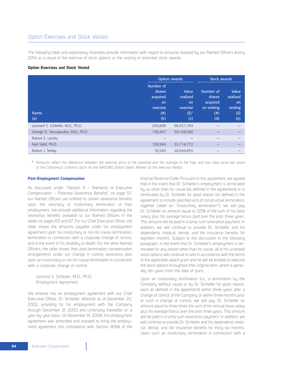# Option Exercises and Stock Vested

The following table and explanatory footnotes provide information with regard to amounts realized by our Named Officers during 2014 as a result of the exercise of stock options or the vesting of restricted stock awards.

### **Option Exercises and Stock Vested**

|                                    |                                                                    | Option awards                                                      | <b>Stock awards</b>                                               |                                                      |
|------------------------------------|--------------------------------------------------------------------|--------------------------------------------------------------------|-------------------------------------------------------------------|------------------------------------------------------|
| <b>Name</b><br>(a)                 | Number of<br>shares<br>acquired<br>on<br>exercise<br>$(\#)$<br>(b) | Value<br>realized<br>on<br>exercise<br>$($ \$) <sup>1</sup><br>(c) | Number of<br>shares<br>acquired<br>on vesting<br>$^{(\#)}$<br>(d) | Value<br>realized<br>on<br>vesting<br>$($ \$)<br>(e) |
| Leonard S. Schleifer, M.D., Ph.D.  | 256,808                                                            | 98,431,794                                                         |                                                                   |                                                      |
| George D. Yancopoulos, M.D., Ph.D. | 198,447                                                            | 59,168,380                                                         |                                                                   |                                                      |
| Robert E. Landry                   |                                                                    |                                                                    |                                                                   |                                                      |
| Neil Stahl, Ph.D.                  | 109,569                                                            | 33,714,772                                                         | -                                                                 |                                                      |
| Robert J. Terifay                  | 76,545                                                             | 26,944,855                                                         | –                                                                 |                                                      |

Amounts reflect the difference between the exercise price of the option(s) and the average of the high and low sales price per share **1** of the Company's common stock on the NASDAQ Global Select Market on the exercise date(s).

Compensation – Potential Severance Benefits'' on page 57, terminated by Dr. Schleifer for good reason (as defined in the our Named Officers are entitled to certain severance benefits agreement to include specified acts of constructive termination, upon the voluntary or involuntary termination of their together called an "involuntary termination"), we will pay<br>In comploument. We provide additional information regarding the the Schleifer an amount equal to 125% of the employment. We provide additional information regarding the Dr. Schleifer an amount equal to 125% of the sum of his base severance benefits available to our Named Officers in the salary plus his average bonus paid over the prior three years.<br>tables on pages 65 and 67. For our Chief Executive Officer, the This amount will be naid in a lumn su tables on pages 65 and 67. For our Chief Executive Officer, the This amount will be paid in a lump sum severance payment. In<br>table shows the amounts payable under his employment addition, we will continue to provide Dr. Sc table shows the amounts payable under his employment addition, we will continue to provide Dr. Schleifer and his<br>agreement upon his involuntary or not-for-cause termination, dependents medical, dental, and life insurance b agreement upon his involuntary or not-for-cause termination, dependents medical, dental, and life insurance benefits for<br>termination in connection with a corporate change of control, eighteen months. Subject to the discuss and in the event of his disability or death. For the other Named paragraph, in the event that Dr. Schleifer's employment is ter-Officers, the table shows their post-termination compensation minated for any reason other than for cause, all of his unvested arrangements under our change in control severance plan stock options will continue to vest in accordance with the terms upon an involuntary or not-for-cause termination in connection of the applicable award grant and he will be entitled to exercise with a corporate change of control. The stock options throughout their original term, which is gener-

Executive Officer, Dr. Schleifer, effective as of December 20, to such a change of control, we will pay Dr. Schleifer an<br>2002, providing for his employment with the Company appoint payal to three times the sum of his appua 2002, providing for his employment with the Company amount equal to three times the sum of his annual base salary<br>Through December 31, 2003 and continuing thereafter on a soluly bis average bonus over the prior three uears through December 31, 2003 and continuing thereafter on a plus his average bonus over the prior three years. This amount year-by-year basis. On November 14, 2008, this employment will be paid in a lump sum severance payment. In addition, we agreement was amended and restated to bring the employ- will continue to provide Dr. Schleifer and his dependents medi-<br>Thent agreement into compliance with Section 409A of the calc dental and life insurance benefits for t

**Post-Employment Compensation Internal Revenue Code. Pursuant to this agreement, we agreed** that in the event that Dr. Schleifer's employment is terminated<br>As discussed under ''Section 4 – Elements of Executive by us other than for cause (as defined in the agreement) or is<br>Compensation – Potential Severance Benef eighteen months. Subject to the discussion in the following ally ten years from the date of grant.

*Leonard S. Schleifer, M.D., Ph.D.,* Upon an involuntary termination (*i.e.*, a termination by the *Employment Agreement* Company without cause or by Dr. Schleifer for good reason, each as defined in the agreement) within three years after a<br>We entered into an employment agreement with our Chief change of control of the Company or within three months prior<br>Executive Officer, Dr. Schleifer, effective cal, dental, and life insurance benefits for thirty-six months. Upon such an involuntary termination in connection with a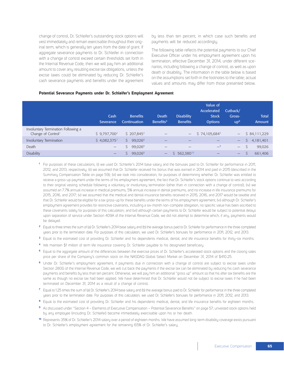vest immediately and remain exercisable throughout their orig- payments will be reduced accordingly.

change of control, Dr. Schleifer's outstanding stock options will by less than ten percent, in which case such benefits and

inal term, which is generally ten years from the date of grant. If<br>aggregate severance payments to Dr. Schleifer in connection<br>with a change of control exceed certain thresholds set forth in<br>the Internal Revenue Code, then

### Potential Severance Pauments under Dr. Schleifer's Emploument Agreement

|                                                                       | Cash<br>Severance        | <b>Benefits</b><br>Continuation | <b>Death</b><br>Benefits <sup>4</sup> | <b>Disability</b><br><b>Benefits</b> | Value of<br>Accelerated<br><b>Stock</b><br><b>Options</b> | Cutback/<br>Gross-<br>up <sup>6</sup> | <b>Total</b><br>Amount  |
|-----------------------------------------------------------------------|--------------------------|---------------------------------|---------------------------------------|--------------------------------------|-----------------------------------------------------------|---------------------------------------|-------------------------|
| Involuntary Termination Following a<br>Change of Control <sup>1</sup> | $$9,797,700^2$           | $$207,845^3$                    |                                       | $\overline{\phantom{m}}$             | $$74,105,684^5$                                           | $\overline{\phantom{m}}$              | \$84,111,229            |
| Involuntary Termination                                               | \$4,082,375              | $99,026^8$<br>$\mathbb{S}$      |                                       |                                      |                                                           | $\qquad \qquad -$                     | \$<br>4,181,401         |
| Death                                                                 | $\qquad \qquad -$        | $$\mathbb{S}$$<br>99,0268       |                                       |                                      | $-9$                                                      | $\overline{\phantom{m}}$              | \$<br>99,026            |
| <b>Disability</b>                                                     | $\overline{\phantom{0}}$ | $99,026^8$<br>$\mathbb{S}$      | $\overline{\phantom{0}}$              | $$562,380^{10}$                      | -                                                         | $\qquad \qquad -$                     | $\mathbb{S}$<br>661,406 |

For purposes of these calculations, (i) we used Dr. Schleifer's 2014 base salary and the bonuses paid to Dr. Schleifer for performance in 2011, **1** 2012, and 2013, respectively; (ii) we assumed that Dr. Schleifer received his bonus that was earned in 2014 and paid in 2015 (described in the Summary Compensation Table on page 59); (iii) we took into consideration, for purposes of determining whether Dr. Schleifer was entitled to receive a gross-up payment under the terms of his employment agreement, the fact that Dr. Schleifer's stock options continue to vest according to their original vesting schedule following a voluntary or involuntary termination (other than in connection with a change of control); (iv) we assumed an 7.7% annual increase in medical premiums, 5% annual increase in dental premiums, and no increase in life insurance premiums for 2015, 2016, and 2017; (v) we assumed that the medical and dental insurance benefits received in 2015, 2016, and 2017 would be taxable and that Dr. Schleifer would be eligible for a tax gross-up for these benefits under the terms of his employment agreement; (vi) although Dr. Schleifer's employment agreement provides for restrictive covenants, including a six-month non-compete obligation, no specific value has been ascribed to these covenants solely for purposes of this calculation; and (vii) although certain payments to Dr. Schleifer would be subject to potential delays upon separation of service under Section 409A of the Internal Revenue Code, we did not attempt to determine which, if any, payments would be delayed.

- Equal to three times the sum of (a) Dr. Schleifer's 2014 base salary and (b) the average bonus paid to Dr. Schleifer for performance in the three completed **2** years prior to the termination date. For purposes of this calculation, we used Dr. Schleifer's bonuses for performance in 2011, 2012, and 2013.
- Equal to the estimated cost of providing Dr. Schleifer and his dependents medical, dental, and life insurance benefits for thirty-six months. **3**
- We maintain \$1 million of term life insurance covering Dr. Schleifer payable to his designated beneficiary. **4**
- Equal to the aggregate amount of the differences between the exercise prices of Dr. Schleifer's accelerated stock options and the closing sales **5** price per share of the Company's common stock on the NASDAQ Global Select Market on December 31, 2014 of \$410.25.
- Under Dr. Schleifer's employment agreement, if payments due in connection with a change of control are subject to excise taxes under **6** Section 280G of the Internal Revenue Code, we will cut back the payments if the excise tax can be eliminated by reducing his cash severance payments and benefits by less than ten percent. Otherwise, we will pay him an additional ''gross up'' amount so that his after tax benefits are the same as though no excise tax had been applied. We have determined that Dr. Schleifer would not be subject to excise taxes if he had been terminated on December 31, 2014 as a result of a change of control.
- Equal to 1.25 times the sum of (a) Dr. Schleifer's 2014 base salary and (b) the average bonus paid to Dr. Schleifer for performance in the three completed **7** years prior to the termination date. For purposes of this calculation, we used Dr. Schleifer's bonuses for performance in 2011, 2012, and 2013.
- Equal to the estimated cost of providing Dr. Schleifer and his dependents medical, dental, and life insurance benefits for eighteen months. **8**
- As discussed under ''Section 4 Elements of Executive Compensation Potential Severance Benefits'' on page 57, unvested stock options held **9** by any employee (including Dr. Schleifer) become immediately exercisable upon his or her death.
- Represents 35% of Dr. Schleifer's 2014 salary over a period of eighteen months. We have assumed long-term disability coverage exists pursuant **10** to Dr. Schleifer's employment agreement for the remaining 65% of Dr. Schleifer's salary.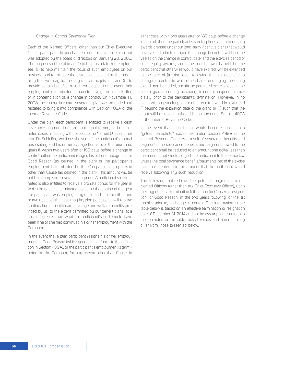Officer, participates in our change in control severance plan that have vested prior to or upon the change in control will become was adopted by the board of directors on January 20, 2006. vested on the change in control date, and the exercise period of The purposes of the plan are (i) to help us retain key employ- such equity awards, and other equity awards held by the ees, (ii) to help maintain the focus of such employees on our participant that otherwise would have expired, will be extended business and to mitigate the distractions caused by the possi- to the later of (i) thirty days following the first date after a bility that we may be the target of an acquisition, and (iii) to change in control in which the shares underlying the equity provide certain benefits to such employees in the event their award may be traded, and (ii) the permitted exercise date in the employment is terminated (or constructively terminated) after, plan or grant assuming the change in control happened immeor in contemplation of, a change in control. On November 14, diately prior to the participant's termination. However, in no 2008, the change in control severance plan was amended and event will any stock option or other equity award be extended restated to bring it into compliance with Section 409A of the (i) beyond the expiration date of the grant, or (ii) such that the Internal Revenue Code. grant will be subject to the additional tax under Section 409A

of the Internal Revenue Code. Under the plan, each participant is entitled to receive a cash severance payment in an amount equal to one, or, in desig-<br>In the event that a participant would become subject to a nated cases, including with respect to the Named Officers other ''golden parachute'' excise tax under Section 4999 of the than Dr. Schleifer, two times the sum of the participant's annual Internal Revenue Code as a result of severance benefits and base salary and his or her average bonus over the prior three payments, the severance benefits and payments owed to the years if, within two years after or 180 days before a change in participant shall be reduced to an amount one dollar less than control, either the participant resigns his or her employment for the amount that would subject the participant to the excise tax, Good Reason (as defined in the plan) or the participant's unless the total severance benefits/payments net of the excise employment is terminated by the Company for any reason taxes are greater than the amount that the participant would other than Cause (as defined in the plan). This amount will be receive following any such reduction. paid in a lump sum severance payment. A participant so termi-<br>mated is also entitled to receive a pro rata bonus for the year in<br>which he or she is terminated based on the portion of the year<br>the participant was employed b

In the event that a plan participant resigns his or her employment for Good Reason (which generally conforms to the definition in Section 409A), or the participant's employment is terminated by the Company for any reason other than Cause, in

*Change in Control Severance Plan* either case within two years after or 180 days before a change in control, then the participant's stock options and other equity Each of the Named Officers, other than our Chief Executive awards granted under our long-term incentive plans that would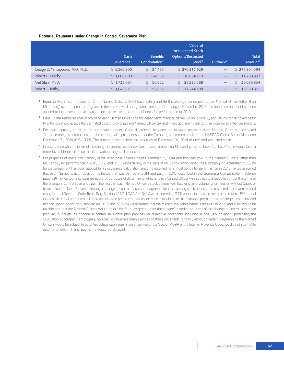### **Potential Payments under Change in Control Severance Plan**

|                                    | Cash<br>Severance <sup>1</sup> | <b>Benefits</b><br>Continuation <sup>2</sup> | Value of<br><b>Accelerated Stock</b><br><b>Options/Restricted</b><br>Stock <sup>3</sup> | Cutback $4$ | <b>Total</b><br>Amount <sup>5</sup> |
|------------------------------------|--------------------------------|----------------------------------------------|-----------------------------------------------------------------------------------------|-------------|-------------------------------------|
| George D. Yancopoulos, M.D., Ph.D. | \$5,562,200                    | \$124,465                                    | \$270,217,929                                                                           |             | \$275,904,594                       |
| Robert E. Landry                   | \$1,000,000                    | \$124,582                                    | 10,664,310<br>$\mathbb{S}$                                                              | —           | 1,788,892<br>\$                     |
| Neil Stahl, Ph.D.                  | \$1,733,604                    | 56,662<br>S.                                 | \$28,295,568                                                                            | —           | 30,085,834                          |
| Robert J. Terifay                  | \$1,649,831                    | 56,652<br>$\mathbb{S}$                       | 17,244,388<br>$\mathbb{S}$                                                              | –           | 18,950,871                          |

- Equal to two times the sum of (a) the Named Officer's 2014 base salary and (b) the average bonus paid to the Named Officer (other than **1** Mr. Landry) over the prior three years. In the case of Mr. Landry (who joined the Company in September 2013), no bonus component has been applied to his severance calculation since he received no annual bonus for performance in 2013.
- Equal to the estimated cost of providing each Named Officer and his dependents medical, dental, vision, disability, and life insurance coverage for **2** twenty-four months, plus the estimated cost of providing each Named Officer tax and financial planning advisory services for twenty-four months.
- For stock options, equal to the aggregate amount of the differences between the exercise prices of each Named Officer's accelerated **3** ''in-the-money'' stock options and the closing sales price per share of the Company's common stock on the NASDAQ Global Select Market on December 31, 2014 of \$410.25. The amounts also include the value as of December 31, 2014 of unvested restricted stock.
- In accordance with the terms of the change in control severance plan, the total amount for Mr. Landry has not been ''cut back'' as he would be in a **4** more favorable net after-tax position without any such reduction.
- For purposes of these calculations, (i) we used base salaries as of December 31, 2014 and bonuses paid to the Named Officers (other than **5** Mr. Landry) for performance in 2011, 2012, and 2013, respectively; in the case of Mr. Landry (who joined the Company in September 2013), no bonus component has been applied to his severance calculation since he received no annual bonus for performance in 2013; (ii) we assumed that each Named Officer received his bonus that was earned in 2014 and paid in 2015 (described in the Summary Compensation Table on page 59); (iii) we took into consideration, for purposes of determining whether each Named Officer was subject to a reduction under the terms of the change in control severance plan, the fact that each Named Officer's stock options vest following an involuntary termination without Cause or termination for Good Reason following a change in control (parachute payments for time vesting stock options and restricted stock were valued using Internal Revenue Code Treas. Reg. Section 1.28G-1 Q&A 24(c)); (iv) we assumed an 7.7% annual increase in medical premiums, 5% annual increase in dental premiums, 4% increase in vision premiums, and no increase in disability or life insurance premiums or employer cost of tax and financial planning advisory services for 2015 and 2016; (v) we assumed that the medical insurance benefits received in 2015 and 2016 would be taxable and that the Named Officers would be eligible for a tax gross-up for these benefits under the terms of the change in control severance plan; (vi) although the change in control severance plan provides for restrictive covenants, including a one-year covenant prohibiting the solicitation of company employees, no specific value has been ascribed to these covenants; and (vii) although certain payments to the Named Officers would be subject to potential delays upon separation of service under Section 409A of the Internal Revenue Code, we did not attempt to determine which, if any, payments would be delayed.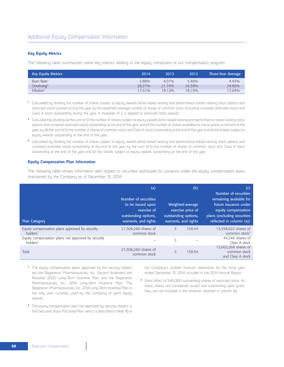## **Key Equity Metrics**

The following table summarizes some key metrics relating to the equity component of our compensation program:

| <b>Key Equity Metrics</b> | 2014   | 2013     | 2012   | <b>Three-Year Average</b> |
|---------------------------|--------|----------|--------|---------------------------|
| Burn Rate <sup>1</sup>    | 3.88%  | $4.01\%$ | 5.40%  | $4.43\%$                  |
| Overhang $2$              | 28.27% | 21.74%   | 24.38% | 24.80%                    |
| Dilution <sup>3</sup>     | 1751%  | 18.12%   | 18.15% | 17.93%                    |

Calculated by dividing the number of shares subject to equity awards (time-based vesting and performance-based vesting stock options and **1** restricted stock) granted during the year by the weighted-average number of shares of common stock (including unvested restricted stock) and Class A stock outstanding during the year. A multiplier of 2 is applied to restricted stock awards.

Calculated by dividing (a) the sum of (i) the number of shares subject to equity awards (time-based vesting and performance-based vesting stock **2** options and unvested restricted stock) outstanding at the end of the year and (ii) the number of shares available for future grants at the end of the year, by (b) the sum of (i) the number of shares of common stock and Class A stock outstanding at the end of the year and (ii) the shares subject to equity awards outstanding at the end of the year.

Calculated by dividing the number of shares subject to equity awards (time-based vesting and performance-based vesting stock options and **3** unvested restricted stock) outstanding at the end of the year by the sum of (i) the number of shares of common stock and Class A stock outstanding at the end of the year and (ii) the shares subject to equity awards outstanding at the end of the year.

## **Equity Compensation Plan Information**

The following table shows information with respect to securities authorized for issuance under the equity compensation plans maintained by the Company as of December 31, 2014.

| <b>Plan Category</b>                                                          | (a)<br>Number of securities<br>to be issued upon<br>exercise of<br>outstanding options,<br>warrants, and rights | Weighted-average<br>outstanding options,<br>warrants, and rights | (b)<br>exercise price of | (c)<br>Number of securities<br>remaining available for<br>future issuance under<br>equity compensation<br>plans (excluding securities<br>reflected in column (a)) |
|-------------------------------------------------------------------------------|-----------------------------------------------------------------------------------------------------------------|------------------------------------------------------------------|--------------------------|-------------------------------------------------------------------------------------------------------------------------------------------------------------------|
| Equity compensation plans approved by security<br>holders <sup>1</sup>        | 21,506,260 shares of<br>common stock                                                                            | $\mathfrak{L}$                                                   | 158.54                   | 13,558,022 shares of<br>common stock $3$                                                                                                                          |
| Equity compensation plans not approved by security<br>$h$ olders <sup>2</sup> |                                                                                                                 | \$                                                               |                          | 44,246 shares of<br>Class A stock                                                                                                                                 |
| Total                                                                         | 21,506,260 shares of<br>common stock                                                                            | \$                                                               | 158.54                   | 13,602,268 shares of<br>common stock<br>and Class A stock                                                                                                         |

- The equity compensation plans approved by the security holders the Company's audited financial statements for the fiscal year **1** are the Regeneron Pharmaceuticals, Inc. Second Amended and ended December 31, 2014 included in the 2014 Annual Report. Restated 2000 Long-Term Incentive Plan and the Regeneron a Gives effect to 546,060 outstanding shares of restricted stock. As<br>
Pharmaceuticals, Inc. 2014 Long-Term Incentive Plan. The Regeneron Pharmaceuticals, Inc. 2014 L awards.
- The equity compensation plan not approved by security holders is **2** the Executive Stock Purchase Plan, which is described in Note 16 to

<sup>3</sup> Gives effect to 546,060 outstanding shares of restricted stock. As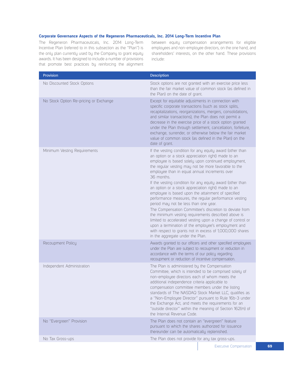## **Corporate Governance Aspects of the Regeneron Pharmaceuticals, Inc. 2014 Long-Term Incentive Plan**

the only plan currently used by the Company to grant equity awards. It has been designed to include a number of provisions include: that promote best practices by reinforcing the alignment

The Regeneron Pharmaceuticals, Inc. 2014 Long-Term between equity compensation arrangements for eligible Incentive Plan (referred to in this subsection as the "Plan") is employees and non-employee directors, on the one hand, and<br>the only plan currently used by the Company to grant equity shareholders' interests, on the other

| Provision                              | <b>Description</b>                                                                                                                                                                                                                                                                                                                                                                                                                                                                                                                                                                                                                                                                                                                                                                                                                                                                                                |
|----------------------------------------|-------------------------------------------------------------------------------------------------------------------------------------------------------------------------------------------------------------------------------------------------------------------------------------------------------------------------------------------------------------------------------------------------------------------------------------------------------------------------------------------------------------------------------------------------------------------------------------------------------------------------------------------------------------------------------------------------------------------------------------------------------------------------------------------------------------------------------------------------------------------------------------------------------------------|
| No Discounted Stock Options            | Stock options are not granted with an exercise price less<br>than the fair market value of common stock (as defined in<br>the Plan) on the date of grant.                                                                                                                                                                                                                                                                                                                                                                                                                                                                                                                                                                                                                                                                                                                                                         |
| No Stock Option Re-pricing or Exchange | Except for equitable adjustments in connection with<br>specific corporate transactions (such as stock splits,<br>recapitalizations, reorganizations, mergers, consolidations,<br>and similar transactions), the Plan does not permit a<br>decrease in the exercise price of a stock option granted<br>under the Plan through settlement, cancellation, forfeiture,<br>exchange, surrender, or otherwise below the fair market<br>value of common stock (as defined in the Plan) on the<br>date of grant.                                                                                                                                                                                                                                                                                                                                                                                                          |
| Minimum Vesting Requirements           | If the vesting condition for any equity award (other than<br>an option or a stock appreciation right) made to an<br>employee is based solely upon continued employment,<br>the regular vesting may not be more favorable to the<br>employee than in equal annual increments over<br>36 months.<br>If the vesting condition for any equity award (other than<br>an option or a stock appreciation right) made to an<br>employee is based upon the attainment of specified<br>performance measures, the regular performance vesting<br>period may not be less than one year.<br>The Compensation Committee's discretion to deviate from<br>the minimum vesting requirements described above is<br>limited to accelerated vesting upon a change of control or<br>upon a termination of the employee's employment and<br>with respect to grants not in excess of 1,000,000 shares<br>in the aggregate under the Plan. |
| Recoupment Policy                      | Awards granted to our officers and other specified employees<br>under the Plan are subject to recoupment or reduction in<br>accordance with the terms of our policy regarding<br>recoupment or reduction of incentive compensation.                                                                                                                                                                                                                                                                                                                                                                                                                                                                                                                                                                                                                                                                               |
| Independent Administration             | The Plan is administered by the Compensation<br>Committee, which is intended to be comprised solely of<br>non-employee directors each of whom meets the<br>additional independence criteria applicable to<br>compensation committee members under the listing<br>standards of The NASDAQ Stock Market LLC, qualifies as<br>a "Non-Employee Director" pursuant to Rule 16b-3 under<br>the Exchange Act, and meets the requirements for an<br>"outside director" within the meaning of Section 162(m) of<br>the Internal Revenue Code                                                                                                                                                                                                                                                                                                                                                                               |
| No "Evergreen" Provision               | The Plan does not contain an "evergreen" feature<br>pursuant to which the shares authorized for issuance<br>thereunder can be automatically replenished.                                                                                                                                                                                                                                                                                                                                                                                                                                                                                                                                                                                                                                                                                                                                                          |
| No Tax Gross-ups                       | The Plan does not provide for any tax gross-ups.                                                                                                                                                                                                                                                                                                                                                                                                                                                                                                                                                                                                                                                                                                                                                                                                                                                                  |

Executive Compensation **69**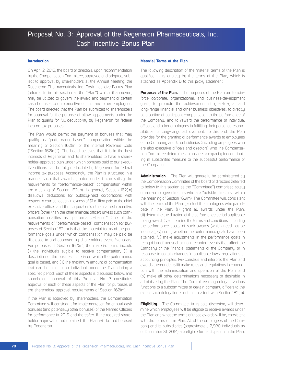On April 2, 2015, the board of directors, upon recommendation The following description of the material terms of the Plan is by the Compensation Committee, approved and adopted, sub- qualified in its entirety by the terms of the Plan, which is ject to approval by shareholders at the Annual Meeting, the attached as Appendix B to this proxy statement. Regeneron Pharmaceuticals, Inc. Cash Incentive Bonus Plan (referred to in this section as the ''Plan'') which, if approved, **Purposes of the Plan.** The purposes of the Plan are to reinmay be utilized to govern the award and payment of certain force corporate, organizational, and business-development cash bonuses to our executive officers and other employees. goals; to promote the achievement of year-to-year and The board directed that the Plan be submitted to shareholders long-range financial and other business objectives; to directly for approval for the purpose of allowing payments under the tie a portion of participant compensation to the performance of Plan to qualify for full deductibility by Regeneron for federal the Company; and to reward the performance of individual income tax purposes.  $\blacksquare$  officers and other employees in fulfilling their personal respon-

The Plan would permit the payment of bonuses that may<br>qualify as "performance-based" compensation within the<br>meaning of Section 162(m) of the Internal Revenue Code<br>("Section 162(m)"). The board believes that it is in the b Income tax purposes. Accordingly, the Plan is structured in a small is the painting that is structured in the Compensation Committee of the boat of the compensation (the meaning of Section 162(m), In general Section 162(m

If the Plan is approved by shareholders, the Compensation Committee will consider it for implementation for annual cash **Eligibility.** The Committee, in its sole discretion, will deterbonuses (and potentially other bonuses) of the Named Officers mine which employees will be eligible to receive awards under for performance in 2016 and thereafter. If the required share- the Plan and what the terms of those awards will be, consistent holder approval is not obtained, the Plan will be not be used with the terms of the Plan. All of the employees of the Comby Regeneron. pany and its subsidiaries (approximately 2,930 individuals as

## **Introduction** Material Terms of the Plan

12MAR201510380258

of December 31, 2014) are eligible for participation in the Plan.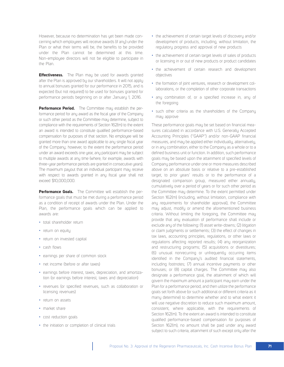However, because no determination has yet been made concerning which employees will receive awards (if any) under the development of products, including, without limitation, the Plan or what their terms will be, the benefits to be provided regulatory progress and approval of new products under the Plan cannot be determined at this time.<br>Non-employee directors will not be eligible to participate in ticensing in or out of new products or product candidates<br>the Plan.

**Effectiveness.** The Plan may be used for awards granted objectives after the Plan is approved by our shareholders. It will not apply<br>to annual bonuses granted for our performance in 2015, and is<br>expected (but not required) to be used for bonuses granted for<br>expected (but not required) to performance periods beginning on or after January 1, 2016. • any combination of, or a specified increase in, any of

**Performance Period.** The Committee may establish the per-<br>formance period for any award as the fiscal year of the Company<br>or such other period as the Committee may determine, subject to<br>may approve compliance with the requirements of Section 162(m) to the extent These performance goals may be set based on financial mea-

- total shareholder return
- return on equity
- return on invested capital
- cash flows
- earnings per share of common stock
- net income (before or after taxes)
- earnings before interest, taxes, depreciation, and amortiza-
- revenues (or specified revenues, such as collaboration or
- return on assets
- market share
- cost reduction goals
- the initiation or completion of clinical trials
- the achievement of certain target levels of discovery and/or
- the achievement of certain target levels of sales of products
- the achievement of certain research and development
- the formation of joint ventures, research or development col-
- the foregoing
- such other criteria as the shareholders of the Company

an award is intended to constitute qualified performance-based sures calculated in accordance with U.S. Generally Accepted compensation for purposes of that section. No employee will be Accounting Principles (''GAAP'') and/or non-GAAP financial granted more than one award applicable to any single fiscal year measures, and may be applied either individually, alternatively, of the Company; however, to the extent the performance period or in any combination, either to the Company as a whole or to a under an award exceeds one year, any participant may be subject defined business unit or function. In addition, such performance to multiple awards at any time (where, for example, awards with goals may be based upon the attainment of specified levels of three-year performance periods are granted in consecutive years). Company performance under one or more measures described The maximum payout that an individual participant may receive above on an absolute basis or relative to a pre-established with respect to awards granted in any fiscal year shall not target, to prior years' results or to the performance of a exceed \$10,000,000. designated comparison group, measured either annually, cumulatively over a period of years or for such other period as Performance Goals. The Committee will establish the per-<br>
the Committee may determine. To the extent permitted under formance goals that must be met during a performance period Section 162(m) (including, without limitation, compliance with as a condition of receipt of awards under the Plan. Under the any requirements for shareholder approval), the Committee Plan, the performance goals which can be applied to may adjust, modify or amend the aforementioned business awards are: criteria. Without limiting the foregoing, the Committee may provide that any evaluation of performance shall include or exclude any of the following: (1) asset write-downs; (2) litigation or claim judgments or settlements; (3) the effect of changes in tax laws, accounting principles, regulations, or other laws or requlations affecting reported results; (4) any reorganization and restructuring programs; (5) acquisitions or divestitures; (6) unusual nonrecurring or unfrequently occurring items<br>identified in the Company's audited financial statements, including footnotes; (7) annual incentive payments or other earnings before interest, taxes, depreciation, and amortiza-<br>tion (or earnings before interest, taxes and depreciation) designate a performance goal, the attainment of which will<br>govern the maximum amount a participant may Plan for a performance period, and then utilize the performance licensing revenues) goals set forth above (or such additional or different criteria as it many determine) to determine whether and to what extent it will use negative discretion to reduce such maximum amount, consistent, where applicable, with the requirements of Section 162(m). To the extent an award is intended to constitute qualified performance-based compensation for purposes of Section 162(m), no amount shall be paid under any award subject to such criteria, attainment of such except only after the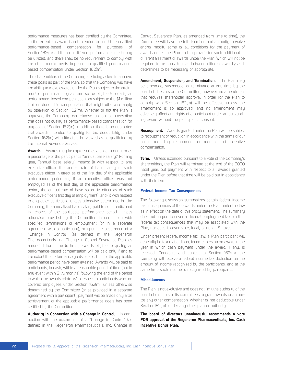performance measures has been certified by the Committee. Control Severance Plan, as amended from time to time), the To the extent an award is not intended to constitute qualified Committee will have the full discretion and authority to waive performance-based compensation for purposes of and/or modify some or all conditions for the payment of Section 162(m), additional or different performance criteria may awards under the Plan and to provide for such additional or be utilized, and there shall be no requirement to comply with different treatment of awards under the Plan (which will not be the other requirements imposed on qualified performance- required to be consistent as between different awards) as it based compensation under Section 162(m). determines to be necessary or appropriate.

The shareholders of the Company are being asked to approve<br>these goals as part of the Plan, so that the Company will have<br>the ability to make awards under the Plan subject to the attain-<br>ment of performance goals and so be purposes of Section 162(m). In addition, there is no guarantee<br>that awards intended to qualify for tax deductibility under<br>Section 162(m) will ultimately be viewed as so qualifying by<br>the Internal Revenue Service.<br>policy r

**Awards.** Awards may be expressed as a dollar amount or as a percentage of the participant's "annual base salary." For any<br>year, "annual base salary" means: (i) with respect to any<br>executive officer, the annual rate of base salary of such<br>ficeal year, but payment with respect to a executive officer in effect as of the first day of the applicable<br>performance period (or, if an executive officer was not with their terms. employed as of the first day of the applicable performance period, the annual rate of base salary in effect as of such **Federal Income Tax Consequences** executive officer's first day of employment); and (ii) with respect to any other participant, unless otherwise determined by the The following discussion summarizes certain federal income<br>Company the annualized base salary paid to such participant tax consequences of the awards under the P Company, the annualized base salary paid to such participant tax consequences of the awards under the Plan under the law<br>In respect of the annlicable, performance, period. Unless as in effect on the date of this proxy stat in respect of the applicable performance period. Unless as in effect on the date of this proxy statement. The summary<br>otherwise provided by the Committee in connection with does not purport to cover all federal employment otherwise provided by the Committee in connection with does not purport to cover all federal employment tax or other specified terminations of employment (or in a separate the federal tax consequences that may be associated wit<br>Anceement with a nacticinant) or unon the occurrence of a . Plan, nor does it cover state, local, or non-U.S. t agreement with a participant), or upon the occurrence of a "Change in Control" (as defined in the Regeneron<br>
Pharmaceuticals, Inc. Change in Control Severance Plan, as<br>
amended from time to time), awards eligible to qualify as<br>
performance-based compensation will be paid only if any event within  $2\frac{1}{2}$  months) following the end of the period to which the awards relate. With respect to participants who are **Miscellaneous** covered employees under Section 162(m), unless otherwise determined by the Committee (or as provided in a separate The Plan is not exclusive and does not limit the authority of the agreement with a participant), payment will be made only after board of directors or its committees to grant awards or author-<br>achievement of the applicable performance goals has been ize any other compensation, whether or achievement of the applicable performance goals has been certified by the Committee.  $\blacksquare$  Section 162(m), under any other plan or authority.

defined in the Regeneron Pharmaceuticals, Inc. Change in **Incentive Bonus Plan.**

compensation.

**Authority in Connection with a Change in Control.** In con- **The board of directors unanimously recommends a vote** nection with the occurrence of a ''Change in Control'' (as **FOR approval of the Regeneron Pharmaceuticals, Inc. Cash**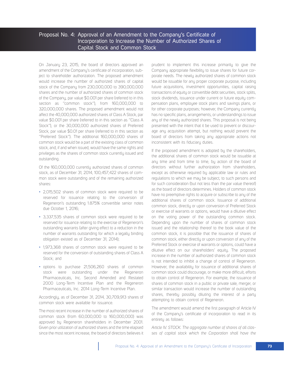## Proposal No. 4: Approval of an Amendment to the Company's Certificate of Incorporation to Increase the Number of Authorized Shares of Capital Stock and Common Stock

amendment of the Company's certificate of incorporation, sub- Company appropriate flexibility to issue shares for future corject to shareholder authorization. The proposed amendment porate needs. The newly authorized shares of common stock would increase the number of authorized shares of capital would be issuable for any proper corporate purpose, including stock of the Company from 230,000,000 to 390,000,000 future acquisitions, investment opportunities, capital raising shares and the number of authorized shares of common stock transactions of equity or convertible debt securities, stock splits, of the Company, par value \$0.001 per share (referred to in this stock dividends, issuance under current or future equity comsection as ''common stock''), from 160,000,000 to pensation plans, employee stock plans and savings plans, or 320,000,000 shares. The proposed amendment would not for other corporate purposes; however, the Company currently affect the 40,000,000 authorized shares of Class A Stock, par has no specific plans, arrangements, or understandings to issue value \$0.001 per share (referred to in this section as ''Class A any of the newly authorized shares. This proposal is not being Stock"), or the 30,000,000 authorized shares of Preferred presented with the intent that it be used to prevent or discour-Stock, par value \$0.01 per share (referred to in this section as age any acquisition attempt, but nothing would prevent the ''Preferred Stock''). The additional 160,000,000 shares of board of directors from taking any appropriate actions not common stock would be a part of the existing class of common inconsistent with its fiduciary duties. stock, and, if and when issued, would have the same rights and<br>privileges as the shares of common stock currently issued and<br>outstanding.<br>any time and from time to time. by action of the board of

- 2,015,502 shares of common stock were required to be
- 3,337,535 shares of common stock were required to be
- 1,973,368 shares of common stock were required to be
- options to purchase 21,506,260 shares of common

Given prior utilization of authorized shares and the time elapsed *Article IV. STOCK. The aggregate number of shares of all clas*since the most recent increase, the board of directors believes it *ses of capital stock which the Corporation shall have the*

On January 23, 2015, the board of directors approved an prudent to implement this increase primarily to give the

18FEB2015221

Of the 160,000,000 currently authorized shares of common directors without further authorization from shareholders, stock, as of December 31, 2014, 100,457,422 shares of com- except as otherwise required by applicable law or rules and mon stock were outstanding and of the remaining authorized regulations to which we may be subject, to such persons and shares: for such consideration (but not less than the par value thereof) 2,015,502 shares of common stock were required to be<br>reserved for issuance relating to the conversion of<br>Regeneron's outstanding 1.875% convertible senior notes<br>due October 1, 2016;<br>due October 1, 2016;<br>due October 1, 2016 on the voting power of the outstanding common stock. reserved for issuance relating to the exercise of Regeneron's Depending upon the number of shares of common stock outstanding warrants (after giving effect to a reduction in the issued and the relationship thereof to the book value of the number of warrants outstanding for which a legally binding common stock, it is possible that the issuance of shares of obligation existed as of December 31, 2014); common stock, either directly or upon conversion of any of the 1,973,368 shares of common stock were required to be<br>reserved for the conversion of outstanding shares of Class A<br>Stock; and<br>Stock; and<br>is not intended to inhibit a change of control of Regeneron. However, the availability for issuance of additional shares of stock were outstanding under the Regeneron common stock could discourage, or make more difficult, efforts Pharmaceuticals, Inc. Second Amended and Restated to obtain control of Regeneron. For example, the issuance of 2000 Long-Term Incentive Plan and the Regeneron shares of common stock in a public or private sale, merger, or Pharmaceuticals, Inc. 2014 Long-Term Incentive Plan. similar transaction would increase the number of outstanding Accordingly, as of December 31, 2014, 30,709,913 shares of shares, thereby possibly diluting the interest of a party<br>common stock were available for issuance.

The most recent increase in the number of authorized shares of<br>
common stock (from 60,000,000 to 160,000,000) was<br>
approved by Regeneron shareholders in December 2001.<br>
entirety as follows: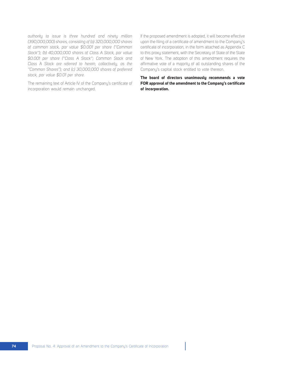*authority to issue is three hundred and ninety million* If the proposed amendment is adopted, it will become effective *(390,000,000) shares, consisting of (a) 320,000,000 shares* upon the filing of a certificate of amendment to the Company's *of common stock, par value \$0.001 per share (''Common* certificate of incorporation, in the form attached as Appendix C *Stock''); (b) 40,000,000 shares of Class A Stock, par value* to this proxy statement, with the Secretary of State of the State *\$0.001 per share (''Class A Stock''; Common Stock and* of New York. The adoption of this amendment requires the *Class A Stock are referred to herein, collectively, as the* affirmative vote of a majority of all outstanding shares of the *''Common Shares''); and (c) 30,000,000 shares of preferred* Company's capital stock entitled to vote thereon. *stock, par value \$0.01 per share.* **The board of directors unanimously recommends a vote**

incorporation would remain unchanged. **of incorporation.**

The remaining text of Article IV of the Company's certificate of **FOR approval of the amendment to the Company's certificate**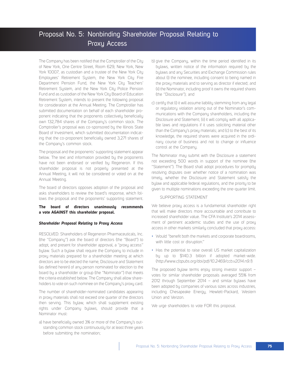# Proposal No. 5: Nonbinding Shareholder Proposal Relating to Proxy Access

Fund and as custodian of the New York City Board of Education (the "Disclosure"); and

The proposal and the proponents' supporting statement appear<br>below. The text and information provided by the proponents<br>have not been endorsed or verified by Regeneron. If this<br>shareholder proposal is not properly presente Annual Meeting, it will not be considered or voted on at the

asks shareholders to review the board's response, which follows the proposal and the proponents' supporting statement. SUPPORTING STATEMENT

RESOLVED: Shareholders of Regeneron Pharmaceuticals, Inc. <br>
(the "Company") ask the board of directors (the "Board") to<br>
adopt, and present for shareholder approval, a "proxy access" bylaw. Such a bylaw shall require the Company to include in  $\quad \bullet \quad$  Has the potential to raise overall US market capitalization proxy materials prepared for a shareholder meeting at which by up to \$140.3 billion if adopted market-wide. directors are to be elected the name, Disclosure and Statement (*http://www.cfapubs.org/doi/pdf/10.2469/ccb.v2014.n9.1*) (as defined herein) of any person nominated for election to the<br>board by a shareholder or group (the "Nominator") that meets<br>the criteria established below. The Company shall allow share-<br>holders to vote on such nominee on

in proxy materials shall not exceed one quarter of the directors Union and Verizon. then serving. This bylaw, which shall supplement existing We urge shareholders to vote FOR this proposal. rights under Company bylaws, should provide that a Nominator must:

a) have beneficially owned 3% or more of the Company's outstanding common stock continuously for at least three years before submitting the nomination;

The Company has been notified that the Comptroller of the City b) give the Company, within the time period identified in its of New York, One Centre Street, Room 629, New York, New bylaws, written notice of the information required by the York 10007, as custodian and a trustee of the New York City bulaws and any Securities and Exchange Commission rules Employees' Retirement System, the New York City Fire about (i) the nominee, including consent to being named in Department Pension Fund, the New York City Teachers' the proxy materials and to serving as director if elected; and Retirement System, and the New York City Police Pension (ii) the Nominator, including proof it owns the required shares

18FEB2015221

Retirement System, intends to present the following proposal<br>for consideration at the Annual Meeting. The Comptroller has<br>submitted documentation on behalf of each shareholder pro-<br>munications with the Company shareholders

timely, whether the Disclosure and Statement satisfy the Annual Meeting. bylaw and applicable federal regulations, and the priority to be The board of directors opposes adoption of the proposal and given to multiple nominations exceeding the one-quarter limit.

**The board of directors unanimously recommends** We believe proxy access is a fundamental shareholder right a vote AGAINST this shareholder proposal. **A computer that will make directors more accountable and contribute to** increased shareholder value. The CFA Institute's 2014 assess-**Shareholder Proposal Relating to Proxy Access** ment of pertinent academic studies and the use of proxy access in other markets similarly concluded that proxy access:

- Would "benefit both the markets and corporate boardrooms,
- 

The number of shareholder-nominated candidates appearing including Chesapeake Energy, Hewlett-Packard, Western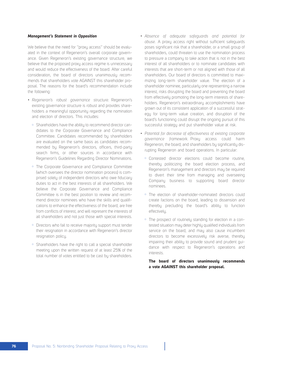ated in the context of Regeneron's overall corporate govern- shareholders, could threaten to use the nomination process ance. Given Regeneron's existing governance structure, we to pressure a company to take action that is not in the best believe that the proposed proxy access regime is unnecessary interest of all shareholders or to nominate candidates with and would reduce the effectiveness of the board. After careful interests that are short-term or not aligned with those of all consideration, the board of directors unanimously recom- shareholders. Our board of directors is committed to maximends that shareholders vote AGAINST this shareholder pro- mizing long-term shareholder value. The election of a posal. The reasons for the board's recommendation include shareholder nominee, particularly one representing a narrow the following: interest, risks disrupting the board and preventing the board

- 
- didates to the Corporate Governance and Compliance<br>
Committee. Candidates recommended by shareholders<br>
are evaluated on the same basis as candidates recom-<br>
mended by Regeneron's directors, officers, third-party<br>
search fi Regeneron's Guidelines Regarding Director Nominations. · Shareholders have the ability to recommend director can-
- from conflicts of interest, and will represent the interests of effectively. • The Corporate Governance and Compliance Committee
- $\circ$  Directors who fail to receive majority support must tender  $\qquad \qquad$  tested situation may deter highly qualified individuals from
- · Shareholders have the right to call a special shareholder
- *Management's Statement in Opposition Absence of adequate safeguards and potential for abuse.* A proxy access right without sufficient safeguards We believe that the need for "proxy access" should be evalu- poses significant risk that a shareholder, or a small group of • Regeneron's robust governance structure. Regeneron's from effectively promoting the long-term interests of share-<br>holders. Regeneron's extraordinary accomplishments have<br>holders a meaningful opportunity regarding the nom successful strategy and put shareholder value at risk.
	-
	- The Corporate Governance and Compliance Committee (which oversees the director nomination process) is compared to divert their time from managing and overseeing prised solely of independent directors who owe fiduciary duti · Contested director elections could become routine.
	- Committee is in the best position to review and recom- $\hskip1cm$   $\circ$  The election of shareholder-nominated directors could mend director nominees who have the skills and qualifi- create factions on the board, leading to dissension and cations to enhance the effectiveness of the board, are free thereby precluding the board's ability to function
	- all shareholders and not just those with special interests. The prospect of routinely standing for election in a con their resignation in accordance with Regeneron's director service on the board, and may also cause incumbent resignation policy.  $\Box$  directors to become excessively risk averse, thereby Shareholders have the right to call a special shareholder impairing their ability to provide sound and prudent gui-<br>meeting upon the written request of at least 25% of the total number of votes entitled to be cast bu share

## **The board of directors unanimously recommends a vote AGAINST this shareholder proposal.**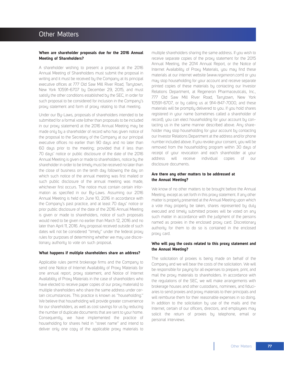## Other Matters

# **Meeting of Shareholders? receive separate copies of the proxy statement for the 2015**

Annual Meeting is given or made to shareholders, notice by the address will receive<br>shareholder in order to be timely must be received on later than disclosure documents. shareholder in order to be timely must be received no later than the close of business on the tenth day following the day on<br>which such notice of the annual meeting was first mailed or<br>such public disclosure of the annual meeting was made,<br>the Annual Meeting? whichever first occurs. The notice must contain certain infor-<br>
Metring, except as set forth in this proxy statement. If any other<br>
Annual Meeting is held on June 10, 2016 in accordance with<br>
the Company's past practice, a tionary authority to vote on such proposal. **Who will pay the costs related to this proxy statement and**

# **the Annual Meeting? What happens if multiple shareholders share an address?**

Applicable rules permit brokerage firms and the Company to<br>
Send one Notice of Internet Availability of Proxy Materials (or<br>
one annual report, proxy statement, and Notice of Internet<br>
Availability of Proxy Haterials (or<br> deliver only one copy of the applicable proxy materials to

When are shareholder proposals due for the 2016 Annual multiple shareholders sharing the same address. If you wish to Annual Meeting, the 2014 Annual Report, or the Notice of<br>Annual Meeting of Shareholders must submit the proposal in<br>Annual Meeting of Shareholders must submit the proposal in<br>writing and it must be received by the Company Under our By-Laws, proposals of shareholders intended to be registered in your name (sometimes called a shareholder of submitted for a formal vote (other than proposals to be included record), you can elect householding for your account by con-<br>In our proxy statement) at the 2016 Appual Meeting may be lacting us in the same manner describe in our proxy statement) at the 2016 Annual Meeting may be lacting us in the same manner described above. Any share-<br>made nolu bu a shareholder of record who bas given potice of lobolder may stop householding for your accou made only by a shareholder of record who has given notice of holder may stop householding for your account by contacting the proposal to the Secretary of the Company at our principal our Investor Relations Department at the address and/or phone executive offices no earlier than 90 days and no later than number included above. If you revoke your consent, you will be<br>60 days orior to the meeting: provided that if less than removed from the householding program with 60 days prior to the meeting; provided that if less than removed from the householding program within 30 days of 70 days' notice or public disclosure of the date of the 2016 receipt of your revocation and each shareholder at your

18FEB201522184560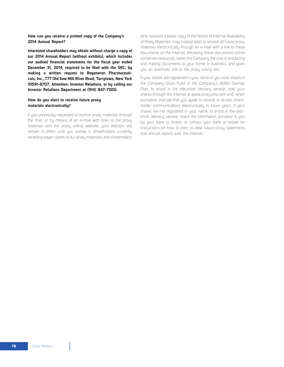Interested shareholders may obtain without charge a copy of<br>
our 2014 Annual Report (without exhibits), which includes<br>
our audited financial statements for the fiscal year ended<br>
December 31, 2014, required to be filed wi **cals, Inc., 777 Old Saw Mill River Road, Tarrytown, New York** If your shares are registered in your name or you hold shares in 10591-6707, Attention: Investor Relations, or by calling our Investor Relations Department at (914) 847-7000. **Inversional Plan**, to enroll in the electronic delivery service, vote your

If you previously requested to receive proxy materials through<br>the mail, or by means of an e-mail with links to the proxy<br>materials and the proxy voting website, your election will<br>remain in effect until you revoke it. Sha

**How can you receive a printed copy of the Company's** who received a paper copy of the Notice of Internet Availability **2014 Annual Report? of Proxy Materials, may instead elect to receive all future proxy** 

shares through the Internet at *www.proxyvote.com* and, when **How do you elect to receive future proxy prompted**, indicate that you agree to receive or access share**materials electronically? holder communications electronically in future years. If your**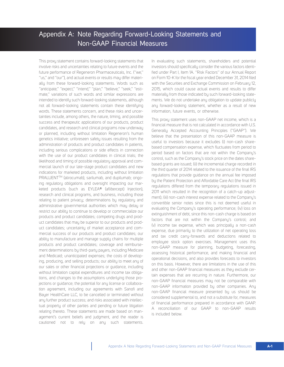## Appendix A: Note Regarding Forward-Looking Statements and Non-GAAP Financial Measures

words. These statements concern, and these risks and uncer- information, future events, or otherwise. lairies installe, among others the nearly fring, and passing<br>in This parameterize and the particles and computers and manifest and the computer state conneight in the computers of the computers of the computers of the comp cautioned not to rely on any such statements.

This proxy statement contains forward-looking statements that In evaluating such statements, shareholders and potential involve risks and uncertainties relating to future events and the investors should specifically consider the various factors identifuture performance of Regeneron Pharmaceuticals, Inc. (''we,'' fied under Part I, Item 1A. ''Risk Factors'' of our Annual Report ''us,'' and ''our''), and actual events or results may differ materi- on Form 10-K for the fiscal year ended December 31, 2014 filed ally from these forward-looking statements. Words such as with the Securities and Exchange Commission on February 12, ''anticipate,'' ''expect,'' ''intend,'' ''plan,'' ''believe,'' ''seek,'' ''esti- 2015, which could cause actual events and results to differ mate,'' variations of such words and similar expressions are materially from those indicated by such forward-looking stateintended to identify such forward-looking statements, although ments. We do not undertake any obligation to update publicly not all forward-looking statements contain these identifying any forward-looking statement, whether as a result of new

18FEB2015221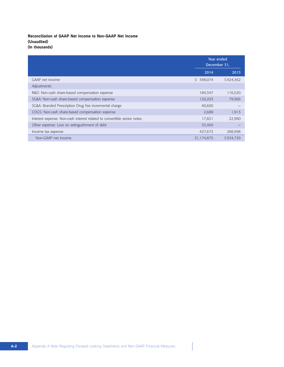## **Reconciliation of GAAP Net Income to Non-GAAP Net Income (Unaudited) (In thousands)**

|                                                                         |             | Year ended<br>December 31, |  |
|-------------------------------------------------------------------------|-------------|----------------------------|--|
|                                                                         | 2014        | 2013                       |  |
| GAAP net income                                                         | \$348,074   | \$424,362                  |  |
| Adjustments:                                                            |             |                            |  |
| R&D: Non-cash share-based compensation expense                          | 184,347     | 116,520                    |  |
| SG&A: Non-cash share-based compensation expense                         | 120,203     | 79,966                     |  |
| SG&A: Branded Prescription Drug Fee incremental charge                  | 40,600      |                            |  |
| COGS: Non-cash share-based compensation expense                         | 2,688       | 1,913                      |  |
| Interest expense: Non-cash interest related to convertible senior notes | 17,821      | 22,980                     |  |
| Other expense: Loss on extinguishment of debt                           | 33,469      |                            |  |
| Income tax expense                                                      | 427,673     | 288,998                    |  |
| Non-GAAP net income                                                     | \$1,174,875 | \$934,739                  |  |

 $\overline{\phantom{a}}$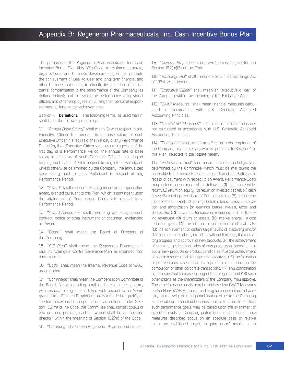## Appendix B: Regeneron Pharmaceuticals, Inc. Cash Incentive Bonus Plan

Incentive Bonus Plan (this "*Plan*") are to reinforce corporate, Section 162(m)(3) of the Code. organizational and business development goals; to promote<br>the achievement of year-to-year and long-term financial and<br>other business objectives; to directly tie a portion of partici-<br>of 1934, as amended. pants' compensation to the performance of the Company (as 1.11 ''*Executive Officer*'' shall mean an ''executive officer'' of defined below); and to reward the performance of individual the Company within the meaning of the Exchange Act. officers and other employees in fulfilling their personal respon- 1.12 ''*GAAP Measures*'' shall mean financial measures calcu- sibilities for long-range achievements. lated in accordance with U.S. Generally Accepted

Section 1. **Definitions.** The following terms, as used herein, Accounting Principles. shall have the following meanings: 1.13 ''Non-*GAAP Measures*'' shall mean financial measures

Executive Officer, the annual rate of base salary of such Accounting Principles. Executive Officer in effect as of the first day of any Performance<br>
Period (or, if an Executive Officer was not employed as of the<br>
first day of a Performance Period, the annual rate of base<br>
salary in effect as of such Ex employment); and (ii) with respect to any other Participant, 1.15 ''*Performance Goal*'' shall mean the criteria and objectives, unless otherwise determined by the Company, the annualized determined by the Committee, which must be met during the

with respect to any actions taken with respect to an Award and/or Non-GAAP Measures, and may be applied either individution 162(m) of the Code, the Committee shall consist solely of such performance goals may be based upon the attainment of director'' within the meaning of Section 162(m) of the Code. measures described above on an absolute basis or relative

The purposes of the Regeneron Pharmaceuticals, Inc. Cash 1.9 ''*Covered Employee*'' shall have the meaning set forth in

18FEB201522184560

1.1 ''*Annual Base Salary*'' shall mean: (i) with respect to any not calculated in accordance with U.S. Generally Accepted

base salary paid to such Participant in respect of any applicable Performance Period as a condition of the Participant's Performance Period. The receipt of payment with respect to an Award. Performance Goals "" "Award" shall mean non-equity incentive compensation award, granted pursuant to this Plan, which is contingent upon<br>the attainment of Performance Goals with respect to a the following: (1) total shareholder<br>Performance 1.3 ''*Award Agreement*'' shall mean any written agreement, depreciation); (8) revenues (or specified revenues, such as licenscontract, notice or other instrument or document evidencing ing revenues); (9) return on assets; (10) market share; (11) cost an Award. reduction goals; (12) the initiation or completion of clinical trials; 1.4 "Board" shall mean the Board of Directors of (13) the achievement of certain target levels of discovery and/or<br>-the Company.<br>tory progress and approval of new products; (14) the achievement 1.5 ''*CIC Plan*'' shall mean the Regeneron Pharmaceuti- of certain target levels of sales of new products or licensing in or cals, Inc. Change in Control Severance Plan, as amended from out of new products or product candidates; (15) the achievement time to time. of certain research and development objectives; (16) the formation 1.6 "Code" shall mean the Internal Revenue Code of 1986, or ipint ventures, research or development collaborations, or the<br>as amended. The state of the corporate transactions; (17) any combination<br>of, or a specified increa 1.7 ''*Committee*'' shall mean the Compensation Committee of other criteria as the shareholders of the Company may approve. the Board. Notwithstanding anything herein to the contrary, These performance goals may be set based on GAAP Measures granted to a Covered Employee that is intended to qualify as ally, alternatively, or in any combination, either to the Company ''performance-based compensation'' as defined under Sec- as a whole or to a defined business unit or function. In addition, two or more persons, each of whom shall be an ''outside specified levels of Company performance under one or more to a pre-established target, to prior years' results or to 1.8 ''*Company*'' shall mean Regeneron Pharmaceuticals, Inc.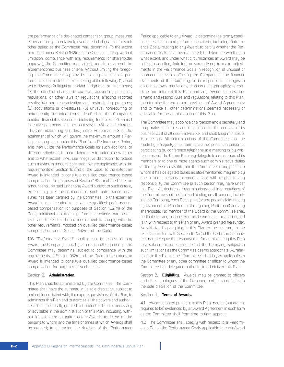either annually, cumulatively over a period of years or for such tions, restrictions and performance criteria, including Performother period as the Committee may determine. To the extent ance Goals, relating to any Award; to certify whether the Perpermitted under Section 162(m) of the Code (including, without formance Goals have been attained; to determine whether, to limitation, compliance with any requirements for shareholder what extent, and under what circumstances an Award may be approval), the Committee may adjust, modify or amend the settled, cancelled, forfeited, or surrendered; to make adjustaforementioned business criteria. Without limiting the forego- ments in the Performance Goals in recognition of unusual or ing, the Committee may provide that any evaluation of per- nonrecurring events affecting the Company or the financial formance shall include or exclude any of the following: (1) asset statements of the Company, or in response to changes in write-downs; (2) litigation or claim judgments or settlements; applicable laws, regulations, or accounting principles; to con- (3) the effect of changes in tax laws, accounting principles, strue and interpret this Plan and any Award; to prescribe, regulations, or other laws or regulations affecting reported amend and rescind rules and regulations relating to this Plan; results; (4) any reorganization and restructuring programs; to determine the terms and provisions of Award Agreements; (5) acquisitions or divestitures; (6) unusual nonrecurring or and to make all other determinations deemed necessary or unfrequently occurring items identified in the Company's advisable for the administration of this Plan. and the normal statements, including footnotes; (7) annual statements are secretary and the committee may appoint a chairperson and a secretary and<br>the Committee may also designate a Performance Goal, the<br>summers of the co

Award, the Company's fiscal year or such other period as the to a subcommittee or an officer of the Company, subject to Committee may determine, subject to compliance with the such limitations as the Committee deems appropriate. All referrequirements of Section 162(m) of the Code to the extent an ences in this Plan to the ''Committee'' shall be, as applicable, to Award is intended to constitute qualified performance-based the Committee or any other committee or officer to whom the compensation for purposes of such section. Committee has delegated authority to administer this Plan.

and not inconsistent with, the express provisions of this Plan, to Section 4. **Terms of Awards.** administer this Plan and to exercise all the powers and authori-<br>ties either specifically granted to it under this Plan or necessary<br>or advisable in the administration of this Plan, including, with-<br>out limitation, the aut persons to whom and the time or times at which Awards shall 4.2 The Committee shall specify with respect to a Performbe granted; to determine the duration of the Performance ance Period the Performance Goals applicable to each Award

the performance of a designated comparison group, measured Period applicable to any Award; to determine the terms, condi-

1.16 ''*Performance Period*'' shall mean, in respect of any tee may delegate the responsibility for administering this Plan

Section 2. **Administration.** Notation 3. **Eligibility.** Awards may be granted to officers This Plan shall be administered by the Committee. The Com-<br>This Plan shall be administered by the Committee. The Com-<br>the sole discretion of the Committee.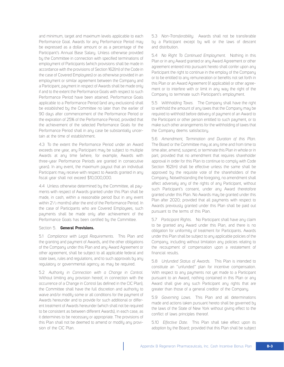be expressed as a dollar amount or as a percentage of the and distribution. Participant's Annual Base Salary. Unless otherwise provided<br>by the Committee in connection with specified terminations of<br>employment of Participants (which provisions shall be made in<br>accordance with the provisions of Sect applicable to a Performance Period (and any exclusions) shall 5.5 *Withholding Taxes.* The Company shall have the right Performance Period shall in any case be substantially uncer-<br>the Company deems satisfactory. tain at the time of establishment. 5.6 *Amendment, Termination and Duration of this Plan.*

within 21/<sub>2</sub> months) after the end of the Performance Period. In<br>the case of Participants who are Covered Employees, such<br>payments shall be made only after achievement of the<br>payments shall be made only after achievement Performance Goals has been certified by the Committee. 5.7 *Participant Rights.* No Participant shall have any claim

the granting and payment of Awards, and the other obligations Company, including without limitation any policies relating to of the Company under this Plan and any Award Agreement or the recoupment of compensation upon a restatement of other agreement, shall be subject to all applicable federal and financial results. state laws, rules and regulations, and to such approvals by any<br>regulatory or governmental agency as may be required.<br>constitute an "unfunded" plan for incentive compensation.

Without limiting any provision hereof, in connection with the pursuant to an Award, nothing contained in this Plan or any occurrence of a Change in Control (as defined in the CIC Plan), Award shall give any such Participant any rights that are the Committee shall have the full discretion and authority to greater than those of a general creditor of the Company. waive and/or modify some or all conditions for the payment of<br>Awards hereunder and to provide for such additional or differ-<br>ent treatment of Awards hereunder (which shall not be required<br>to be consistent as between differ this Plan shall not be deemed to amend or modify any provi- 5.10 *Effective Date.* This Plan shall take effect upon its sion of the CIC Plan. **adoption by the Board; provided that this Plan shall be subject** 

and minimum, target and maximum levels applicable to each 5.3 *Non-Transferability.* Awards shall not be transferable Performance Goal. Awards for any Performance Period may by a Participant except by will or the laws of descent

be established by the Committee no later than the earlier of to withhold the amount of any taxes that the Company may be 90 days after commencement of the Performance Period or required to withhold before delivery of payment of an Award to the expiration of 25% of the Performance Period, provided that the Participant or other person entitled to such payment, or to the achievement of the selected Performance Goals for the make such other arrangements for the withholding of taxes that

4.3 To the extent the Performance Period under an Award The Board or the Committee may at any time and from time to exceeds one year, any Participant may be subject to multiple time alter, amend, suspend, or terminate this Plan in whole or in Awards at any time (where, for example, Awards with part; provided that no amendment that requires shareholder three-year Performance Periods are granted in consecutive approval in order for this Plan to continue to comply with Code years). In any event, the maximum payout that an individual Section 162(m) shall be effective unless the same shall be Participant may receive with respect to Awards granted in any approved by the requisite vote of the shareholders of the fiscal year shall not exceed \$10,000,000. Company. Notwithstanding the foregoing, no amendment shall 4.4 Unless otherwise determined by the Committee, all pay-<br>ments with respect of Awards granted under this Plan shall be<br>made, in cash, within a reasonable period (but in any event<br>within 21/2 months) after the end of the

to be granted any Award under this Plan, and there is no Section 5. **General Provisions.** obligation for uniformity of treatment for Participants. Awards 5.1 *Compliance with Legal Requirements.* This Plan and under this Plan shall be subject to any applicable policies of the

5.2 *Authority in Connection with a Change in Control.* With respect to any payments not yet made to a Participant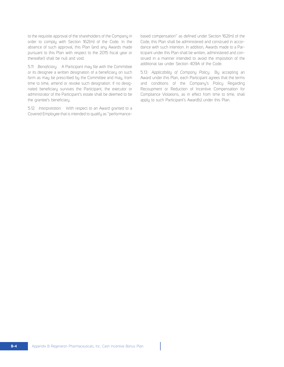to the requisite approval of the shareholders of the Company in based compensation'' as defined under Section 162(m) of the order to comply with Section 162(m) of the Code. In the Code, this Plan shall be administered and construed in accorabsence of such approval, this Plan (and any Awards made dance with such intention. In addition, Awards made to a Parpursuant to this Plan with respect to the 2015 fiscal year or ticipant under this Plan shall be written, administered and conthereafter) shall be null and void. The strued in a manner intended to avoid the imposition of the

or its designee a written designation of a beneficiary on such 5.13 *Applicability of Company Policy.* By accepting an form as may be prescribed by the Committee and may, from Award under this Plan, each Participant agrees that the terms time to time, amend or revoke such designation. If no desig- and conditions of the Company's Policy Regarding nated beneficiary survives the Participant, the executor or Recoupment or Reduction of Incentive Compensation for administrator of the Participant's estate shall be deemed to be Compliance Violations, as in effect from time to time, shall the grantee's beneficiary.  $aply to such Participant's Award(s) under this Plan.$ 

5.12 *Interpretation.* With respect to an Award granted to a Covered Employee that is intended to qualify as ''performance-

additional tax under Section 409A of the Code. 5.11 *Beneficiary.* A Participant may file with the Committee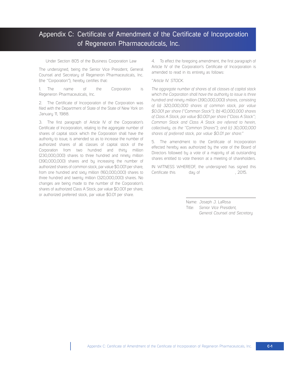## Appendix C: Certificate of Amendment of the Certificate of Incorporation of Regeneron Pharmaceuticals, Inc.

(the ''Corporation''), hereby certifies that: ''*Article IV. STOCK*.

3. The first paragraph of Article IV of the Corporation's *Common Stock and Class A Stock are referred to herein,* Certificate of Incorporation, relating to the aggregate number of *collectively, as the ''Common Shares''); and (c) 30,000,000* shares of capital stock which the Corporation shall have the *shares of preferred stock, par value \$0.01 per share.''* authority to issue, is amended so as to increase the number of<br>authorized shares of all classes of capital stock of the<br>Corporation from two hundred and thirty million<br>(230,000,000) shares to three hundred and ninety milli authorized shares of common stock, par value \$0.001 per share, IN WITNESS WHEREOF, the undersigned has signed this from one hundred and sixty million (160,000,000) shares to Certificate this day of , 2015. three hundred and twenty million (320,000,000) shares. No changes are being made to the number of the Corporation's shares of authorized Class A Stock, par value \$0.001 per share, or authorized preferred stock, par value \$0.01 per share.

Under Section 805 of the Business Corporation Law 4. To effect the foregoing amendment, the first paragraph of Article IV of the Corporation's Certificate of Incorporation is The undersigned, being the Senior Vice President, General amended to read in its entirety as follows: Counsel and Secretary of Regeneron Pharmaceuticals, Inc.

18FEB2015221

1. The name of the Corporation is *The aggregate number of shares of all classes of capital stock* Regeneron Pharmaceuticals, Inc. *which the Corporation shall have the authority to issue is three* 2. The Certificate of Incorporation of the Corporation was<br>filed with the Department of State of the State of New York on<br>January 11, 1988.<br>January 11, 1988.<br>*of Class A Stock, par value* \$0.001 per share ("Common Stock");

Name: Joseph J. LaRosa Title: *Senior Vice President, General Counsel and Secretary*